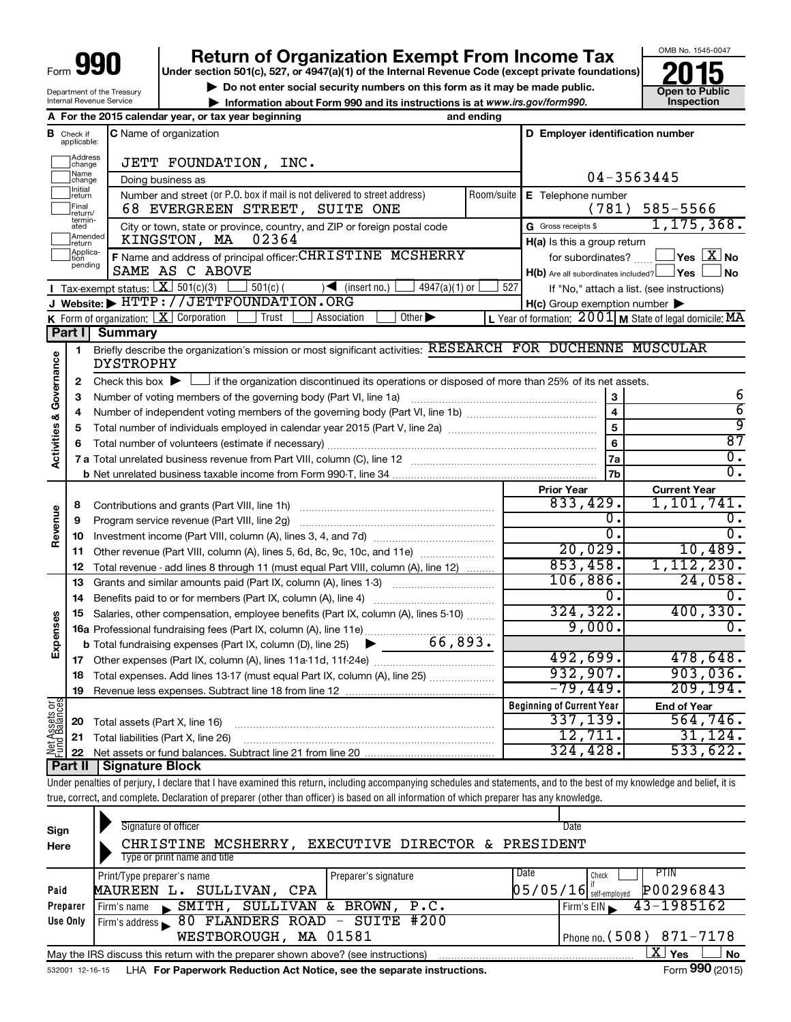Department of the Treasury Internal Revenue Service

# **990 Return of Organization Exempt From Income Tax 1990 2015**<br>
Under section 501(c), 527, or 4947(a)(1) of the Internal Revenue Code (except private foundations) **2015**

**Under section 501(c), 527, or 4947(a)(1) of the Internal Revenue Code (except private foundations)**

**and Struction 501(c), 527, or 4947(a)(1) of the internal Revenue Code (except private foundations)<br>
■ Do not enter social security numbers on this form as it may be made public.<br>
■ Information about Form 990 and its inst** 

**• Information about Form 990 and its instructions is at www.irs.gov/form990. and inspection** 



|                                |                               | A For the 2015 calendar year, or tax year beginning                                                                                         | and ending |                                                         |                                                           |
|--------------------------------|-------------------------------|---------------------------------------------------------------------------------------------------------------------------------------------|------------|---------------------------------------------------------|-----------------------------------------------------------|
|                                | <b>B</b> Check if applicable: | <b>C</b> Name of organization                                                                                                               |            | D Employer identification number                        |                                                           |
|                                | Address<br>change             | JETT FOUNDATION, INC.                                                                                                                       |            |                                                         |                                                           |
|                                | Name<br>change                | Doing business as                                                                                                                           |            |                                                         | 04-3563445                                                |
|                                | Initial<br> return            | Number and street (or P.O. box if mail is not delivered to street address)                                                                  | Room/suite | E Telephone number                                      |                                                           |
|                                | Final<br> return/             | 68 EVERGREEN STREET, SUITE ONE                                                                                                              |            | (781)                                                   | 585-5566                                                  |
|                                | termin-<br>ated               | City or town, state or province, country, and ZIP or foreign postal code                                                                    |            | G Gross receipts \$                                     | 1, 175, 368.                                              |
|                                | Amended<br>Ireturn            | 02364<br>KINGSTON, MA                                                                                                                       |            | $H(a)$ is this a group return                           |                                                           |
|                                | Applica-<br>pending           | F Name and address of principal officer: CHRISTINE MCSHERRY                                                                                 |            | for subordinates?                                       | $\sqrt{}$ Yes $\sqrt{}$ $\overline{\text{X}}$ No          |
|                                |                               | SAME AS C ABOVE                                                                                                                             |            | $H(b)$ Are all subordinates included? $\Box$ Yes $\Box$ | ∫No                                                       |
|                                |                               | <b>I</b> Tax-exempt status: $X \over 301(c)(3)$<br>$\sqrt{\frac{1}{1}}$ (insert no.)<br>$501(c)$ (<br>$4947(a)(1)$ or                       | 527        |                                                         | If "No," attach a list. (see instructions)                |
|                                |                               | J Website: FITTP://JETTFOUNDATION.ORG                                                                                                       |            | $H(c)$ Group exemption number $\blacktriangleright$     |                                                           |
|                                |                               | K Form of organization: $X$ Corporation<br>Other $\blacktriangleright$<br>Trust<br>Association                                              |            |                                                         | L Year of formation: $2001$ M State of legal domicile: MA |
|                                | Part I                        | <b>Summary</b>                                                                                                                              |            |                                                         |                                                           |
| Governance                     | 1                             | Briefly describe the organization's mission or most significant activities: RESEARCH FOR DUCHENNE MUSCULAR<br>DYSTROPHY                     |            |                                                         |                                                           |
|                                | 2                             | Check this box $\blacktriangleright$ $\Box$ if the organization discontinued its operations or disposed of more than 25% of its net assets. |            |                                                         |                                                           |
|                                | З                             |                                                                                                                                             |            | 3                                                       | 6                                                         |
|                                | 4                             |                                                                                                                                             |            | $\overline{4}$                                          | $\overline{6}$                                            |
|                                | 5                             |                                                                                                                                             |            | 5                                                       | ब्र                                                       |
|                                |                               |                                                                                                                                             |            | 6                                                       | 87                                                        |
| <b>Activities &amp;</b>        |                               |                                                                                                                                             |            | 7a                                                      | $\overline{0}$ .                                          |
|                                |                               |                                                                                                                                             |            | 7b                                                      | $\overline{0}$ .                                          |
|                                |                               |                                                                                                                                             |            | <b>Prior Year</b>                                       | <b>Current Year</b>                                       |
|                                | 8                             |                                                                                                                                             |            | 833,429.                                                | 1,101,741.                                                |
| Revenue                        | 9                             | Program service revenue (Part VIII, line 2g)                                                                                                |            | О.                                                      | 0.                                                        |
|                                | 10                            |                                                                                                                                             |            | 0.                                                      | $\overline{0}$ .                                          |
|                                | 11                            | Other revenue (Part VIII, column (A), lines 5, 6d, 8c, 9c, 10c, and 11e)                                                                    |            | 20,029.                                                 | 10,489.                                                   |
|                                | 12                            | Total revenue - add lines 8 through 11 (must equal Part VIII, column (A), line 12)                                                          |            | 853,458.                                                | 1,112,230.                                                |
|                                | 13                            | Grants and similar amounts paid (Part IX, column (A), lines 1-3)                                                                            |            | 106,886.                                                | 24,058.                                                   |
|                                | 14                            | Benefits paid to or for members (Part IX, column (A), line 4)                                                                               |            | $\overline{0}$ .                                        | Ο.                                                        |
|                                | 15                            | Salaries, other compensation, employee benefits (Part IX, column (A), lines 5-10)                                                           |            | 324,322.                                                | 400, 330.                                                 |
| Expenses                       |                               | 16a Professional fundraising fees (Part IX, column (A), line 11e)                                                                           |            | 9,000.                                                  | 0.                                                        |
|                                |                               | 66,893.<br><b>b</b> Total fundraising expenses (Part IX, column (D), line 25)                                                               |            |                                                         |                                                           |
|                                | 17                            |                                                                                                                                             |            | 492,699.                                                | 478,648.                                                  |
|                                | 18                            | Total expenses. Add lines 13-17 (must equal Part IX, column (A), line 25)                                                                   |            | 932,907.                                                | 903,036.                                                  |
|                                | 19                            |                                                                                                                                             |            | $-79,449.$                                              | 209, 194.                                                 |
| Net Assets or<br>Fund Balances |                               |                                                                                                                                             |            | <b>Beginning of Current Year</b>                        | <b>End of Year</b>                                        |
|                                | 20                            | Total assets (Part X, line 16)                                                                                                              |            | 337,139.                                                | 564, 746.                                                 |
|                                | 21                            | Total liabilities (Part X, line 26)                                                                                                         |            | 12,711.                                                 | 31,124.                                                   |
|                                |                               | + II   Cianotura Dlook                                                                                                                      |            | 324,428.                                                | 533,622.                                                  |

**Part II Signature Block**

Under penalties of perjury, I declare that I have examined this return, including accompanying schedules and statements, and to the best of my knowledge and belief, it is true, correct, and complete. Declaration of preparer (other than officer) is based on all information of which preparer has any knowledge.

| Sign<br>Here    | Signature of officer<br>EXECUTIVE DIRECTOR & PRESIDENT<br>CHRISTINE MCSHERRY,     | Date                                  |
|-----------------|-----------------------------------------------------------------------------------|---------------------------------------|
|                 | Type or print name and title                                                      |                                       |
|                 | Print/Type preparer's name<br>Preparer's signature                                | l Date<br>PTIN<br>Check               |
| Paid            | SULLIVAN,<br>MAUREEN L.<br>CPA                                                    | P00296843<br>$05/05/16$ self-employed |
| Preparer        | SULLIVAN &<br>BROWN,<br>SMITH,<br>P.C.<br>Firm's name                             | 43-1985162<br>Firm's EIN              |
| Use Only        | Firm's address 80 FLANDERS ROAD - SUITE #200                                      |                                       |
|                 | WESTBOROUGH, MA 01581                                                             | Phone no. $(508)$ 871-7178            |
|                 | May the IRS discuss this return with the preparer shown above? (see instructions) | X'<br><b>No</b><br>Yes                |
| 532001 12-16-15 | LHA For Paperwork Reduction Act Notice, see the separate instructions.            | Form 990 (2015)                       |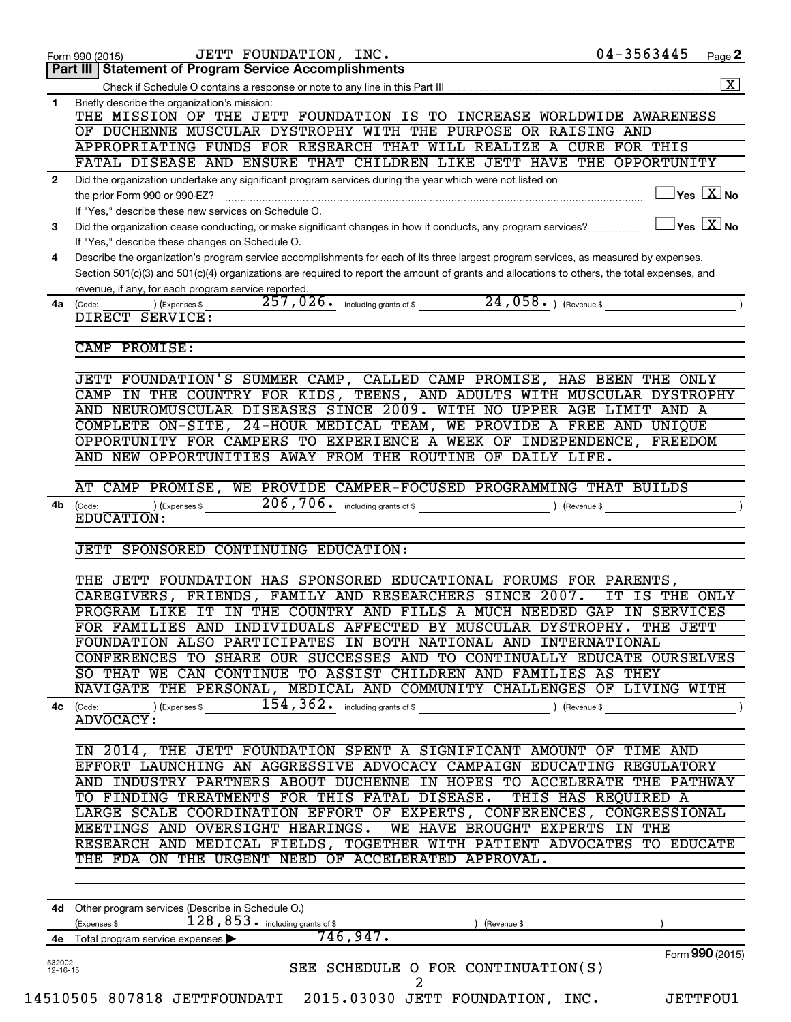|                          | $04 - 3563445$<br>JETT FOUNDATION, INC.<br>Form 990 (2015)                                                                                                                              |                                           | Page 2                  |
|--------------------------|-----------------------------------------------------------------------------------------------------------------------------------------------------------------------------------------|-------------------------------------------|-------------------------|
|                          | Part III   Statement of Program Service Accomplishments                                                                                                                                 |                                           |                         |
|                          |                                                                                                                                                                                         |                                           | $\overline{\mathbf{X}}$ |
| 1                        | Briefly describe the organization's mission:<br>THE MISSION OF THE JETT FOUNDATION IS TO INCREASE WORLDWIDE AWARENESS                                                                   |                                           |                         |
|                          | OF DUCHENNE MUSCULAR DYSTROPHY WITH THE PURPOSE OR RAISING AND                                                                                                                          |                                           |                         |
|                          | APPROPRIATING FUNDS FOR RESEARCH THAT WILL REALIZE A CURE FOR THIS                                                                                                                      |                                           |                         |
|                          | FATAL DISEASE AND ENSURE THAT CHILDREN LIKE JETT HAVE THE OPPORTUNITY                                                                                                                   |                                           |                         |
| $\mathbf{2}$             | Did the organization undertake any significant program services during the year which were not listed on                                                                                |                                           |                         |
|                          | the prior Form 990 or 990-EZ?                                                                                                                                                           | $\overline{\ }$ Yes $\overline{\rm X}$ No |                         |
|                          | If "Yes," describe these new services on Schedule O.                                                                                                                                    |                                           |                         |
| 3                        | Did the organization cease conducting, or make significant changes in how it conducts, any program services?                                                                            | $\overline{Y}$ es $\overline{X}$ No       |                         |
| 4                        | If "Yes," describe these changes on Schedule O.<br>Describe the organization's program service accomplishments for each of its three largest program services, as measured by expenses. |                                           |                         |
|                          | Section 501(c)(3) and 501(c)(4) organizations are required to report the amount of grants and allocations to others, the total expenses, and                                            |                                           |                         |
|                          | revenue, if any, for each program service reported.                                                                                                                                     |                                           |                         |
| 4a                       | $257,026$ • including grants of \$24,058 • ) (Revenue \$<br>) (Expenses \$<br>(Code:                                                                                                    |                                           |                         |
|                          | DIRECT SERVICE:                                                                                                                                                                         |                                           |                         |
|                          | CAMP PROMISE:                                                                                                                                                                           |                                           |                         |
|                          |                                                                                                                                                                                         |                                           |                         |
|                          | JETT FOUNDATION'S SUMMER CAMP, CALLED CAMP PROMISE, HAS BEEN THE ONLY                                                                                                                   |                                           |                         |
|                          | CAMP IN THE COUNTRY FOR KIDS, TEENS, AND ADULTS WITH MUSCULAR DYSTROPHY                                                                                                                 |                                           |                         |
|                          | AND NEUROMUSCULAR DISEASES SINCE 2009. WITH NO UPPER AGE LIMIT AND A                                                                                                                    |                                           |                         |
|                          | COMPLETE ON-SITE, 24-HOUR MEDICAL TEAM, WE PROVIDE A FREE AND UNIQUE                                                                                                                    |                                           |                         |
|                          | OPPORTUNITY FOR CAMPERS TO EXPERIENCE A WEEK OF INDEPENDENCE, FREEDOM<br>AND NEW OPPORTUNITIES AWAY FROM THE ROUTINE OF DAILY LIFE.                                                     |                                           |                         |
|                          |                                                                                                                                                                                         |                                           |                         |
|                          | WE PROVIDE CAMPER-FOCUSED PROGRAMMING THAT BUILDS<br>AT CAMP PROMISE,                                                                                                                   |                                           |                         |
| 4b                       | 206,706. including grants of \$<br>) (Expenses \$<br>$\angle$ (Revenue \$)<br>(Code:                                                                                                    |                                           |                         |
|                          | EDUCATION:                                                                                                                                                                              |                                           |                         |
|                          | JETT SPONSORED CONTINUING EDUCATION:                                                                                                                                                    |                                           |                         |
|                          |                                                                                                                                                                                         |                                           |                         |
|                          | THE JETT FOUNDATION HAS SPONSORED EDUCATIONAL FORUMS FOR PARENTS,                                                                                                                       |                                           |                         |
|                          | CAREGIVERS, FRIENDS, FAMILY AND RESEARCHERS SINCE 2007.<br><b>IT</b>                                                                                                                    | IS THE ONLY                               |                         |
|                          | PROGRAM LIKE IT IN THE COUNTRY AND FILLS A MUCH NEEDED GAP IN SERVICES                                                                                                                  |                                           |                         |
|                          | FOR FAMILIES AND INDIVIDUALS AFFECTED BY MUSCULAR DYSTROPHY. THE JETT                                                                                                                   |                                           |                         |
|                          | FOUNDATION ALSO PARTICIPATES IN BOTH NATIONAL AND INTERNATIONAL                                                                                                                         |                                           |                         |
|                          | CONFERENCES TO SHARE OUR SUCCESSES AND TO CONTINUALLY EDUCATE OURSELVES<br>SO THAT WE CAN CONTINUE TO ASSIST CHILDREN AND FAMILIES AS THEY                                              |                                           |                         |
|                          | NAVIGATE THE PERSONAL, MEDICAL AND COMMUNITY CHALLENGES OF LIVING WITH                                                                                                                  |                                           |                         |
|                          | ) (Expenses \$<br>4c (Code:                                                                                                                                                             |                                           |                         |
|                          | ADVOCACY:                                                                                                                                                                               |                                           |                         |
|                          |                                                                                                                                                                                         |                                           |                         |
|                          | IN 2014, THE JETT FOUNDATION SPENT A SIGNIFICANT AMOUNT OF TIME AND                                                                                                                     |                                           |                         |
|                          | EFFORT LAUNCHING AN AGGRESSIVE ADVOCACY CAMPAIGN EDUCATING REGULATORY<br>AND INDUSTRY PARTNERS ABOUT DUCHENNE IN HOPES TO ACCELERATE THE PATHWAY                                        |                                           |                         |
|                          | TO FINDING TREATMENTS FOR THIS FATAL DISEASE.<br>THIS HAS REQUIRED A                                                                                                                    |                                           |                         |
|                          | LARGE SCALE COORDINATION EFFORT OF EXPERTS, CONFERENCES, CONGRESSIONAL                                                                                                                  |                                           |                         |
|                          | MEETINGS AND OVERSIGHT HEARINGS. WE HAVE BROUGHT EXPERTS IN THE                                                                                                                         |                                           |                         |
|                          | RESEARCH AND MEDICAL FIELDS, TOGETHER WITH PATIENT ADVOCATES TO EDUCATE                                                                                                                 |                                           |                         |
|                          | THE FDA ON THE URGENT NEED OF ACCELERATED APPROVAL.                                                                                                                                     |                                           |                         |
|                          |                                                                                                                                                                                         |                                           |                         |
|                          | 4d Other program services (Describe in Schedule O.)                                                                                                                                     |                                           |                         |
|                          | 128, 853. including grants of \$<br>(Expenses \$<br>) (Revenue \$                                                                                                                       |                                           |                         |
|                          | 746,947.<br>4e Total program service expenses                                                                                                                                           |                                           |                         |
| 532002<br>$12 - 16 - 15$ | SEE SCHEDULE O FOR CONTINUATION(S)                                                                                                                                                      | Form 990 (2015)                           |                         |
|                          | 2                                                                                                                                                                                       |                                           |                         |
|                          | 14510505 807818 JETTFOUNDATI 2015.03030 JETT FOUNDATION, INC.                                                                                                                           | <b>JETTFOU1</b>                           |                         |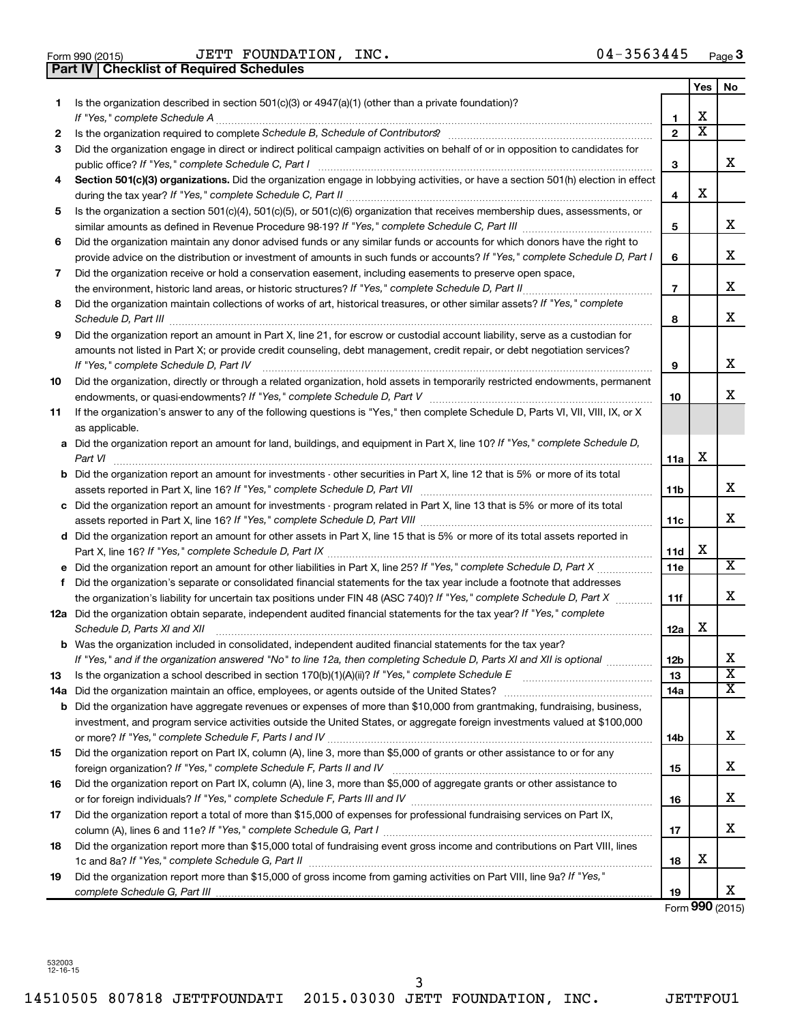| Form 990 (2015) |  |  |
|-----------------|--|--|

Form 990 (2015) Page JETT FOUNDATION, INC. 04-3563445 **Part IV Checklist of Required Schedules**

|    |                                                                                                                                                                                                                                                                |                | Yes                     | No                           |
|----|----------------------------------------------------------------------------------------------------------------------------------------------------------------------------------------------------------------------------------------------------------------|----------------|-------------------------|------------------------------|
| 1  | Is the organization described in section 501(c)(3) or 4947(a)(1) (other than a private foundation)?                                                                                                                                                            |                |                         |                              |
|    |                                                                                                                                                                                                                                                                | 1              | X                       |                              |
| 2  |                                                                                                                                                                                                                                                                | $\mathbf{2}$   | $\overline{\textbf{x}}$ |                              |
| 3  | Did the organization engage in direct or indirect political campaign activities on behalf of or in opposition to candidates for                                                                                                                                | 3              |                         | x                            |
| 4  | Section 501(c)(3) organizations. Did the organization engage in lobbying activities, or have a section 501(h) election in effect                                                                                                                               |                |                         |                              |
|    |                                                                                                                                                                                                                                                                | 4              | X                       |                              |
| 5  | Is the organization a section 501(c)(4), 501(c)(5), or 501(c)(6) organization that receives membership dues, assessments, or                                                                                                                                   |                |                         |                              |
|    |                                                                                                                                                                                                                                                                | 5              |                         | x                            |
| 6  | Did the organization maintain any donor advised funds or any similar funds or accounts for which donors have the right to                                                                                                                                      |                |                         |                              |
|    | provide advice on the distribution or investment of amounts in such funds or accounts? If "Yes," complete Schedule D, Part I                                                                                                                                   | 6              |                         | х                            |
| 7  | Did the organization receive or hold a conservation easement, including easements to preserve open space,                                                                                                                                                      |                |                         | x                            |
|    | the environment, historic land areas, or historic structures? If "Yes," complete Schedule D, Part II                                                                                                                                                           | $\overline{7}$ |                         |                              |
| 8  | Did the organization maintain collections of works of art, historical treasures, or other similar assets? If "Yes," complete                                                                                                                                   | 8              |                         | x                            |
| 9  | Did the organization report an amount in Part X, line 21, for escrow or custodial account liability, serve as a custodian for                                                                                                                                  |                |                         |                              |
|    | amounts not listed in Part X; or provide credit counseling, debt management, credit repair, or debt negotiation services?<br>If "Yes," complete Schedule D, Part IV                                                                                            | 9              |                         | х                            |
| 10 | Did the organization, directly or through a related organization, hold assets in temporarily restricted endowments, permanent                                                                                                                                  |                |                         |                              |
|    |                                                                                                                                                                                                                                                                | 10             |                         | x                            |
| 11 | If the organization's answer to any of the following questions is "Yes," then complete Schedule D, Parts VI, VII, VIII, IX, or X                                                                                                                               |                |                         |                              |
|    | as applicable.                                                                                                                                                                                                                                                 |                |                         |                              |
|    | a Did the organization report an amount for land, buildings, and equipment in Part X, line 10? If "Yes," complete Schedule D,<br>Part VI                                                                                                                       | 11a            | х                       |                              |
|    | <b>b</b> Did the organization report an amount for investments - other securities in Part X, line 12 that is 5% or more of its total                                                                                                                           | <b>11b</b>     |                         | x                            |
|    | c Did the organization report an amount for investments - program related in Part X, line 13 that is 5% or more of its total                                                                                                                                   |                |                         |                              |
|    |                                                                                                                                                                                                                                                                | 11c            |                         | x                            |
|    | d Did the organization report an amount for other assets in Part X, line 15 that is 5% or more of its total assets reported in                                                                                                                                 |                |                         |                              |
|    |                                                                                                                                                                                                                                                                | 11d            | х                       |                              |
|    |                                                                                                                                                                                                                                                                | 11e            |                         | х                            |
| f  | Did the organization's separate or consolidated financial statements for the tax year include a footnote that addresses                                                                                                                                        |                |                         |                              |
|    | the organization's liability for uncertain tax positions under FIN 48 (ASC 740)? If "Yes," complete Schedule D, Part X                                                                                                                                         | 11f            |                         | x                            |
|    | 12a Did the organization obtain separate, independent audited financial statements for the tax year? If "Yes," complete<br>Schedule D, Parts XI and XII                                                                                                        | 12a            | х                       |                              |
|    | <b>b</b> Was the organization included in consolidated, independent audited financial statements for the tax year?                                                                                                                                             |                |                         |                              |
|    | If "Yes," and if the organization answered "No" to line 12a, then completing Schedule D, Parts XI and XII is optional                                                                                                                                          | 12b            |                         | Χ                            |
| 13 |                                                                                                                                                                                                                                                                | 13             |                         | $\overline{\textbf{x}}$<br>х |
|    | 14a Did the organization maintain an office, employees, or agents outside of the United States?                                                                                                                                                                | 14a            |                         |                              |
|    | <b>b</b> Did the organization have aggregate revenues or expenses of more than \$10,000 from grantmaking, fundraising, business,<br>investment, and program service activities outside the United States, or aggregate foreign investments valued at \$100,000 |                |                         |                              |
|    |                                                                                                                                                                                                                                                                | 14b            |                         | х                            |
| 15 | Did the organization report on Part IX, column (A), line 3, more than \$5,000 of grants or other assistance to or for any                                                                                                                                      |                |                         |                              |
|    |                                                                                                                                                                                                                                                                | 15             |                         | х                            |
| 16 | Did the organization report on Part IX, column (A), line 3, more than \$5,000 of aggregate grants or other assistance to                                                                                                                                       |                |                         |                              |
|    |                                                                                                                                                                                                                                                                | 16             |                         | х                            |
| 17 | Did the organization report a total of more than \$15,000 of expenses for professional fundraising services on Part IX,                                                                                                                                        |                |                         |                              |
|    |                                                                                                                                                                                                                                                                | 17             |                         | х                            |
| 18 | Did the organization report more than \$15,000 total of fundraising event gross income and contributions on Part VIII, lines                                                                                                                                   |                |                         |                              |
|    |                                                                                                                                                                                                                                                                | 18             | х                       |                              |
| 19 | Did the organization report more than \$15,000 of gross income from gaming activities on Part VIII, line 9a? If "Yes,"                                                                                                                                         |                |                         |                              |
|    |                                                                                                                                                                                                                                                                | 19             |                         | x                            |

Form **990** (2015)

532003 12-16-15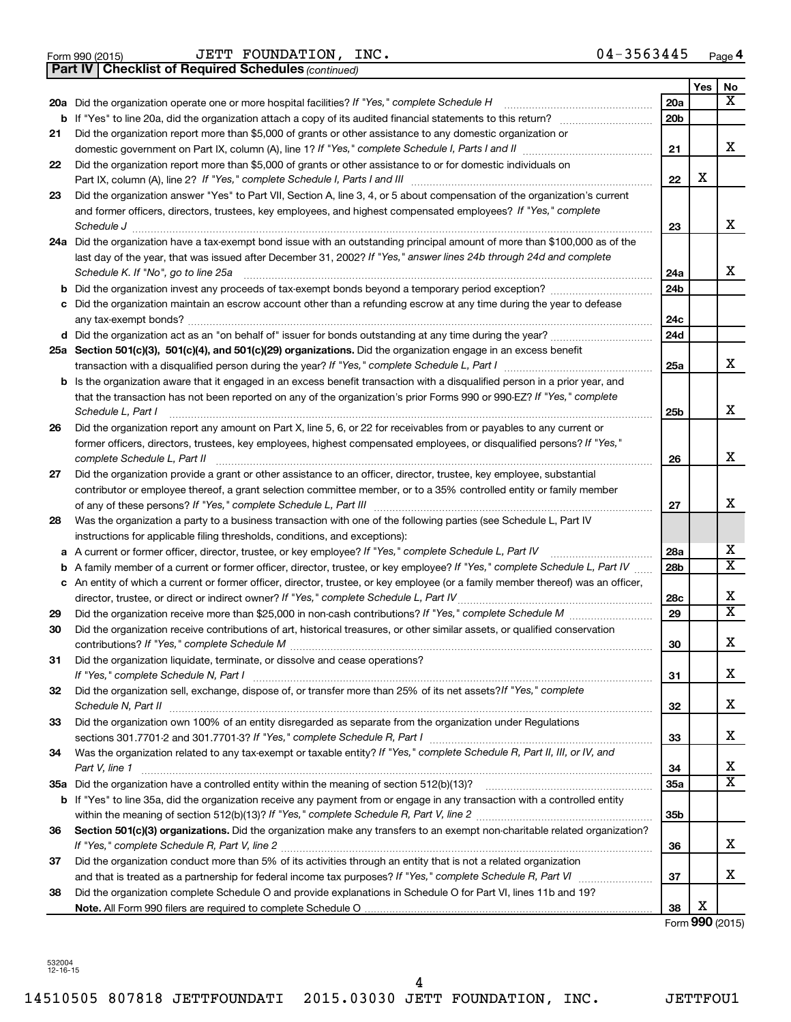Form 990 (2015) Page JETT FOUNDATION, INC. 04-3563445

*(continued)* **Part IV Checklist of Required Schedules**

|    |                                                                                                                                           |                 | Yes | No                      |
|----|-------------------------------------------------------------------------------------------------------------------------------------------|-----------------|-----|-------------------------|
|    | 20a Did the organization operate one or more hospital facilities? If "Yes," complete Schedule H                                           | 20a             |     | x                       |
|    |                                                                                                                                           | 20 <sub>b</sub> |     |                         |
| 21 | Did the organization report more than \$5,000 of grants or other assistance to any domestic organization or                               |                 |     |                         |
|    |                                                                                                                                           | 21              |     | x                       |
| 22 | Did the organization report more than \$5,000 of grants or other assistance to or for domestic individuals on                             |                 |     |                         |
|    |                                                                                                                                           | 22              | X   |                         |
| 23 | Did the organization answer "Yes" to Part VII, Section A, line 3, 4, or 5 about compensation of the organization's current                |                 |     |                         |
|    | and former officers, directors, trustees, key employees, and highest compensated employees? If "Yes," complete                            |                 |     | x                       |
|    | Schedule J<br>24a Did the organization have a tax-exempt bond issue with an outstanding principal amount of more than \$100,000 as of the | 23              |     |                         |
|    | last day of the year, that was issued after December 31, 2002? If "Yes," answer lines 24b through 24d and complete                        |                 |     |                         |
|    | Schedule K. If "No", go to line 25a                                                                                                       | 24a             |     | x                       |
| b  | Did the organization invest any proceeds of tax-exempt bonds beyond a temporary period exception?                                         | 24 <sub>b</sub> |     |                         |
| с  | Did the organization maintain an escrow account other than a refunding escrow at any time during the year to defease                      |                 |     |                         |
|    |                                                                                                                                           | 24c             |     |                         |
|    |                                                                                                                                           | 24d             |     |                         |
|    | 25a Section 501(c)(3), 501(c)(4), and 501(c)(29) organizations. Did the organization engage in an excess benefit                          |                 |     |                         |
|    |                                                                                                                                           | 25a             |     | x                       |
|    | <b>b</b> Is the organization aware that it engaged in an excess benefit transaction with a disqualified person in a prior year, and       |                 |     |                         |
|    | that the transaction has not been reported on any of the organization's prior Forms 990 or 990-EZ? If "Yes," complete                     |                 |     |                         |
|    | Schedule L, Part I                                                                                                                        | 25b             |     | X                       |
| 26 | Did the organization report any amount on Part X, line 5, 6, or 22 for receivables from or payables to any current or                     |                 |     |                         |
|    | former officers, directors, trustees, key employees, highest compensated employees, or disqualified persons? If "Yes,"                    | 26              |     | x                       |
| 27 | Did the organization provide a grant or other assistance to an officer, director, trustee, key employee, substantial                      |                 |     |                         |
|    | contributor or employee thereof, a grant selection committee member, or to a 35% controlled entity or family member                       |                 |     |                         |
|    |                                                                                                                                           | 27              |     | х                       |
| 28 | Was the organization a party to a business transaction with one of the following parties (see Schedule L, Part IV                         |                 |     |                         |
|    | instructions for applicable filing thresholds, conditions, and exceptions):                                                               |                 |     |                         |
| а  | A current or former officer, director, trustee, or key employee? If "Yes," complete Schedule L, Part IV                                   | 28a             |     | x                       |
| b  | A family member of a current or former officer, director, trustee, or key employee? If "Yes," complete Schedule L, Part IV                | 28 <sub>b</sub> |     | $\overline{\mathtt{x}}$ |
|    | c An entity of which a current or former officer, director, trustee, or key employee (or a family member thereof) was an officer,         |                 |     |                         |
|    | director, trustee, or direct or indirect owner? If "Yes," complete Schedule L, Part IV                                                    | 28c             |     | х                       |
| 29 |                                                                                                                                           | 29              |     | $\overline{\mathtt{x}}$ |
| 30 | Did the organization receive contributions of art, historical treasures, or other similar assets, or qualified conservation               |                 |     | X                       |
|    |                                                                                                                                           | 30              |     |                         |
| 31 | Did the organization liquidate, terminate, or dissolve and cease operations?                                                              | 31              |     | х                       |
| 32 | Did the organization sell, exchange, dispose of, or transfer more than 25% of its net assets? If "Yes," complete                          |                 |     |                         |
|    | Schedule N, Part II                                                                                                                       | 32              |     | x                       |
| 33 | Did the organization own 100% of an entity disregarded as separate from the organization under Regulations                                |                 |     |                         |
|    |                                                                                                                                           | 33              |     | х                       |
| 34 | Was the organization related to any tax-exempt or taxable entity? If "Yes," complete Schedule R, Part II, III, or IV, and                 |                 |     |                         |
|    | Part V, line 1                                                                                                                            | 34              |     | х                       |
|    |                                                                                                                                           | 35a             |     | $\overline{\mathtt{x}}$ |
|    | b If "Yes" to line 35a, did the organization receive any payment from or engage in any transaction with a controlled entity               |                 |     |                         |
|    |                                                                                                                                           | 35 <sub>b</sub> |     |                         |
| 36 | Section 501(c)(3) organizations. Did the organization make any transfers to an exempt non-charitable related organization?                |                 |     | x                       |
| 37 | Did the organization conduct more than 5% of its activities through an entity that is not a related organization                          | 36              |     |                         |
|    |                                                                                                                                           | 37              |     | x                       |
| 38 | Did the organization complete Schedule O and provide explanations in Schedule O for Part VI, lines 11b and 19?                            |                 |     |                         |
|    |                                                                                                                                           | 38              | х   |                         |

Form **990** (2015)

532004 12-16-15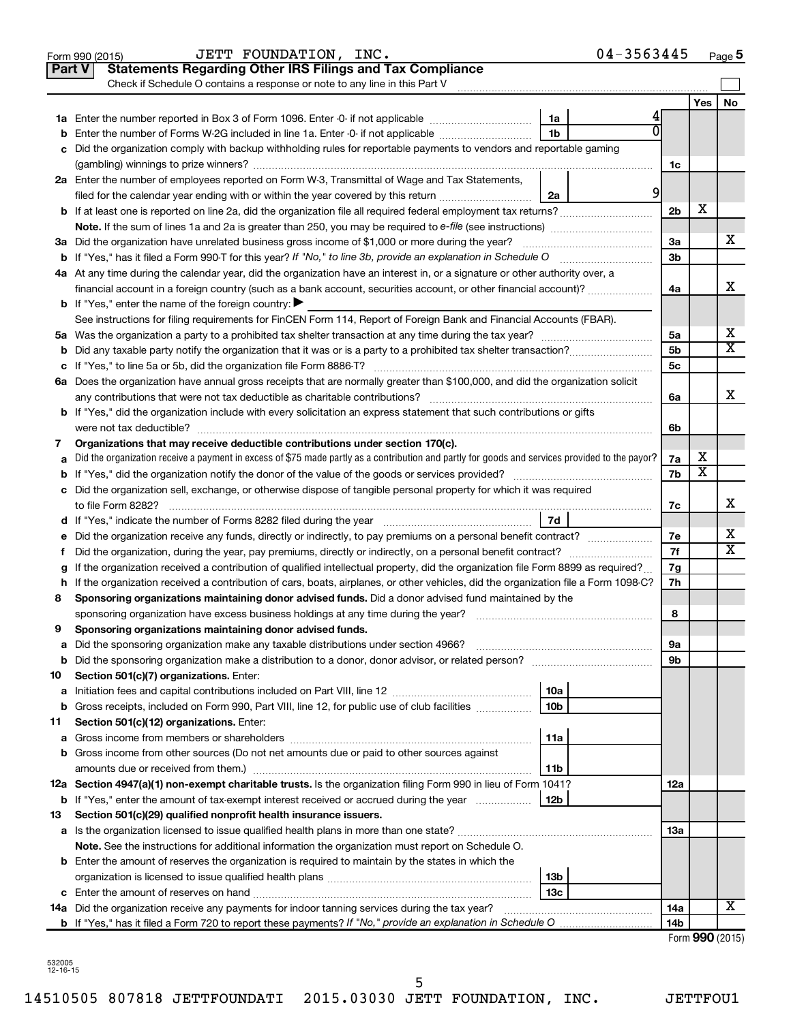|    | 04-3563445<br>JETT FOUNDATION, INC.<br>Form 990 (2015)                                                                                          |                 |     | Page 5          |
|----|-------------------------------------------------------------------------------------------------------------------------------------------------|-----------------|-----|-----------------|
|    | <b>Statements Regarding Other IRS Filings and Tax Compliance</b><br><b>Part V</b>                                                               |                 |     |                 |
|    | Check if Schedule O contains a response or note to any line in this Part V                                                                      |                 |     |                 |
|    |                                                                                                                                                 |                 | Yes | No              |
|    | 1a                                                                                                                                              |                 |     |                 |
| b  | $\overline{0}$<br>1 <sub>b</sub><br>Enter the number of Forms W-2G included in line 1a. Enter -0- if not applicable                             |                 |     |                 |
|    | c Did the organization comply with backup withholding rules for reportable payments to vendors and reportable gaming                            |                 |     |                 |
|    |                                                                                                                                                 | 1c              |     |                 |
|    | 2a Enter the number of employees reported on Form W-3, Transmittal of Wage and Tax Statements,                                                  |                 |     |                 |
|    | $\overline{9}$<br>filed for the calendar year ending with or within the year covered by this return<br>2a                                       |                 |     |                 |
|    |                                                                                                                                                 | 2 <sub>b</sub>  | X   |                 |
|    |                                                                                                                                                 |                 |     |                 |
|    | 3a Did the organization have unrelated business gross income of \$1,000 or more during the year?                                                | За              |     | х               |
|    |                                                                                                                                                 | 3 <sub>b</sub>  |     |                 |
|    | 4a At any time during the calendar year, did the organization have an interest in, or a signature or other authority over, a                    |                 |     |                 |
|    | financial account in a foreign country (such as a bank account, securities account, or other financial account)?                                | 4a              |     | х               |
|    | <b>b</b> If "Yes," enter the name of the foreign country: $\blacktriangleright$                                                                 |                 |     |                 |
|    | See instructions for filing requirements for FinCEN Form 114, Report of Foreign Bank and Financial Accounts (FBAR).                             |                 |     |                 |
|    |                                                                                                                                                 | 5a              |     | х               |
|    |                                                                                                                                                 | 5 <sub>b</sub>  |     | X               |
|    |                                                                                                                                                 | 5 <sub>c</sub>  |     |                 |
|    | 6a Does the organization have annual gross receipts that are normally greater than \$100,000, and did the organization solicit                  |                 |     |                 |
|    |                                                                                                                                                 | 6a              |     | х               |
|    | <b>b</b> If "Yes," did the organization include with every solicitation an express statement that such contributions or gifts                   |                 |     |                 |
|    |                                                                                                                                                 | 6b              |     |                 |
| 7  | Organizations that may receive deductible contributions under section 170(c).                                                                   |                 |     |                 |
| a  | Did the organization receive a payment in excess of \$75 made partly as a contribution and partly for goods and services provided to the payor? | 7a              | х   |                 |
|    |                                                                                                                                                 | 7b              | X   |                 |
|    | c Did the organization sell, exchange, or otherwise dispose of tangible personal property for which it was required                             |                 |     |                 |
|    |                                                                                                                                                 | 7с              |     | x               |
|    | 7d                                                                                                                                              |                 |     |                 |
| е  |                                                                                                                                                 | 7e              |     | х               |
| f. | Did the organization, during the year, pay premiums, directly or indirectly, on a personal benefit contract?                                    | 7f              |     | X               |
|    | If the organization received a contribution of qualified intellectual property, did the organization file Form 8899 as required?                | 7g              |     |                 |
|    | h If the organization received a contribution of cars, boats, airplanes, or other vehicles, did the organization file a Form 1098-C?            | 7h              |     |                 |
| 8  | Sponsoring organizations maintaining donor advised funds. Did a donor advised fund maintained by the                                            |                 |     |                 |
|    |                                                                                                                                                 | 8               |     |                 |
|    | Sponsoring organizations maintaining donor advised funds.                                                                                       |                 |     |                 |
| а  | Did the sponsoring organization make any taxable distributions under section 4966?                                                              | 9а              |     |                 |
| b  |                                                                                                                                                 | 9b              |     |                 |
| 10 | Section 501(c)(7) organizations. Enter:                                                                                                         |                 |     |                 |
| a  | 10a                                                                                                                                             |                 |     |                 |
| b  | 10 <sub>b</sub><br>Gross receipts, included on Form 990, Part VIII, line 12, for public use of club facilities                                  |                 |     |                 |
| 11 | Section 501(c)(12) organizations. Enter:                                                                                                        |                 |     |                 |
| а  | 11a                                                                                                                                             |                 |     |                 |
|    | <b>b</b> Gross income from other sources (Do not net amounts due or paid to other sources against                                               |                 |     |                 |
|    | 11b                                                                                                                                             |                 |     |                 |
|    | 12a Section 4947(a)(1) non-exempt charitable trusts. Is the organization filing Form 990 in lieu of Form 1041?                                  | 12a             |     |                 |
|    | 12b<br><b>b</b> If "Yes," enter the amount of tax-exempt interest received or accrued during the year                                           |                 |     |                 |
| 13 | Section 501(c)(29) qualified nonprofit health insurance issuers.                                                                                |                 |     |                 |
|    | a Is the organization licensed to issue qualified health plans in more than one state?                                                          | 13a             |     |                 |
|    | Note. See the instructions for additional information the organization must report on Schedule O.                                               |                 |     |                 |
|    | <b>b</b> Enter the amount of reserves the organization is required to maintain by the states in which the                                       |                 |     |                 |
|    | 13b                                                                                                                                             |                 |     |                 |
|    | 13 <sub>c</sub>                                                                                                                                 |                 |     |                 |
|    | 14a Did the organization receive any payments for indoor tanning services during the tax year?                                                  | 14a             |     | x               |
|    |                                                                                                                                                 | 14 <sub>b</sub> |     |                 |
|    |                                                                                                                                                 |                 |     | Form 990 (2015) |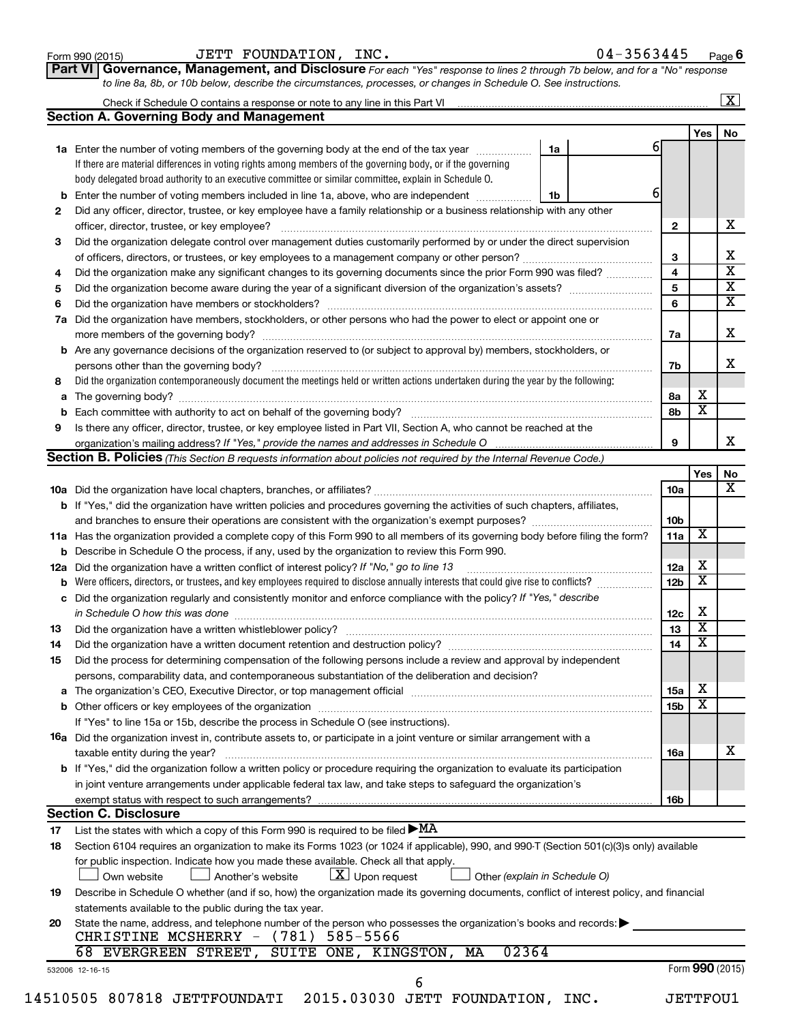| Form 990 (2015) |  |
|-----------------|--|
|-----------------|--|

### Form 990 (2015) Page JETT FOUNDATION, INC. 04-3563445

| 04-3563445<br>Page $6$ |  |
|------------------------|--|
|------------------------|--|

**Part VI** Governance, Management, and Disclosure For each "Yes" response to lines 2 through 7b below, and for a "No" response *to line 8a, 8b, or 10b below, describe the circumstances, processes, or changes in Schedule O. See instructions.*

| 13              | <b>Section A. Governing Body and Management</b><br>1a<br>1a Enter the number of voting members of the governing body at the end of the tax year<br>If there are material differences in voting rights among members of the governing body, or if the governing<br>body delegated broad authority to an executive committee or similar committee, explain in Schedule O.<br><b>b</b> Enter the number of voting members included in line 1a, above, who are independent <i>manumum</i><br>1b<br>Did any officer, director, trustee, or key employee have a family relationship or a business relationship with any other<br>Did the organization delegate control over management duties customarily performed by or under the direct supervision<br>Did the organization make any significant changes to its governing documents since the prior Form 990 was filed?<br>7a Did the organization have members, stockholders, or other persons who had the power to elect or appoint one or<br><b>b</b> Are any governance decisions of the organization reserved to (or subject to approval by) members, stockholders, or<br>persons other than the governing body?<br>Did the organization contemporaneously document the meetings held or written actions undertaken during the year by the following:<br>Is there any officer, director, trustee, or key employee listed in Part VII, Section A, who cannot be reached at the | 61<br>61<br>$\mathbf{2}$<br>3<br>$\overline{4}$<br>5<br>6<br>7a<br>7b<br>8a | <b>Yes</b>              |
|-----------------|---------------------------------------------------------------------------------------------------------------------------------------------------------------------------------------------------------------------------------------------------------------------------------------------------------------------------------------------------------------------------------------------------------------------------------------------------------------------------------------------------------------------------------------------------------------------------------------------------------------------------------------------------------------------------------------------------------------------------------------------------------------------------------------------------------------------------------------------------------------------------------------------------------------------------------------------------------------------------------------------------------------------------------------------------------------------------------------------------------------------------------------------------------------------------------------------------------------------------------------------------------------------------------------------------------------------------------------------------------------------------------------------------------------------------------|-----------------------------------------------------------------------------|-------------------------|
|                 |                                                                                                                                                                                                                                                                                                                                                                                                                                                                                                                                                                                                                                                                                                                                                                                                                                                                                                                                                                                                                                                                                                                                                                                                                                                                                                                                                                                                                                 |                                                                             |                         |
|                 |                                                                                                                                                                                                                                                                                                                                                                                                                                                                                                                                                                                                                                                                                                                                                                                                                                                                                                                                                                                                                                                                                                                                                                                                                                                                                                                                                                                                                                 |                                                                             |                         |
|                 |                                                                                                                                                                                                                                                                                                                                                                                                                                                                                                                                                                                                                                                                                                                                                                                                                                                                                                                                                                                                                                                                                                                                                                                                                                                                                                                                                                                                                                 |                                                                             |                         |
|                 |                                                                                                                                                                                                                                                                                                                                                                                                                                                                                                                                                                                                                                                                                                                                                                                                                                                                                                                                                                                                                                                                                                                                                                                                                                                                                                                                                                                                                                 |                                                                             |                         |
|                 |                                                                                                                                                                                                                                                                                                                                                                                                                                                                                                                                                                                                                                                                                                                                                                                                                                                                                                                                                                                                                                                                                                                                                                                                                                                                                                                                                                                                                                 |                                                                             |                         |
|                 |                                                                                                                                                                                                                                                                                                                                                                                                                                                                                                                                                                                                                                                                                                                                                                                                                                                                                                                                                                                                                                                                                                                                                                                                                                                                                                                                                                                                                                 |                                                                             |                         |
|                 |                                                                                                                                                                                                                                                                                                                                                                                                                                                                                                                                                                                                                                                                                                                                                                                                                                                                                                                                                                                                                                                                                                                                                                                                                                                                                                                                                                                                                                 |                                                                             |                         |
|                 |                                                                                                                                                                                                                                                                                                                                                                                                                                                                                                                                                                                                                                                                                                                                                                                                                                                                                                                                                                                                                                                                                                                                                                                                                                                                                                                                                                                                                                 |                                                                             |                         |
|                 |                                                                                                                                                                                                                                                                                                                                                                                                                                                                                                                                                                                                                                                                                                                                                                                                                                                                                                                                                                                                                                                                                                                                                                                                                                                                                                                                                                                                                                 |                                                                             |                         |
|                 |                                                                                                                                                                                                                                                                                                                                                                                                                                                                                                                                                                                                                                                                                                                                                                                                                                                                                                                                                                                                                                                                                                                                                                                                                                                                                                                                                                                                                                 |                                                                             |                         |
|                 |                                                                                                                                                                                                                                                                                                                                                                                                                                                                                                                                                                                                                                                                                                                                                                                                                                                                                                                                                                                                                                                                                                                                                                                                                                                                                                                                                                                                                                 |                                                                             |                         |
|                 |                                                                                                                                                                                                                                                                                                                                                                                                                                                                                                                                                                                                                                                                                                                                                                                                                                                                                                                                                                                                                                                                                                                                                                                                                                                                                                                                                                                                                                 |                                                                             |                         |
|                 |                                                                                                                                                                                                                                                                                                                                                                                                                                                                                                                                                                                                                                                                                                                                                                                                                                                                                                                                                                                                                                                                                                                                                                                                                                                                                                                                                                                                                                 |                                                                             |                         |
|                 |                                                                                                                                                                                                                                                                                                                                                                                                                                                                                                                                                                                                                                                                                                                                                                                                                                                                                                                                                                                                                                                                                                                                                                                                                                                                                                                                                                                                                                 |                                                                             |                         |
|                 |                                                                                                                                                                                                                                                                                                                                                                                                                                                                                                                                                                                                                                                                                                                                                                                                                                                                                                                                                                                                                                                                                                                                                                                                                                                                                                                                                                                                                                 |                                                                             |                         |
|                 |                                                                                                                                                                                                                                                                                                                                                                                                                                                                                                                                                                                                                                                                                                                                                                                                                                                                                                                                                                                                                                                                                                                                                                                                                                                                                                                                                                                                                                 |                                                                             |                         |
|                 |                                                                                                                                                                                                                                                                                                                                                                                                                                                                                                                                                                                                                                                                                                                                                                                                                                                                                                                                                                                                                                                                                                                                                                                                                                                                                                                                                                                                                                 |                                                                             |                         |
|                 |                                                                                                                                                                                                                                                                                                                                                                                                                                                                                                                                                                                                                                                                                                                                                                                                                                                                                                                                                                                                                                                                                                                                                                                                                                                                                                                                                                                                                                 |                                                                             | х                       |
|                 |                                                                                                                                                                                                                                                                                                                                                                                                                                                                                                                                                                                                                                                                                                                                                                                                                                                                                                                                                                                                                                                                                                                                                                                                                                                                                                                                                                                                                                 | 8b                                                                          | $\overline{\mathbf{x}}$ |
|                 |                                                                                                                                                                                                                                                                                                                                                                                                                                                                                                                                                                                                                                                                                                                                                                                                                                                                                                                                                                                                                                                                                                                                                                                                                                                                                                                                                                                                                                 |                                                                             |                         |
|                 |                                                                                                                                                                                                                                                                                                                                                                                                                                                                                                                                                                                                                                                                                                                                                                                                                                                                                                                                                                                                                                                                                                                                                                                                                                                                                                                                                                                                                                 | 9                                                                           |                         |
|                 | Section B. Policies (This Section B requests information about policies not required by the Internal Revenue Code.)                                                                                                                                                                                                                                                                                                                                                                                                                                                                                                                                                                                                                                                                                                                                                                                                                                                                                                                                                                                                                                                                                                                                                                                                                                                                                                             |                                                                             |                         |
|                 |                                                                                                                                                                                                                                                                                                                                                                                                                                                                                                                                                                                                                                                                                                                                                                                                                                                                                                                                                                                                                                                                                                                                                                                                                                                                                                                                                                                                                                 |                                                                             | <b>Yes</b>              |
|                 |                                                                                                                                                                                                                                                                                                                                                                                                                                                                                                                                                                                                                                                                                                                                                                                                                                                                                                                                                                                                                                                                                                                                                                                                                                                                                                                                                                                                                                 | 10a                                                                         |                         |
|                 | <b>b</b> If "Yes," did the organization have written policies and procedures governing the activities of such chapters, affiliates,                                                                                                                                                                                                                                                                                                                                                                                                                                                                                                                                                                                                                                                                                                                                                                                                                                                                                                                                                                                                                                                                                                                                                                                                                                                                                             |                                                                             |                         |
|                 |                                                                                                                                                                                                                                                                                                                                                                                                                                                                                                                                                                                                                                                                                                                                                                                                                                                                                                                                                                                                                                                                                                                                                                                                                                                                                                                                                                                                                                 | 10 <sub>b</sub>                                                             |                         |
|                 | 11a Has the organization provided a complete copy of this Form 990 to all members of its governing body before filing the form?                                                                                                                                                                                                                                                                                                                                                                                                                                                                                                                                                                                                                                                                                                                                                                                                                                                                                                                                                                                                                                                                                                                                                                                                                                                                                                 | 11a                                                                         | X                       |
|                 | <b>b</b> Describe in Schedule O the process, if any, used by the organization to review this Form 990.                                                                                                                                                                                                                                                                                                                                                                                                                                                                                                                                                                                                                                                                                                                                                                                                                                                                                                                                                                                                                                                                                                                                                                                                                                                                                                                          |                                                                             |                         |
|                 | 12a Did the organization have a written conflict of interest policy? If "No," go to line 13                                                                                                                                                                                                                                                                                                                                                                                                                                                                                                                                                                                                                                                                                                                                                                                                                                                                                                                                                                                                                                                                                                                                                                                                                                                                                                                                     | 12a                                                                         | х                       |
|                 |                                                                                                                                                                                                                                                                                                                                                                                                                                                                                                                                                                                                                                                                                                                                                                                                                                                                                                                                                                                                                                                                                                                                                                                                                                                                                                                                                                                                                                 | 12 <sub>b</sub>                                                             | $\overline{\textbf{x}}$ |
|                 | c Did the organization regularly and consistently monitor and enforce compliance with the policy? If "Yes," describe                                                                                                                                                                                                                                                                                                                                                                                                                                                                                                                                                                                                                                                                                                                                                                                                                                                                                                                                                                                                                                                                                                                                                                                                                                                                                                            |                                                                             |                         |
|                 | in Schedule O how this was done manufactured and continuum and contract the way of the state of the state of t                                                                                                                                                                                                                                                                                                                                                                                                                                                                                                                                                                                                                                                                                                                                                                                                                                                                                                                                                                                                                                                                                                                                                                                                                                                                                                                  | 12c                                                                         | X                       |
|                 |                                                                                                                                                                                                                                                                                                                                                                                                                                                                                                                                                                                                                                                                                                                                                                                                                                                                                                                                                                                                                                                                                                                                                                                                                                                                                                                                                                                                                                 | 13                                                                          | $\overline{\textbf{x}}$ |
|                 | Did the organization have a written document retention and destruction policy? [11] manufaction manufaction in                                                                                                                                                                                                                                                                                                                                                                                                                                                                                                                                                                                                                                                                                                                                                                                                                                                                                                                                                                                                                                                                                                                                                                                                                                                                                                                  | 14                                                                          | X                       |
|                 |                                                                                                                                                                                                                                                                                                                                                                                                                                                                                                                                                                                                                                                                                                                                                                                                                                                                                                                                                                                                                                                                                                                                                                                                                                                                                                                                                                                                                                 |                                                                             |                         |
|                 | Did the process for determining compensation of the following persons include a review and approval by independent                                                                                                                                                                                                                                                                                                                                                                                                                                                                                                                                                                                                                                                                                                                                                                                                                                                                                                                                                                                                                                                                                                                                                                                                                                                                                                              |                                                                             |                         |
|                 | persons, comparability data, and contemporaneous substantiation of the deliberation and decision?                                                                                                                                                                                                                                                                                                                                                                                                                                                                                                                                                                                                                                                                                                                                                                                                                                                                                                                                                                                                                                                                                                                                                                                                                                                                                                                               |                                                                             | х                       |
|                 | a The organization's CEO, Executive Director, or top management official manufaction content content content content of the United States and The Organization's CEO, Executive Director, or top management official manufactu                                                                                                                                                                                                                                                                                                                                                                                                                                                                                                                                                                                                                                                                                                                                                                                                                                                                                                                                                                                                                                                                                                                                                                                                  | 15a                                                                         | X                       |
|                 |                                                                                                                                                                                                                                                                                                                                                                                                                                                                                                                                                                                                                                                                                                                                                                                                                                                                                                                                                                                                                                                                                                                                                                                                                                                                                                                                                                                                                                 | 15 <sub>b</sub>                                                             |                         |
|                 | If "Yes" to line 15a or 15b, describe the process in Schedule O (see instructions).                                                                                                                                                                                                                                                                                                                                                                                                                                                                                                                                                                                                                                                                                                                                                                                                                                                                                                                                                                                                                                                                                                                                                                                                                                                                                                                                             |                                                                             |                         |
|                 | 16a Did the organization invest in, contribute assets to, or participate in a joint venture or similar arrangement with a                                                                                                                                                                                                                                                                                                                                                                                                                                                                                                                                                                                                                                                                                                                                                                                                                                                                                                                                                                                                                                                                                                                                                                                                                                                                                                       |                                                                             |                         |
|                 |                                                                                                                                                                                                                                                                                                                                                                                                                                                                                                                                                                                                                                                                                                                                                                                                                                                                                                                                                                                                                                                                                                                                                                                                                                                                                                                                                                                                                                 | 16a                                                                         |                         |
|                 | taxable entity during the year?                                                                                                                                                                                                                                                                                                                                                                                                                                                                                                                                                                                                                                                                                                                                                                                                                                                                                                                                                                                                                                                                                                                                                                                                                                                                                                                                                                                                 |                                                                             |                         |
|                 | b If "Yes," did the organization follow a written policy or procedure requiring the organization to evaluate its participation                                                                                                                                                                                                                                                                                                                                                                                                                                                                                                                                                                                                                                                                                                                                                                                                                                                                                                                                                                                                                                                                                                                                                                                                                                                                                                  |                                                                             |                         |
|                 | in joint venture arrangements under applicable federal tax law, and take steps to safeguard the organization's                                                                                                                                                                                                                                                                                                                                                                                                                                                                                                                                                                                                                                                                                                                                                                                                                                                                                                                                                                                                                                                                                                                                                                                                                                                                                                                  | 16b                                                                         |                         |
|                 | exempt status with respect to such arrangements?                                                                                                                                                                                                                                                                                                                                                                                                                                                                                                                                                                                                                                                                                                                                                                                                                                                                                                                                                                                                                                                                                                                                                                                                                                                                                                                                                                                |                                                                             |                         |
|                 | <b>Section C. Disclosure</b>                                                                                                                                                                                                                                                                                                                                                                                                                                                                                                                                                                                                                                                                                                                                                                                                                                                                                                                                                                                                                                                                                                                                                                                                                                                                                                                                                                                                    |                                                                             |                         |
|                 | List the states with which a copy of this Form 990 is required to be filed $\blacktriangleright$ MA                                                                                                                                                                                                                                                                                                                                                                                                                                                                                                                                                                                                                                                                                                                                                                                                                                                                                                                                                                                                                                                                                                                                                                                                                                                                                                                             |                                                                             |                         |
|                 | Section 6104 requires an organization to make its Forms 1023 (or 1024 if applicable), 990, and 990-T (Section 501(c)(3)s only) available                                                                                                                                                                                                                                                                                                                                                                                                                                                                                                                                                                                                                                                                                                                                                                                                                                                                                                                                                                                                                                                                                                                                                                                                                                                                                        |                                                                             |                         |
|                 | for public inspection. Indicate how you made these available. Check all that apply.                                                                                                                                                                                                                                                                                                                                                                                                                                                                                                                                                                                                                                                                                                                                                                                                                                                                                                                                                                                                                                                                                                                                                                                                                                                                                                                                             |                                                                             |                         |
|                 | $\lfloor \underline{X} \rfloor$ Upon request<br>Own website<br>Another's website<br>Other (explain in Schedule O)                                                                                                                                                                                                                                                                                                                                                                                                                                                                                                                                                                                                                                                                                                                                                                                                                                                                                                                                                                                                                                                                                                                                                                                                                                                                                                               |                                                                             |                         |
|                 | Describe in Schedule O whether (and if so, how) the organization made its governing documents, conflict of interest policy, and financial                                                                                                                                                                                                                                                                                                                                                                                                                                                                                                                                                                                                                                                                                                                                                                                                                                                                                                                                                                                                                                                                                                                                                                                                                                                                                       |                                                                             |                         |
| 20              | statements available to the public during the tax year.                                                                                                                                                                                                                                                                                                                                                                                                                                                                                                                                                                                                                                                                                                                                                                                                                                                                                                                                                                                                                                                                                                                                                                                                                                                                                                                                                                         |                                                                             |                         |
|                 | State the name, address, and telephone number of the person who possesses the organization's books and records:                                                                                                                                                                                                                                                                                                                                                                                                                                                                                                                                                                                                                                                                                                                                                                                                                                                                                                                                                                                                                                                                                                                                                                                                                                                                                                                 |                                                                             |                         |
|                 | CHRISTINE MCSHERRY - (781) 585-5566                                                                                                                                                                                                                                                                                                                                                                                                                                                                                                                                                                                                                                                                                                                                                                                                                                                                                                                                                                                                                                                                                                                                                                                                                                                                                                                                                                                             |                                                                             |                         |
| 532006 12-16-15 | 02364<br>68 EVERGREEN STREET,<br>SUITE ONE, KINGSTON,<br>MA                                                                                                                                                                                                                                                                                                                                                                                                                                                                                                                                                                                                                                                                                                                                                                                                                                                                                                                                                                                                                                                                                                                                                                                                                                                                                                                                                                     |                                                                             | Form 990 (2015)         |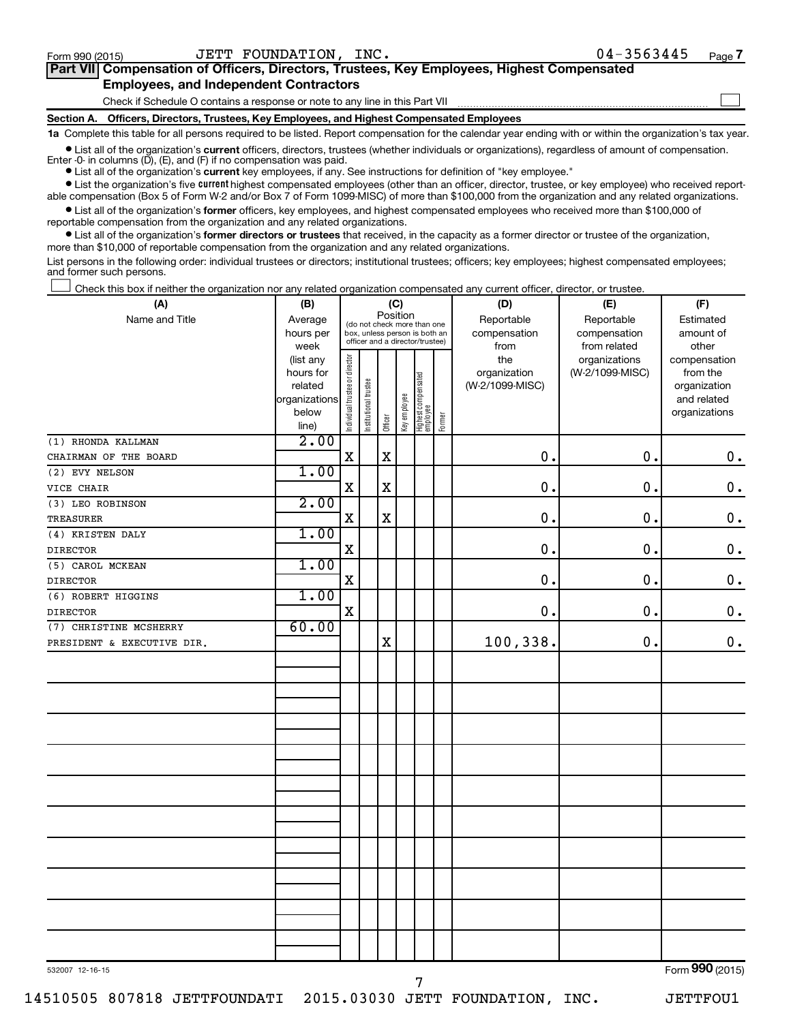$\Box$ 

| Part VII Compensation of Officers, Directors, Trustees, Key Employees, Highest Compensated |  |
|--------------------------------------------------------------------------------------------|--|
| <b>Employees, and Independent Contractors</b>                                              |  |

Check if Schedule O contains a response or note to any line in this Part VII

**Section A. Officers, Directors, Trustees, Key Employees, and Highest Compensated Employees**

**1a**  Complete this table for all persons required to be listed. Report compensation for the calendar year ending with or within the organization's tax year.

**•** List all of the organization's current officers, directors, trustees (whether individuals or organizations), regardless of amount of compensation. Enter -0- in columns  $(D)$ ,  $(E)$ , and  $(F)$  if no compensation was paid.

**•** List all of the organization's **current** key employees, if any. See instructions for definition of "key employee."

**•** List the organization's five current highest compensated employees (other than an officer, director, trustee, or key employee) who received reportable compensation (Box 5 of Form W-2 and/or Box 7 of Form 1099-MISC) of more than \$100,000 from the organization and any related organizations.

**•** List all of the organization's former officers, key employees, and highest compensated employees who received more than \$100,000 of reportable compensation from the organization and any related organizations.

**•** List all of the organization's former directors or trustees that received, in the capacity as a former director or trustee of the organization, more than \$10,000 of reportable compensation from the organization and any related organizations.

List persons in the following order: individual trustees or directors; institutional trustees; officers; key employees; highest compensated employees; and former such persons.

Check this box if neither the organization nor any related organization compensated any current officer, director, or trustee.  $\Box$ 

| (A)                        | (B)            | (C)                                     |                                                                  |             |              |                                   |        | (D)             | (E)             | (F)             |  |
|----------------------------|----------------|-----------------------------------------|------------------------------------------------------------------|-------------|--------------|-----------------------------------|--------|-----------------|-----------------|-----------------|--|
| Name and Title             | Average        | Position<br>(do not check more than one |                                                                  |             |              |                                   |        | Reportable      | Reportable      | Estimated       |  |
|                            | hours per      |                                         | box, unless person is both an<br>officer and a director/trustee) |             |              |                                   |        | compensation    | compensation    | amount of       |  |
|                            | week           |                                         |                                                                  |             |              |                                   |        | from            | from related    | other           |  |
|                            | (list any      |                                         |                                                                  |             |              |                                   |        | the             | organizations   | compensation    |  |
|                            | hours for      |                                         |                                                                  |             |              |                                   |        | organization    | (W-2/1099-MISC) | from the        |  |
|                            | related        |                                         |                                                                  |             |              |                                   |        | (W-2/1099-MISC) |                 | organization    |  |
|                            | organizations  |                                         |                                                                  |             |              |                                   |        |                 |                 | and related     |  |
|                            | below<br>line) | Individual trustee or director          | Institutional trustee                                            | Officer     | Key employee | Highest compensated<br>  employee | Former |                 |                 | organizations   |  |
| (1) RHONDA KALLMAN         | 2.00           |                                         |                                                                  |             |              |                                   |        |                 |                 |                 |  |
| CHAIRMAN OF THE BOARD      |                | $\mathbf X$                             |                                                                  | $\mathbf X$ |              |                                   |        | $\mathbf 0$ .   | 0.              | $0$ .           |  |
| (2) EVY NELSON             | 1.00           |                                         |                                                                  |             |              |                                   |        |                 |                 |                 |  |
| VICE CHAIR                 |                | $\mathbf X$                             |                                                                  | $\rm X$     |              |                                   |        | $\mathbf 0$ .   | $\mathbf 0$ .   | $\mathbf 0$ .   |  |
| (3) LEO ROBINSON           | 2.00           |                                         |                                                                  |             |              |                                   |        |                 |                 |                 |  |
|                            |                | $\mathbf X$                             |                                                                  | $\mathbf X$ |              |                                   |        | $\mathbf 0$ .   | $\mathbf 0$ .   | $\mathbf 0$ .   |  |
| TREASURER                  | 1.00           |                                         |                                                                  |             |              |                                   |        |                 |                 |                 |  |
| (4) KRISTEN DALY           |                | X                                       |                                                                  |             |              |                                   |        | $\mathbf 0$ .   | $\mathbf 0$ .   | $\mathbf 0$ .   |  |
| <b>DIRECTOR</b>            | 1.00           |                                         |                                                                  |             |              |                                   |        |                 |                 |                 |  |
| (5) CAROL MCKEAN           |                | $\mathbf X$                             |                                                                  |             |              |                                   |        | $\mathbf 0$ .   | $\mathbf 0$ .   | $\mathbf 0$ .   |  |
| <b>DIRECTOR</b>            | 1.00           |                                         |                                                                  |             |              |                                   |        |                 |                 |                 |  |
| (6) ROBERT HIGGINS         |                | $\mathbf X$                             |                                                                  |             |              |                                   |        | $\mathbf 0$ .   | $\mathbf 0$ .   | $\mathbf 0$ .   |  |
| <b>DIRECTOR</b>            | 60.00          |                                         |                                                                  |             |              |                                   |        |                 |                 |                 |  |
| (7) CHRISTINE MCSHERRY     |                |                                         |                                                                  | $\mathbf X$ |              |                                   |        | 100,338.        | $\mathbf 0$ .   | 0.              |  |
| PRESIDENT & EXECUTIVE DIR. |                |                                         |                                                                  |             |              |                                   |        |                 |                 |                 |  |
|                            |                |                                         |                                                                  |             |              |                                   |        |                 |                 |                 |  |
|                            |                |                                         |                                                                  |             |              |                                   |        |                 |                 |                 |  |
|                            |                |                                         |                                                                  |             |              |                                   |        |                 |                 |                 |  |
|                            |                |                                         |                                                                  |             |              |                                   |        |                 |                 |                 |  |
|                            |                |                                         |                                                                  |             |              |                                   |        |                 |                 |                 |  |
|                            |                |                                         |                                                                  |             |              |                                   |        |                 |                 |                 |  |
|                            |                |                                         |                                                                  |             |              |                                   |        |                 |                 |                 |  |
|                            |                |                                         |                                                                  |             |              |                                   |        |                 |                 |                 |  |
|                            |                |                                         |                                                                  |             |              |                                   |        |                 |                 |                 |  |
|                            |                |                                         |                                                                  |             |              |                                   |        |                 |                 |                 |  |
|                            |                |                                         |                                                                  |             |              |                                   |        |                 |                 |                 |  |
|                            |                |                                         |                                                                  |             |              |                                   |        |                 |                 |                 |  |
|                            |                |                                         |                                                                  |             |              |                                   |        |                 |                 |                 |  |
|                            |                |                                         |                                                                  |             |              |                                   |        |                 |                 |                 |  |
|                            |                |                                         |                                                                  |             |              |                                   |        |                 |                 |                 |  |
|                            |                |                                         |                                                                  |             |              |                                   |        |                 |                 |                 |  |
|                            |                |                                         |                                                                  |             |              |                                   |        |                 |                 |                 |  |
|                            |                |                                         |                                                                  |             |              |                                   |        |                 |                 |                 |  |
|                            |                |                                         |                                                                  |             |              |                                   |        |                 |                 |                 |  |
| 532007 12-16-15            |                |                                         |                                                                  |             |              |                                   |        |                 |                 | Form 990 (2015) |  |
|                            |                |                                         |                                                                  |             |              |                                   |        |                 |                 |                 |  |

7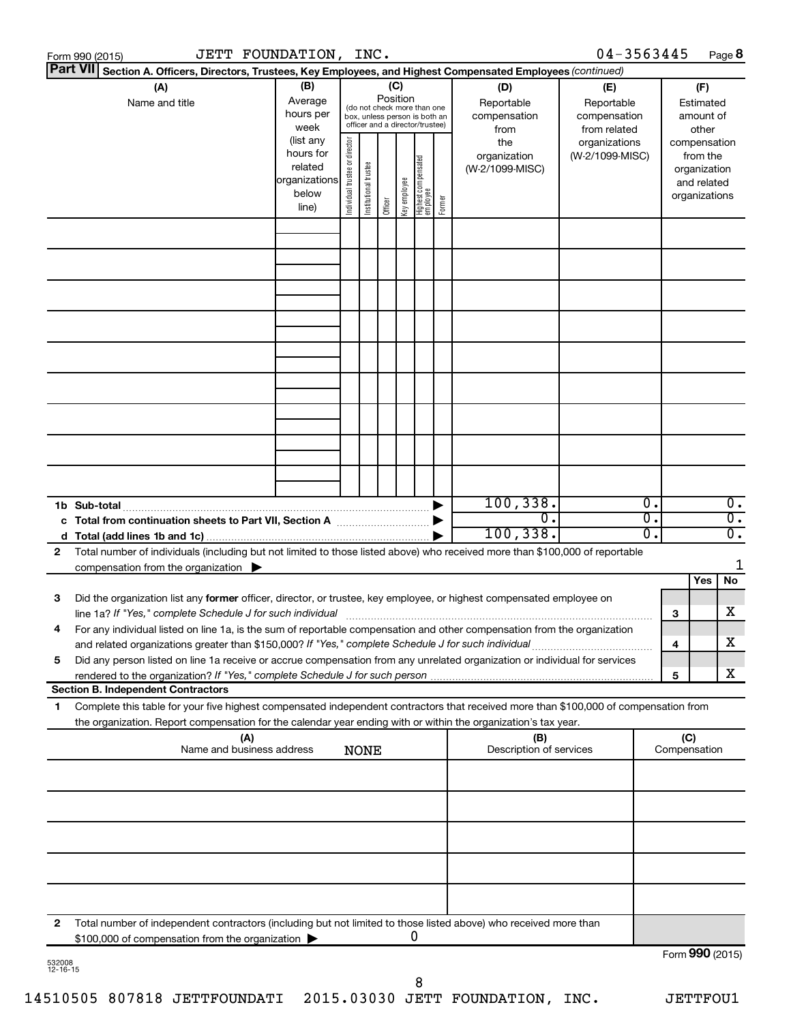|                 | JETT FOUNDATION, INC.<br>Form 990 (2015)                                                                                                                                                                                                               |                                                                      |                                |                       |         |                                                   |                                   |        |                                            | $04 - 3563445$                   |                |   |                                                                          | Page 8                                                   |
|-----------------|--------------------------------------------------------------------------------------------------------------------------------------------------------------------------------------------------------------------------------------------------------|----------------------------------------------------------------------|--------------------------------|-----------------------|---------|---------------------------------------------------|-----------------------------------|--------|--------------------------------------------|----------------------------------|----------------|---|--------------------------------------------------------------------------|----------------------------------------------------------|
| <b>Part VII</b> | Section A. Officers, Directors, Trustees, Key Employees, and Highest Compensated Employees (continued)                                                                                                                                                 |                                                                      |                                |                       |         |                                                   |                                   |        |                                            |                                  |                |   |                                                                          |                                                          |
|                 | (B)<br>(A)<br>(C)<br>(D)<br>Position<br>Average<br>Name and title<br>Reportable<br>(do not check more than one<br>hours per<br>compensation<br>box, unless person is both an<br>officer and a director/trustee)<br>week<br>from                        |                                                                      |                                |                       |         | (E)<br>Reportable<br>compensation<br>from related |                                   |        | (F)<br>Estimated<br>amount of<br>other     |                                  |                |   |                                                                          |                                                          |
|                 |                                                                                                                                                                                                                                                        | (list any<br>hours for<br>related<br>organizations<br>below<br>line) | Individual trustee or director | Institutional trustee | Officer | Key employee                                      | Highest compensated<br>  employee | Former | the<br>organization<br>(W-2/1099-MISC)     | organizations<br>(W-2/1099-MISC) |                |   | compensation<br>from the<br>organization<br>and related<br>organizations |                                                          |
|                 |                                                                                                                                                                                                                                                        |                                                                      |                                |                       |         |                                                   |                                   |        |                                            |                                  |                |   |                                                                          |                                                          |
|                 |                                                                                                                                                                                                                                                        |                                                                      |                                |                       |         |                                                   |                                   |        |                                            |                                  |                |   |                                                                          |                                                          |
|                 |                                                                                                                                                                                                                                                        |                                                                      |                                |                       |         |                                                   |                                   |        |                                            |                                  |                |   |                                                                          |                                                          |
|                 |                                                                                                                                                                                                                                                        |                                                                      |                                |                       |         |                                                   |                                   |        |                                            |                                  |                |   |                                                                          |                                                          |
|                 |                                                                                                                                                                                                                                                        |                                                                      |                                |                       |         |                                                   |                                   |        |                                            |                                  |                |   |                                                                          |                                                          |
|                 |                                                                                                                                                                                                                                                        |                                                                      |                                |                       |         |                                                   |                                   |        |                                            |                                  |                |   |                                                                          |                                                          |
|                 |                                                                                                                                                                                                                                                        |                                                                      |                                |                       |         |                                                   |                                   |        |                                            |                                  |                |   |                                                                          |                                                          |
|                 | 1b Sub-total<br>c Total from continuation sheets to Part VII, Section A manufactured by                                                                                                                                                                |                                                                      |                                |                       |         |                                                   |                                   |        | 100, 338.<br>$\overline{0}$ .<br>100, 338. |                                  | 0.<br>σ.<br>о. |   |                                                                          | $\overline{0}$ .<br>$\overline{0}$ .<br>$\overline{0}$ . |
| 2               | Total number of individuals (including but not limited to those listed above) who received more than \$100,000 of reportable<br>compensation from the organization $\blacktriangleright$                                                               |                                                                      |                                |                       |         |                                                   |                                   |        |                                            |                                  |                |   |                                                                          | 1                                                        |
| 3               | Did the organization list any former officer, director, or trustee, key employee, or highest compensated employee on<br>line 1a? If "Yes," complete Schedule J for such individual manufactured content to the set of the set of the s                 |                                                                      |                                |                       |         |                                                   |                                   |        |                                            |                                  |                | 3 | Yes                                                                      | No<br>х                                                  |
|                 | For any individual listed on line 1a, is the sum of reportable compensation and other compensation from the organization<br>and related organizations greater than \$150,000? If "Yes," complete Schedule J for such individual                        |                                                                      |                                |                       |         |                                                   |                                   |        |                                            |                                  |                | 4 |                                                                          | х                                                        |
| 5               | Did any person listed on line 1a receive or accrue compensation from any unrelated organization or individual for services<br><b>Section B. Independent Contractors</b>                                                                                |                                                                      |                                |                       |         |                                                   |                                   |        |                                            |                                  |                | 5 |                                                                          | х                                                        |
| 1.              | Complete this table for your five highest compensated independent contractors that received more than \$100,000 of compensation from<br>the organization. Report compensation for the calendar year ending with or within the organization's tax year. |                                                                      |                                |                       |         |                                                   |                                   |        |                                            |                                  |                |   |                                                                          |                                                          |
|                 | (A)<br>(B)<br>Name and business address<br>Description of services<br><b>NONE</b>                                                                                                                                                                      |                                                                      |                                |                       |         |                                                   |                                   |        | (C)<br>Compensation                        |                                  |                |   |                                                                          |                                                          |
|                 |                                                                                                                                                                                                                                                        |                                                                      |                                |                       |         |                                                   |                                   |        |                                            |                                  |                |   |                                                                          |                                                          |
|                 |                                                                                                                                                                                                                                                        |                                                                      |                                |                       |         |                                                   |                                   |        |                                            |                                  |                |   |                                                                          |                                                          |
|                 |                                                                                                                                                                                                                                                        |                                                                      |                                |                       |         |                                                   |                                   |        |                                            |                                  |                |   |                                                                          |                                                          |
| 2               | Total number of independent contractors (including but not limited to those listed above) who received more than                                                                                                                                       |                                                                      |                                |                       |         |                                                   |                                   |        |                                            |                                  |                |   |                                                                          |                                                          |
| 532008          | \$100,000 of compensation from the organization                                                                                                                                                                                                        |                                                                      |                                |                       |         |                                                   | 0                                 |        |                                            |                                  |                |   | Form 990 (2015)                                                          |                                                          |

532008 12-16-15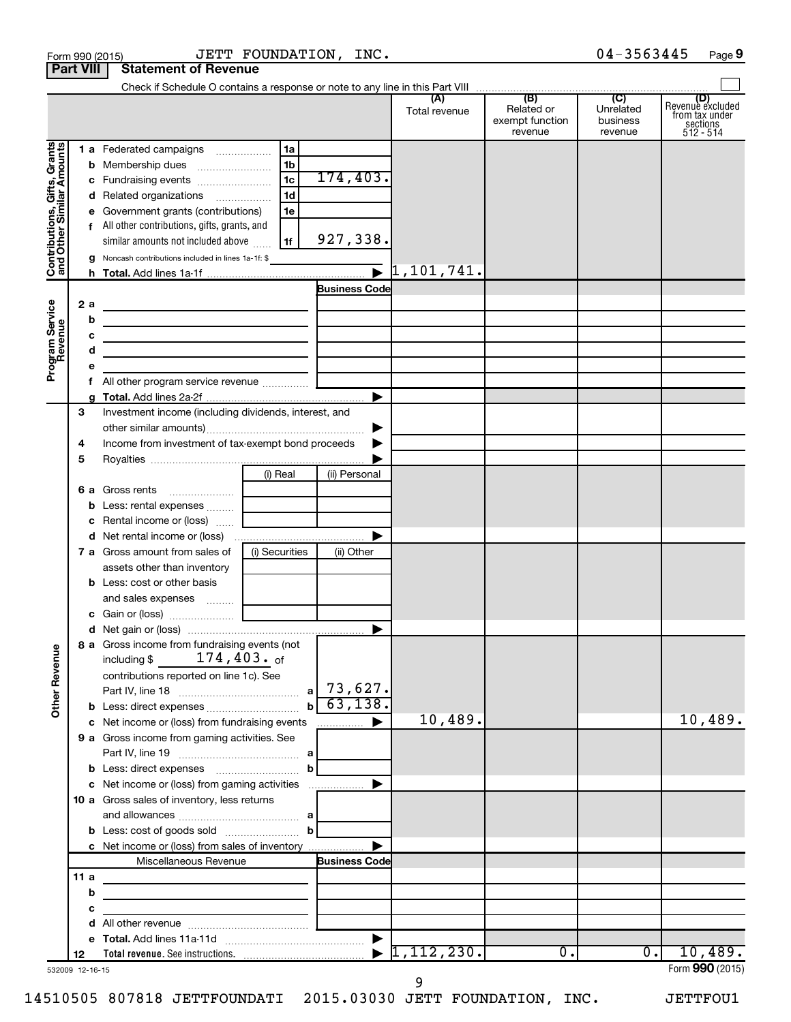|                                                           | <b>Part VIII</b> | <b>Statement of Revenue</b>                                                                                           |                |                         |                             |                                          |                                         |                                                                    |
|-----------------------------------------------------------|------------------|-----------------------------------------------------------------------------------------------------------------------|----------------|-------------------------|-----------------------------|------------------------------------------|-----------------------------------------|--------------------------------------------------------------------|
|                                                           |                  |                                                                                                                       |                |                         |                             | (B)                                      |                                         |                                                                    |
|                                                           |                  |                                                                                                                       |                |                         | (A)<br>Total revenue        | Related or<br>exempt function<br>revenue | (C)<br>Unrelated<br>business<br>revenue | (D)<br>Revenue excluded<br>trom tax under<br>sections<br>512 - 514 |
|                                                           |                  | 1 a Federated campaigns                                                                                               | 1a             |                         |                             |                                          |                                         |                                                                    |
| Grants                                                    |                  |                                                                                                                       | 1b             |                         |                             |                                          |                                         |                                                                    |
|                                                           |                  |                                                                                                                       | 1 <sub>c</sub> | 174, 403.               |                             |                                          |                                         |                                                                    |
|                                                           |                  | d Related organizations                                                                                               | 1 <sub>d</sub> |                         |                             |                                          |                                         |                                                                    |
|                                                           |                  | e Government grants (contributions)                                                                                   | 1e             |                         |                             |                                          |                                         |                                                                    |
|                                                           |                  | f All other contributions, gifts, grants, and                                                                         |                |                         |                             |                                          |                                         |                                                                    |
|                                                           |                  | similar amounts not included above                                                                                    | 1f             | 927,338.                |                             |                                          |                                         |                                                                    |
| Contributions, Gifts, Grants<br>and Other Similar Amounts |                  | g Noncash contributions included in lines 1a-1f: \$                                                                   |                |                         |                             |                                          |                                         |                                                                    |
|                                                           |                  |                                                                                                                       |                |                         | $\triangleright$ 1,101,741. |                                          |                                         |                                                                    |
|                                                           |                  |                                                                                                                       |                | <b>Business Code</b>    |                             |                                          |                                         |                                                                    |
|                                                           | 2a               | <u> 1980 - Johann Barbara, martin amerikan basar dan basar dan basar dalam basar dalam basar dalam basar dalam ba</u> |                |                         |                             |                                          |                                         |                                                                    |
|                                                           | b                | the control of the control of the control of the control of the control of                                            |                |                         |                             |                                          |                                         |                                                                    |
|                                                           | с<br>d           | the control of the control of the control of the control of the control of                                            |                |                         |                             |                                          |                                         |                                                                    |
| Program Service<br>Revenue                                | е                | the control of the control of the control of the control of the control of                                            |                |                         |                             |                                          |                                         |                                                                    |
|                                                           | f.               | All other program service revenue  [                                                                                  |                |                         |                             |                                          |                                         |                                                                    |
|                                                           |                  |                                                                                                                       |                | ▶                       |                             |                                          |                                         |                                                                    |
|                                                           | 3                | Investment income (including dividends, interest, and                                                                 |                |                         |                             |                                          |                                         |                                                                    |
|                                                           |                  |                                                                                                                       |                | ▶                       |                             |                                          |                                         |                                                                    |
|                                                           | 4                | Income from investment of tax-exempt bond proceeds                                                                    |                |                         |                             |                                          |                                         |                                                                    |
|                                                           | 5                |                                                                                                                       |                |                         |                             |                                          |                                         |                                                                    |
|                                                           |                  |                                                                                                                       | (i) Real       | (ii) Personal           |                             |                                          |                                         |                                                                    |
|                                                           |                  | 6 a Gross rents                                                                                                       |                |                         |                             |                                          |                                         |                                                                    |
|                                                           |                  |                                                                                                                       |                |                         |                             |                                          |                                         |                                                                    |
|                                                           |                  |                                                                                                                       |                | ▶                       |                             |                                          |                                         |                                                                    |
|                                                           |                  | <b>7 a</b> Gross amount from sales of                                                                                 | (i) Securities | (ii) Other              |                             |                                          |                                         |                                                                    |
|                                                           |                  | assets other than inventory                                                                                           |                |                         |                             |                                          |                                         |                                                                    |
|                                                           |                  | <b>b</b> Less: cost or other basis                                                                                    |                |                         |                             |                                          |                                         |                                                                    |
|                                                           |                  | and sales expenses                                                                                                    |                |                         |                             |                                          |                                         |                                                                    |
|                                                           |                  |                                                                                                                       |                |                         |                             |                                          |                                         |                                                                    |
|                                                           |                  |                                                                                                                       |                |                         |                             |                                          |                                         |                                                                    |
| <b>Other Revenue</b>                                      |                  | 8 a Gross income from fundraising events (not<br>including $$174,403.$ of                                             |                |                         |                             |                                          |                                         |                                                                    |
|                                                           |                  | contributions reported on line 1c). See                                                                               |                |                         |                             |                                          |                                         |                                                                    |
|                                                           |                  |                                                                                                                       |                |                         |                             |                                          |                                         |                                                                    |
|                                                           |                  |                                                                                                                       |                | 63,138.<br>$\mathbf{b}$ |                             |                                          |                                         |                                                                    |
|                                                           |                  | c Net income or (loss) from fundraising events                                                                        |                | ▶<br>.                  | 10,489.                     |                                          |                                         | 10,489.                                                            |
|                                                           |                  | 9 a Gross income from gaming activities. See                                                                          |                |                         |                             |                                          |                                         |                                                                    |
|                                                           |                  |                                                                                                                       |                |                         |                             |                                          |                                         |                                                                    |
|                                                           |                  |                                                                                                                       | $\mathbf{b}$   | ▶                       |                             |                                          |                                         |                                                                    |
|                                                           |                  | c Net income or (loss) from gaming activities<br>10 a Gross sales of inventory, less returns                          |                |                         |                             |                                          |                                         |                                                                    |
|                                                           |                  |                                                                                                                       |                |                         |                             |                                          |                                         |                                                                    |
|                                                           |                  |                                                                                                                       |                | $\mathbf{b}$            |                             |                                          |                                         |                                                                    |
|                                                           |                  | c Net income or (loss) from sales of inventory                                                                        |                |                         |                             |                                          |                                         |                                                                    |
|                                                           |                  | Miscellaneous Revenue                                                                                                 |                | <b>Business Code</b>    |                             |                                          |                                         |                                                                    |
|                                                           | 11 a             |                                                                                                                       |                |                         |                             |                                          |                                         |                                                                    |
|                                                           | b                | the control of the control of the control of the control of the control of                                            |                |                         |                             |                                          |                                         |                                                                    |
|                                                           | с                | the control of the control of the control of the control of                                                           |                |                         |                             |                                          |                                         |                                                                    |
|                                                           | d                |                                                                                                                       |                |                         |                             |                                          |                                         |                                                                    |
|                                                           |                  |                                                                                                                       |                |                         |                             |                                          |                                         |                                                                    |
|                                                           | 12               |                                                                                                                       |                |                         | 1, 112, 230.                | $\overline{0}$ .                         | $\overline{0}$ .                        | 10,489.                                                            |
|                                                           | 532009 12-16-15  |                                                                                                                       |                |                         |                             |                                          |                                         | Form 990 (2015)                                                    |

Form 990 (2015)  $JETT$   $FOUNDATION$ ,  $INC.$   $04-3563445$   $Page$ 

04-3563445 Page 9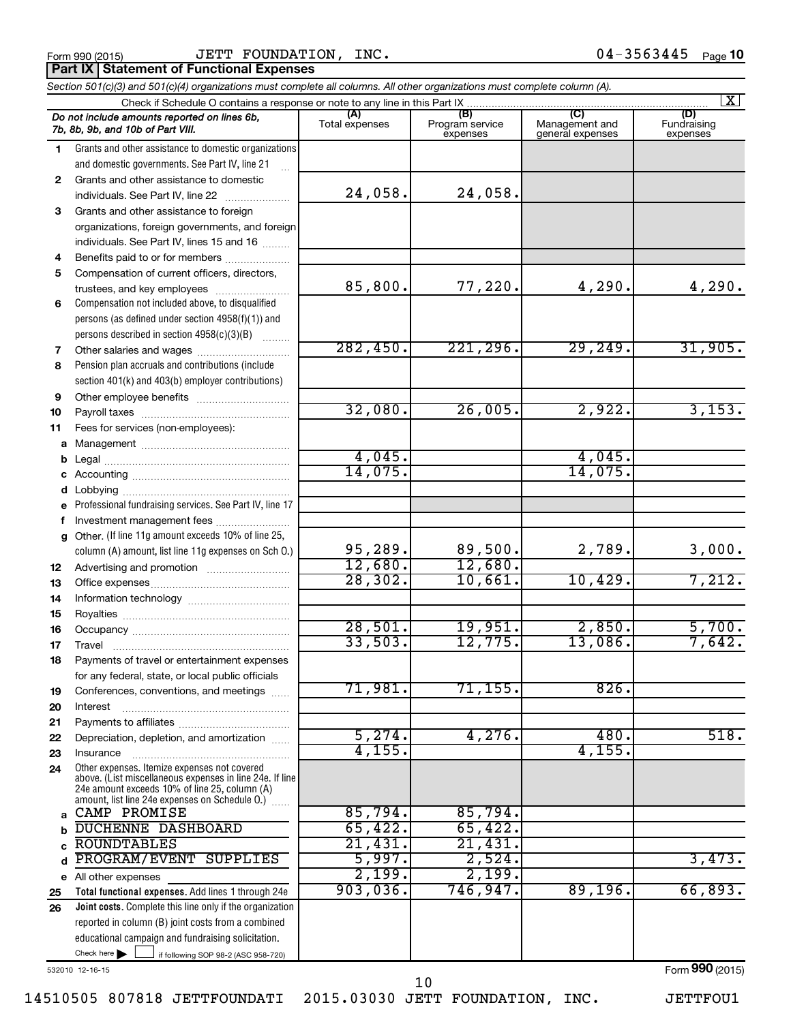Form 990 (2015) Page JETT FOUNDATION, INC. 04-3563445 **Part IX Statement of Functional Expenses**

|                                                                                                 | Section 501(c)(3) and 501(c)(4) organizations must complete all columns. All other organizations must complete column (A).                                                                                  |                       |                                    |                                           |                                |  |  |  |  |
|-------------------------------------------------------------------------------------------------|-------------------------------------------------------------------------------------------------------------------------------------------------------------------------------------------------------------|-----------------------|------------------------------------|-------------------------------------------|--------------------------------|--|--|--|--|
| $\vert x \vert$<br>Check if Schedule O contains a response or note to any line in this Part IX. |                                                                                                                                                                                                             |                       |                                    |                                           |                                |  |  |  |  |
|                                                                                                 | Do not include amounts reported on lines 6b,<br>7b, 8b, 9b, and 10b of Part VIII.                                                                                                                           | (A)<br>Total expenses | (B)<br>Program service<br>expenses | (C)<br>Management and<br>general expenses | (D)<br>Fundraising<br>expenses |  |  |  |  |
| 1                                                                                               | Grants and other assistance to domestic organizations                                                                                                                                                       |                       |                                    |                                           |                                |  |  |  |  |
|                                                                                                 | and domestic governments. See Part IV, line 21                                                                                                                                                              |                       |                                    |                                           |                                |  |  |  |  |
| 2                                                                                               | Grants and other assistance to domestic                                                                                                                                                                     |                       |                                    |                                           |                                |  |  |  |  |
|                                                                                                 | individuals. See Part IV, line 22                                                                                                                                                                           | 24,058.               | 24,058.                            |                                           |                                |  |  |  |  |
| 3                                                                                               | Grants and other assistance to foreign                                                                                                                                                                      |                       |                                    |                                           |                                |  |  |  |  |
|                                                                                                 | organizations, foreign governments, and foreign                                                                                                                                                             |                       |                                    |                                           |                                |  |  |  |  |
|                                                                                                 | individuals. See Part IV, lines 15 and 16                                                                                                                                                                   |                       |                                    |                                           |                                |  |  |  |  |
| 4                                                                                               | Benefits paid to or for members                                                                                                                                                                             |                       |                                    |                                           |                                |  |  |  |  |
| 5                                                                                               | Compensation of current officers, directors,                                                                                                                                                                |                       |                                    |                                           |                                |  |  |  |  |
|                                                                                                 | trustees, and key employees                                                                                                                                                                                 | 85,800.               | 77,220.                            | 4,290.                                    | 4,290.                         |  |  |  |  |
| 6                                                                                               | Compensation not included above, to disqualified                                                                                                                                                            |                       |                                    |                                           |                                |  |  |  |  |
|                                                                                                 | persons (as defined under section 4958(f)(1)) and                                                                                                                                                           |                       |                                    |                                           |                                |  |  |  |  |
|                                                                                                 | persons described in section 4958(c)(3)(B)                                                                                                                                                                  |                       |                                    |                                           |                                |  |  |  |  |
| 7                                                                                               |                                                                                                                                                                                                             | 282,450.              | 221, 296.                          | 29, 249.                                  | 31,905.                        |  |  |  |  |
| 8                                                                                               | Pension plan accruals and contributions (include                                                                                                                                                            |                       |                                    |                                           |                                |  |  |  |  |
|                                                                                                 | section 401(k) and 403(b) employer contributions)                                                                                                                                                           |                       |                                    |                                           |                                |  |  |  |  |
| 9                                                                                               | Other employee benefits                                                                                                                                                                                     |                       |                                    |                                           |                                |  |  |  |  |
| 10                                                                                              |                                                                                                                                                                                                             | 32,080.               | 26,005.                            | 2,922.                                    | 3,153.                         |  |  |  |  |
| 11                                                                                              | Fees for services (non-employees):                                                                                                                                                                          |                       |                                    |                                           |                                |  |  |  |  |
| а                                                                                               |                                                                                                                                                                                                             | 4,045.                |                                    |                                           |                                |  |  |  |  |
| b                                                                                               |                                                                                                                                                                                                             | 14,075.               |                                    | 4,045.<br>14,075.                         |                                |  |  |  |  |
| С                                                                                               |                                                                                                                                                                                                             |                       |                                    |                                           |                                |  |  |  |  |
| d                                                                                               |                                                                                                                                                                                                             |                       |                                    |                                           |                                |  |  |  |  |
| е                                                                                               | Professional fundraising services. See Part IV, line 17                                                                                                                                                     |                       |                                    |                                           |                                |  |  |  |  |
| f                                                                                               | Investment management fees<br>Other. (If line 11g amount exceeds 10% of line 25,                                                                                                                            |                       |                                    |                                           |                                |  |  |  |  |
| g                                                                                               | column (A) amount, list line 11g expenses on Sch O.)                                                                                                                                                        | 95,289.               | 89,500.                            | 2,789.                                    | 3,000.                         |  |  |  |  |
| 12                                                                                              |                                                                                                                                                                                                             | 12,680.               | 12,680.                            |                                           |                                |  |  |  |  |
| 13                                                                                              |                                                                                                                                                                                                             | 28, 302.              | 10,661.                            | 10,429.                                   | 7,212.                         |  |  |  |  |
| 14                                                                                              |                                                                                                                                                                                                             |                       |                                    |                                           |                                |  |  |  |  |
| 15                                                                                              |                                                                                                                                                                                                             |                       |                                    |                                           |                                |  |  |  |  |
| 16                                                                                              |                                                                                                                                                                                                             | 28,501.               | 19,951.                            | 2,850.                                    | 5,700.                         |  |  |  |  |
| 17                                                                                              |                                                                                                                                                                                                             | 33,503.               | 12,775.                            | 13,086.                                   | 7,642.                         |  |  |  |  |
| 18                                                                                              | Payments of travel or entertainment expenses                                                                                                                                                                |                       |                                    |                                           |                                |  |  |  |  |
|                                                                                                 | for any federal, state, or local public officials                                                                                                                                                           |                       |                                    |                                           |                                |  |  |  |  |
| 19                                                                                              | Conferences, conventions, and meetings                                                                                                                                                                      | 71,981.               | 71, 155.                           | 826.                                      |                                |  |  |  |  |
| 20                                                                                              | Interest                                                                                                                                                                                                    |                       |                                    |                                           |                                |  |  |  |  |
| 21                                                                                              |                                                                                                                                                                                                             |                       |                                    |                                           |                                |  |  |  |  |
| 22                                                                                              | Depreciation, depletion, and amortization                                                                                                                                                                   | 5,274.                | 4,276.                             | 480.                                      | 518.                           |  |  |  |  |
| 23                                                                                              | Insurance                                                                                                                                                                                                   | 4, 155.               |                                    | 4,155                                     |                                |  |  |  |  |
| 24                                                                                              | Other expenses. Itemize expenses not covered<br>above. (List miscellaneous expenses in line 24e. If line<br>24e amount exceeds 10% of line 25, column (A)<br>amount, list line 24e expenses on Schedule O.) |                       |                                    |                                           |                                |  |  |  |  |
| a                                                                                               | CAMP PROMISE                                                                                                                                                                                                | 85,794.               | 85,794.                            |                                           |                                |  |  |  |  |
| b                                                                                               | <b>DUCHENNE DASHBOARD</b>                                                                                                                                                                                   | 65,422.               | 65,422.                            |                                           |                                |  |  |  |  |
| C                                                                                               | <b>ROUNDTABLES</b>                                                                                                                                                                                          | 21,431.               | 21,431.                            |                                           |                                |  |  |  |  |
| d                                                                                               | PROGRAM/EVENT SUPPLIES                                                                                                                                                                                      | 5,997.                | 2,524.                             |                                           | 3,473.                         |  |  |  |  |
|                                                                                                 | e All other expenses                                                                                                                                                                                        | 2,199.                | 2,199.                             |                                           |                                |  |  |  |  |
| 25                                                                                              | Total functional expenses. Add lines 1 through 24e                                                                                                                                                          | 903,036.              | 746,947.                           | 89,196.                                   | 66,893.                        |  |  |  |  |
| 26                                                                                              | Joint costs. Complete this line only if the organization                                                                                                                                                    |                       |                                    |                                           |                                |  |  |  |  |
|                                                                                                 | reported in column (B) joint costs from a combined                                                                                                                                                          |                       |                                    |                                           |                                |  |  |  |  |
|                                                                                                 | educational campaign and fundraising solicitation.                                                                                                                                                          |                       |                                    |                                           |                                |  |  |  |  |
|                                                                                                 | Check here $\blacktriangleright$<br>if following SOP 98-2 (ASC 958-720)                                                                                                                                     |                       |                                    |                                           |                                |  |  |  |  |

532010 12-16-15

Form (2015) **990**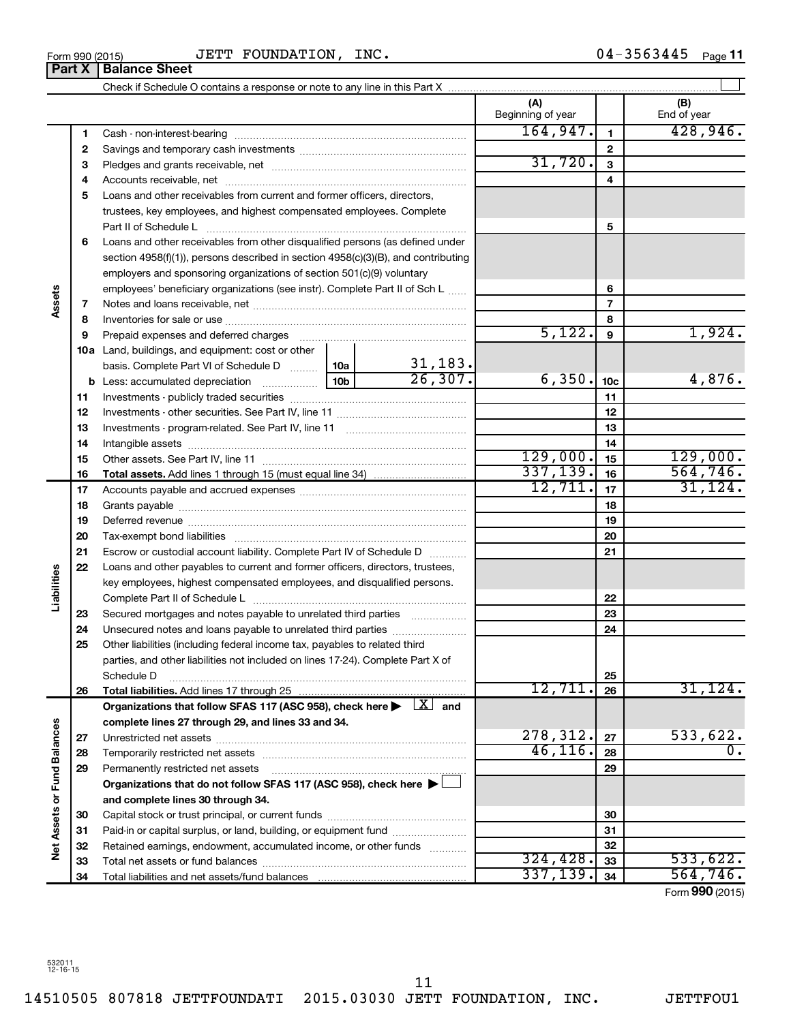| <b>'OUNDATION,</b> | INC. |
|--------------------|------|
|                    |      |

**Part X** | Balance Sheet

|                             |          |                                                                                                                                                                                                                                |                 |                          | (A)<br>Beginning of year |                 | (B)<br>End of year |
|-----------------------------|----------|--------------------------------------------------------------------------------------------------------------------------------------------------------------------------------------------------------------------------------|-----------------|--------------------------|--------------------------|-----------------|--------------------|
|                             | 1        |                                                                                                                                                                                                                                |                 |                          | 164,947.                 | $\mathbf{1}$    | 428,946.           |
|                             | 2        |                                                                                                                                                                                                                                |                 | $\mathbf{2}$             |                          |                 |                    |
|                             | 3        |                                                                                                                                                                                                                                | 31,720.         | 3                        |                          |                 |                    |
|                             | 4        |                                                                                                                                                                                                                                |                 |                          | 4                        |                 |                    |
|                             | 5        | Loans and other receivables from current and former officers, directors,                                                                                                                                                       |                 |                          |                          |                 |                    |
|                             |          | trustees, key employees, and highest compensated employees. Complete                                                                                                                                                           |                 |                          |                          |                 |                    |
|                             |          |                                                                                                                                                                                                                                |                 |                          |                          | 5               |                    |
|                             | 6        | Loans and other receivables from other disqualified persons (as defined under                                                                                                                                                  |                 |                          |                          |                 |                    |
|                             |          | section $4958(f)(1)$ , persons described in section $4958(c)(3)(B)$ , and contributing                                                                                                                                         |                 |                          |                          |                 |                    |
|                             |          | employers and sponsoring organizations of section 501(c)(9) voluntary                                                                                                                                                          |                 |                          |                          |                 |                    |
|                             |          | employees' beneficiary organizations (see instr). Complete Part II of Sch L                                                                                                                                                    |                 |                          |                          | 6               |                    |
| Assets                      | 7        |                                                                                                                                                                                                                                |                 |                          |                          | $\overline{7}$  |                    |
|                             | 8        |                                                                                                                                                                                                                                |                 |                          |                          | 8               |                    |
|                             | 9        | Prepaid expenses and deferred charges [11] [11] Prepaid expenses and deferred charges [11] [11] All and the summary series are presented as a series and the series and the series and series are series and series are series |                 |                          | 5,122.                   | 9               | 1,924.             |
|                             |          | <b>10a</b> Land, buildings, and equipment: cost or other                                                                                                                                                                       |                 |                          |                          |                 |                    |
|                             |          | basis. Complete Part VI of Schedule D  10a                                                                                                                                                                                     |                 | $\frac{31,183}{26,307}.$ |                          |                 |                    |
|                             |          |                                                                                                                                                                                                                                | 10 <sub>b</sub> |                          | 6,350.                   | 10 <sub>c</sub> | 4,876.             |
|                             | 11       |                                                                                                                                                                                                                                |                 | 11                       |                          |                 |                    |
|                             | 12       |                                                                                                                                                                                                                                |                 | 12                       |                          |                 |                    |
|                             | 13       |                                                                                                                                                                                                                                |                 | 13                       |                          |                 |                    |
|                             | 14       |                                                                                                                                                                                                                                |                 | 14                       |                          |                 |                    |
|                             | 15       |                                                                                                                                                                                                                                |                 |                          | 129,000.                 | 15              | 129,000.           |
|                             | 16       | <b>Total assets.</b> Add lines 1 through 15 (must equal line 34) <i></i>                                                                                                                                                       |                 |                          | 337, 139.                | 16              | 564, 746.          |
|                             | 17       |                                                                                                                                                                                                                                | 12,711.         | 17                       | 31, 124.                 |                 |                    |
|                             | 18       |                                                                                                                                                                                                                                |                 | 18                       |                          |                 |                    |
|                             | 19       |                                                                                                                                                                                                                                |                 |                          |                          | 19              |                    |
|                             | 20       |                                                                                                                                                                                                                                |                 |                          |                          | 20              |                    |
|                             | 21       | Escrow or custodial account liability. Complete Part IV of Schedule D                                                                                                                                                          |                 |                          |                          | 21              |                    |
|                             | 22       | Loans and other payables to current and former officers, directors, trustees,                                                                                                                                                  |                 |                          |                          |                 |                    |
| Liabilities                 |          | key employees, highest compensated employees, and disqualified persons.                                                                                                                                                        |                 |                          |                          |                 |                    |
|                             |          |                                                                                                                                                                                                                                |                 |                          |                          | 22              |                    |
|                             | 23       | Secured mortgages and notes payable to unrelated third parties                                                                                                                                                                 |                 |                          |                          | 23              |                    |
|                             | 24       | Unsecured notes and loans payable to unrelated third parties                                                                                                                                                                   |                 |                          |                          | 24              |                    |
|                             | 25       | Other liabilities (including federal income tax, payables to related third                                                                                                                                                     |                 |                          |                          |                 |                    |
|                             |          | parties, and other liabilities not included on lines 17-24). Complete Part X of                                                                                                                                                |                 |                          |                          |                 |                    |
|                             |          | Schedule D                                                                                                                                                                                                                     |                 |                          | 12,711.                  | 25              | 31,124.            |
|                             | 26       | Total liabilities. Add lines 17 through 25                                                                                                                                                                                     |                 |                          |                          | 26              |                    |
|                             |          | Organizations that follow SFAS 117 (ASC 958), check here $\blacktriangleright \begin{array}{c} \perp X \\ \end{array}$ and<br>complete lines 27 through 29, and lines 33 and 34.                                               |                 |                          |                          |                 |                    |
|                             |          |                                                                                                                                                                                                                                |                 |                          | 278,312.                 | 27              | 533,622.           |
|                             | 27       |                                                                                                                                                                                                                                |                 | 46, 116.                 | 28                       | 0.              |                    |
| Net Assets or Fund Balances | 28<br>29 |                                                                                                                                                                                                                                |                 |                          |                          | 29              |                    |
|                             |          | Permanently restricted net assets<br>Organizations that do not follow SFAS 117 (ASC 958), check here ▶                                                                                                                         |                 |                          |                          |                 |                    |
|                             |          | and complete lines 30 through 34.                                                                                                                                                                                              |                 |                          |                          |                 |                    |
|                             | 30       |                                                                                                                                                                                                                                |                 |                          |                          | 30              |                    |
|                             | 31       | Paid-in or capital surplus, or land, building, or equipment fund                                                                                                                                                               |                 |                          |                          | 31              |                    |
|                             | 32       | Retained earnings, endowment, accumulated income, or other funds                                                                                                                                                               |                 |                          |                          | 32              |                    |
|                             | 33       |                                                                                                                                                                                                                                |                 |                          | 324, 428.                | 33              | 533,622.           |
|                             | 34       |                                                                                                                                                                                                                                |                 |                          | 337, 139.                | 34              | 564, 746.          |
|                             |          |                                                                                                                                                                                                                                |                 |                          |                          |                 |                    |

Form (2015) **990**

11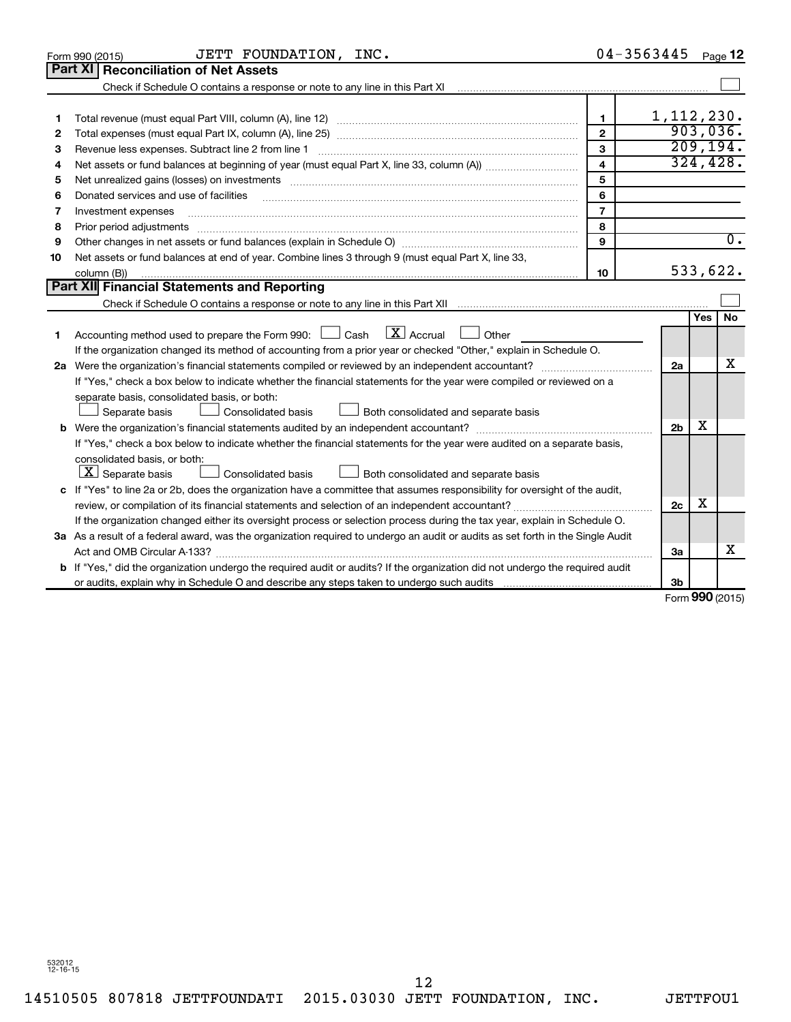|    | JETT FOUNDATION, INC.<br>Form 990 (2015)                                                                                                                          |                         | 04-3563445     |                     | Page 12          |
|----|-------------------------------------------------------------------------------------------------------------------------------------------------------------------|-------------------------|----------------|---------------------|------------------|
|    | Part XI Reconciliation of Net Assets                                                                                                                              |                         |                |                     |                  |
|    | Check if Schedule O contains a response or note to any line in this Part XI [11] [12] Check if Schedule O contains a response or note to any line in this Part XI |                         |                |                     |                  |
|    |                                                                                                                                                                   |                         |                |                     |                  |
| 1  |                                                                                                                                                                   | 1                       | 1,112,230.     |                     |                  |
| 2  |                                                                                                                                                                   | $\mathbf{2}$            |                |                     | 903,036.         |
| З  |                                                                                                                                                                   | 3                       |                |                     | 209, 194.        |
| 4  |                                                                                                                                                                   | $\overline{\mathbf{4}}$ |                |                     | 324, 428.        |
| 5  |                                                                                                                                                                   | 5                       |                |                     |                  |
| 6  | Donated services and use of facilities                                                                                                                            | 6                       |                |                     |                  |
| 7  | Investment expenses                                                                                                                                               | $\overline{7}$          |                |                     |                  |
| 8  | Prior period adjustments                                                                                                                                          | 8                       |                |                     |                  |
| 9  |                                                                                                                                                                   | 9                       |                |                     | $\overline{0}$ . |
| 10 | Net assets or fund balances at end of year. Combine lines 3 through 9 (must equal Part X, line 33,                                                                |                         |                |                     |                  |
|    | column (B))                                                                                                                                                       | 10                      |                |                     | 533,622.         |
|    | Part XII Financial Statements and Reporting                                                                                                                       |                         |                |                     |                  |
|    |                                                                                                                                                                   |                         |                |                     |                  |
|    |                                                                                                                                                                   |                         |                | Yes                 | No               |
| 1  | $\lfloor \mathbf{X} \rfloor$ Accrual<br>Accounting method used to prepare the Form 990: $\Box$ Cash<br>$\Box$ Other                                               |                         |                |                     |                  |
|    | If the organization changed its method of accounting from a prior year or checked "Other," explain in Schedule O.                                                 |                         |                |                     |                  |
|    |                                                                                                                                                                   |                         | 2a             |                     | x                |
|    | If "Yes," check a box below to indicate whether the financial statements for the year were compiled or reviewed on a                                              |                         |                |                     |                  |
|    | separate basis, consolidated basis, or both:                                                                                                                      |                         |                |                     |                  |
|    | Both consolidated and separate basis<br>Separate basis<br><b>Consolidated basis</b>                                                                               |                         |                |                     |                  |
|    |                                                                                                                                                                   |                         | 2 <sub>b</sub> | x                   |                  |
|    | If "Yes," check a box below to indicate whether the financial statements for the year were audited on a separate basis,                                           |                         |                |                     |                  |
|    | consolidated basis, or both:                                                                                                                                      |                         |                |                     |                  |
|    | $ \mathbf{X} $ Separate basis<br><b>Consolidated basis</b><br>Both consolidated and separate basis                                                                |                         |                |                     |                  |
|    | c If "Yes" to line 2a or 2b, does the organization have a committee that assumes responsibility for oversight of the audit,                                       |                         |                |                     |                  |
|    |                                                                                                                                                                   |                         | 2 <sub>c</sub> | х                   |                  |
|    | If the organization changed either its oversight process or selection process during the tax year, explain in Schedule O.                                         |                         |                |                     |                  |
|    | 3a As a result of a federal award, was the organization required to undergo an audit or audits as set forth in the Single Audit                                   |                         |                |                     |                  |
|    |                                                                                                                                                                   |                         | 3a             |                     | x                |
|    | <b>b</b> If "Yes," did the organization undergo the required audit or audits? If the organization did not undergo the required audit                              |                         |                |                     |                  |
|    |                                                                                                                                                                   |                         | 3b             |                     |                  |
|    |                                                                                                                                                                   |                         |                | $000 \, \text{GeV}$ |                  |

Form (2015) **990**

532012 12-16-15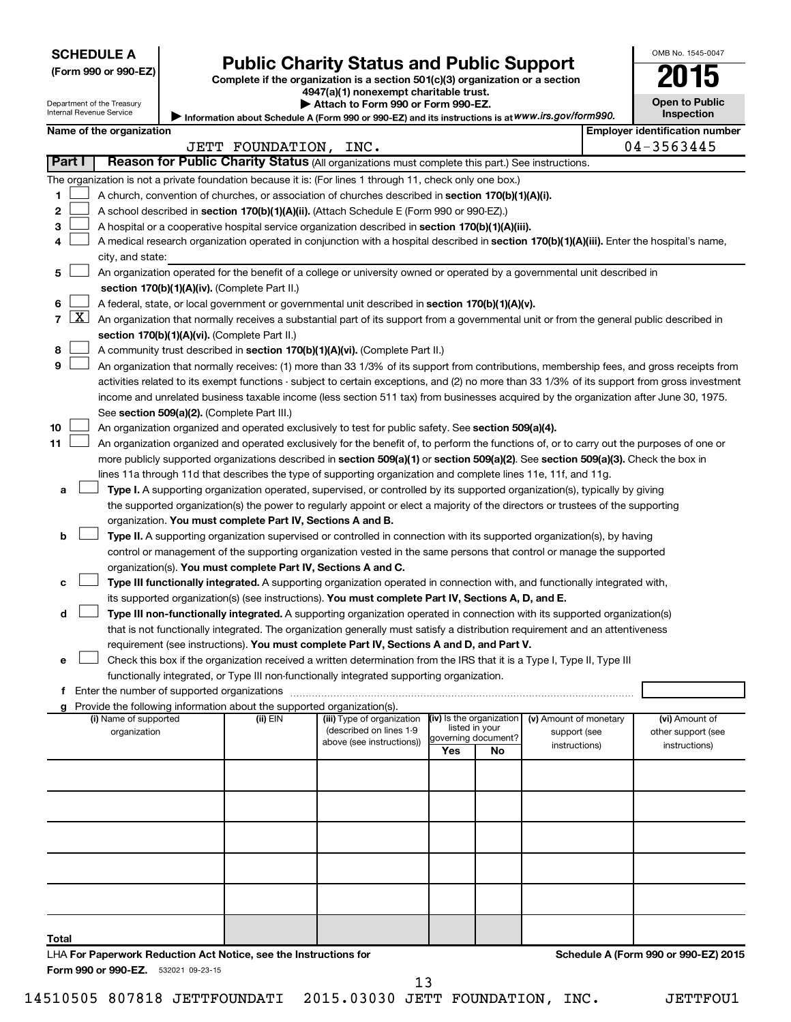| (Form 990 or 990-EZ |  |  |  |  |  |
|---------------------|--|--|--|--|--|
|---------------------|--|--|--|--|--|

## Form 990 or 990-EZ) **Public Charity Status and Public Support**<br>
Complete if the organization is a section 501(c)(3) organization or a section<br> **2015**

**4947(a)(1) nonexempt charitable trust. | Attach to Form 990 or Form 990-EZ.** 

| U                                   | IJ |
|-------------------------------------|----|
| <b>Open to Public</b><br>Inspection |    |

OMB No. 1545-0047

Information about Schedule A (Form 990 or 990-EZ) and its instructions is at WWW.irs.gov/form990. **Name of the organization Employer identification number**

|    |                              |                                                                                                                                               | JETT FOUNDATION, INC. |                                                       |                     |                |                                                   |  | 04-3563445                           |
|----|------------------------------|-----------------------------------------------------------------------------------------------------------------------------------------------|-----------------------|-------------------------------------------------------|---------------------|----------------|---------------------------------------------------|--|--------------------------------------|
|    | Part I                       | Reason for Public Charity Status (All organizations must complete this part.) See instructions.                                               |                       |                                                       |                     |                |                                                   |  |                                      |
|    |                              | The organization is not a private foundation because it is: (For lines 1 through 11, check only one box.)                                     |                       |                                                       |                     |                |                                                   |  |                                      |
| 1  |                              | A church, convention of churches, or association of churches described in <b>section 170(b)(1)(A)(i).</b>                                     |                       |                                                       |                     |                |                                                   |  |                                      |
| 2  |                              | A school described in section 170(b)(1)(A)(ii). (Attach Schedule E (Form 990 or 990-EZ).)                                                     |                       |                                                       |                     |                |                                                   |  |                                      |
| З  |                              | A hospital or a cooperative hospital service organization described in section 170(b)(1)(A)(iii).                                             |                       |                                                       |                     |                |                                                   |  |                                      |
|    |                              | A medical research organization operated in conjunction with a hospital described in section 170(b)(1)(A)(iii). Enter the hospital's name,    |                       |                                                       |                     |                |                                                   |  |                                      |
|    |                              | city, and state:                                                                                                                              |                       |                                                       |                     |                |                                                   |  |                                      |
| 5  |                              | An organization operated for the benefit of a college or university owned or operated by a governmental unit described in                     |                       |                                                       |                     |                |                                                   |  |                                      |
|    |                              | section 170(b)(1)(A)(iv). (Complete Part II.)                                                                                                 |                       |                                                       |                     |                |                                                   |  |                                      |
| 6  |                              | A federal, state, or local government or governmental unit described in section 170(b)(1)(A)(v).                                              |                       |                                                       |                     |                |                                                   |  |                                      |
| 7  | $\lfloor \texttt{X} \rfloor$ | An organization that normally receives a substantial part of its support from a governmental unit or from the general public described in     |                       |                                                       |                     |                |                                                   |  |                                      |
|    |                              | section 170(b)(1)(A)(vi). (Complete Part II.)                                                                                                 |                       |                                                       |                     |                |                                                   |  |                                      |
| 8  |                              | A community trust described in section 170(b)(1)(A)(vi). (Complete Part II.)                                                                  |                       |                                                       |                     |                |                                                   |  |                                      |
| 9  |                              | An organization that normally receives: (1) more than 33 1/3% of its support from contributions, membership fees, and gross receipts from     |                       |                                                       |                     |                |                                                   |  |                                      |
|    |                              | activities related to its exempt functions - subject to certain exceptions, and (2) no more than 33 1/3% of its support from gross investment |                       |                                                       |                     |                |                                                   |  |                                      |
|    |                              | income and unrelated business taxable income (less section 511 tax) from businesses acquired by the organization after June 30, 1975.         |                       |                                                       |                     |                |                                                   |  |                                      |
|    |                              | See section 509(a)(2). (Complete Part III.)                                                                                                   |                       |                                                       |                     |                |                                                   |  |                                      |
| 10 |                              | An organization organized and operated exclusively to test for public safety. See section 509(a)(4).                                          |                       |                                                       |                     |                |                                                   |  |                                      |
| 11 |                              | An organization organized and operated exclusively for the benefit of, to perform the functions of, or to carry out the purposes of one or    |                       |                                                       |                     |                |                                                   |  |                                      |
|    |                              | more publicly supported organizations described in section 509(a)(1) or section 509(a)(2). See section 509(a)(3). Check the box in            |                       |                                                       |                     |                |                                                   |  |                                      |
|    |                              | lines 11a through 11d that describes the type of supporting organization and complete lines 11e, 11f, and 11g.                                |                       |                                                       |                     |                |                                                   |  |                                      |
| а  |                              | Type I. A supporting organization operated, supervised, or controlled by its supported organization(s), typically by giving                   |                       |                                                       |                     |                |                                                   |  |                                      |
|    |                              | the supported organization(s) the power to regularly appoint or elect a majority of the directors or trustees of the supporting               |                       |                                                       |                     |                |                                                   |  |                                      |
|    |                              | organization. You must complete Part IV, Sections A and B.                                                                                    |                       |                                                       |                     |                |                                                   |  |                                      |
| b  |                              | Type II. A supporting organization supervised or controlled in connection with its supported organization(s), by having                       |                       |                                                       |                     |                |                                                   |  |                                      |
|    |                              | control or management of the supporting organization vested in the same persons that control or manage the supported                          |                       |                                                       |                     |                |                                                   |  |                                      |
|    |                              | organization(s). You must complete Part IV, Sections A and C.                                                                                 |                       |                                                       |                     |                |                                                   |  |                                      |
| с  |                              | Type III functionally integrated. A supporting organization operated in connection with, and functionally integrated with,                    |                       |                                                       |                     |                |                                                   |  |                                      |
|    |                              | its supported organization(s) (see instructions). You must complete Part IV, Sections A, D, and E.                                            |                       |                                                       |                     |                |                                                   |  |                                      |
| d  |                              | Type III non-functionally integrated. A supporting organization operated in connection with its supported organization(s)                     |                       |                                                       |                     |                |                                                   |  |                                      |
|    |                              | that is not functionally integrated. The organization generally must satisfy a distribution requirement and an attentiveness                  |                       |                                                       |                     |                |                                                   |  |                                      |
|    |                              | requirement (see instructions). You must complete Part IV, Sections A and D, and Part V.                                                      |                       |                                                       |                     |                |                                                   |  |                                      |
| е  |                              | Check this box if the organization received a written determination from the IRS that it is a Type I, Type II, Type III                       |                       |                                                       |                     |                |                                                   |  |                                      |
|    |                              | functionally integrated, or Type III non-functionally integrated supporting organization.                                                     |                       |                                                       |                     |                |                                                   |  |                                      |
|    |                              | f Enter the number of supported organizations                                                                                                 |                       |                                                       |                     |                |                                                   |  |                                      |
|    |                              | g Provide the following information about the supported organization(s).                                                                      |                       |                                                       |                     |                | (iv) Is the organization   (v) Amount of monetary |  |                                      |
|    |                              | (i) Name of supported<br>organization                                                                                                         | (II) EIN              | (iii) Type of organization<br>(described on lines 1-9 |                     | listed in your | support (see                                      |  | (vi) Amount of<br>other support (see |
|    |                              |                                                                                                                                               |                       | above (see instructions))                             | governing document? |                | instructions)                                     |  | instructions)                        |
|    |                              |                                                                                                                                               |                       |                                                       | Yes                 | No             |                                                   |  |                                      |
|    |                              |                                                                                                                                               |                       |                                                       |                     |                |                                                   |  |                                      |
|    |                              |                                                                                                                                               |                       |                                                       |                     |                |                                                   |  |                                      |
|    |                              |                                                                                                                                               |                       |                                                       |                     |                |                                                   |  |                                      |
|    |                              |                                                                                                                                               |                       |                                                       |                     |                |                                                   |  |                                      |
|    |                              |                                                                                                                                               |                       |                                                       |                     |                |                                                   |  |                                      |
|    |                              |                                                                                                                                               |                       |                                                       |                     |                |                                                   |  |                                      |
|    |                              |                                                                                                                                               |                       |                                                       |                     |                |                                                   |  |                                      |
|    |                              |                                                                                                                                               |                       |                                                       |                     |                |                                                   |  |                                      |

**Total** LHA **For Paperwork Reduction Act Notice, see the Instructions for** 

**Schedule A (Form 990 or 990-EZ) 2015**

Form 990 or 990-EZ. 532021 09-23-15

13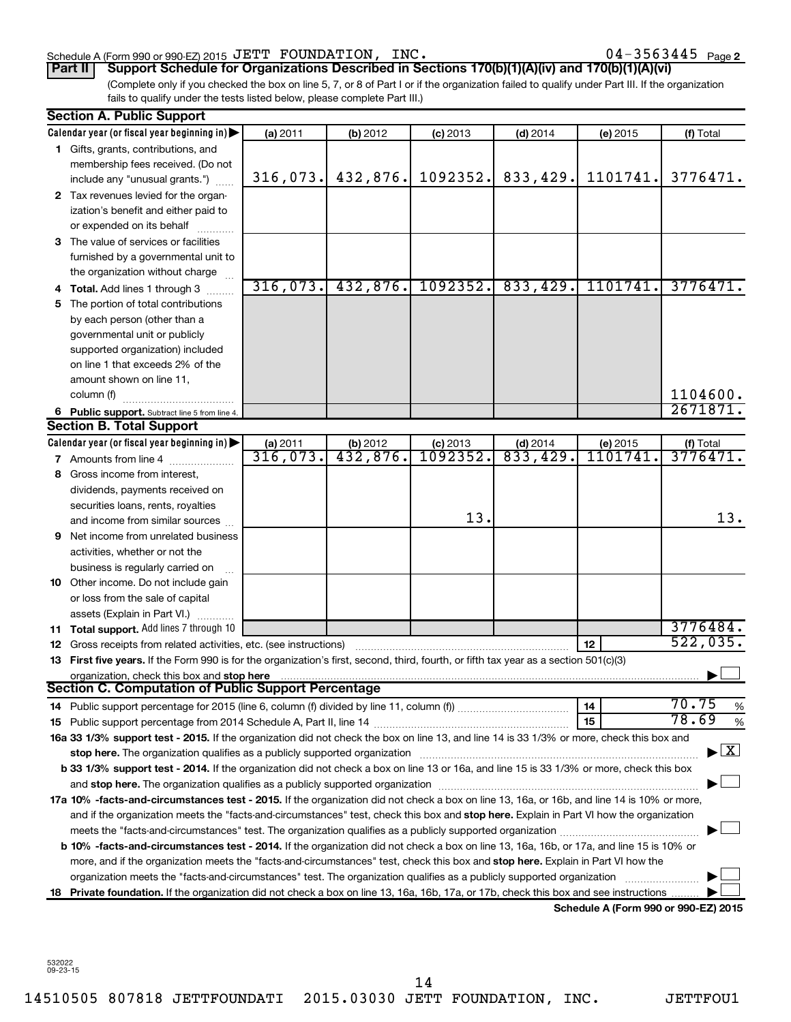### Schedule A (Form 990 or 990-EZ) 2015  $\rm{JETT}$   $\rm{FOUNDATION}$ ,  $\rm{INC.}$   $\rm{O4-3563445}$   $\rm{Page}$

 $04 - 3563445$  Page 2

(Complete only if you checked the box on line 5, 7, or 8 of Part I or if the organization failed to qualify under Part III. If the organization fails to qualify under the tests listed below, please complete Part III.) **Part II Support Schedule for Organizations Described in Sections 170(b)(1)(A)(iv) and 170(b)(1)(A)(vi)**

|    | <b>Section A. Public Support</b>                                                                                                               |                  |                     |                               |                             |                                             |                                          |
|----|------------------------------------------------------------------------------------------------------------------------------------------------|------------------|---------------------|-------------------------------|-----------------------------|---------------------------------------------|------------------------------------------|
|    | Calendar year (or fiscal year beginning in)                                                                                                    | (a) 2011         | (b) 2012            | $(c)$ 2013                    | $(d)$ 2014                  | (e) 2015                                    | (f) Total                                |
|    | 1 Gifts, grants, contributions, and                                                                                                            |                  |                     |                               |                             |                                             |                                          |
|    | membership fees received. (Do not                                                                                                              |                  |                     |                               |                             |                                             |                                          |
|    | include any "unusual grants.")                                                                                                                 | 316,073.         | 432,876.            | 1092352.                      | 833,429.                    | 1101741.                                    | 3776471.                                 |
|    | 2 Tax revenues levied for the organ-                                                                                                           |                  |                     |                               |                             |                                             |                                          |
|    | ization's benefit and either paid to                                                                                                           |                  |                     |                               |                             |                                             |                                          |
|    | or expended on its behalf                                                                                                                      |                  |                     |                               |                             |                                             |                                          |
|    | 3 The value of services or facilities                                                                                                          |                  |                     |                               |                             |                                             |                                          |
|    | furnished by a governmental unit to                                                                                                            |                  |                     |                               |                             |                                             |                                          |
|    | the organization without charge                                                                                                                |                  |                     |                               |                             |                                             |                                          |
|    | 4 Total. Add lines 1 through 3                                                                                                                 | 316,073.         | 432,876.            | 1092352.                      | 833,429.                    | 1101741.                                    | 3776471.                                 |
| 5  | The portion of total contributions                                                                                                             |                  |                     |                               |                             |                                             |                                          |
|    | by each person (other than a                                                                                                                   |                  |                     |                               |                             |                                             |                                          |
|    | governmental unit or publicly                                                                                                                  |                  |                     |                               |                             |                                             |                                          |
|    | supported organization) included                                                                                                               |                  |                     |                               |                             |                                             |                                          |
|    | on line 1 that exceeds 2% of the                                                                                                               |                  |                     |                               |                             |                                             |                                          |
|    | amount shown on line 11,                                                                                                                       |                  |                     |                               |                             |                                             |                                          |
|    | column (f)                                                                                                                                     |                  |                     |                               |                             |                                             | 1104600.                                 |
|    | 6 Public support. Subtract line 5 from line 4.                                                                                                 |                  |                     |                               |                             |                                             | 2671871.                                 |
|    | <b>Section B. Total Support</b>                                                                                                                |                  |                     |                               |                             |                                             |                                          |
|    | Calendar year (or fiscal year beginning in)                                                                                                    | (a) 2011         | $\frac{1}{432,876}$ | $\frac{$ (c) 2013<br>1092352. | $\frac{(d) 2014}{833, 429}$ | (e) 2015                                    | (f) Total<br>3776471                     |
|    | <b>7</b> Amounts from line 4                                                                                                                   | 316,073 <b>.</b> |                     |                               |                             | 1101741                                     |                                          |
| 8  | Gross income from interest.                                                                                                                    |                  |                     |                               |                             |                                             |                                          |
|    | dividends, payments received on                                                                                                                |                  |                     |                               |                             |                                             |                                          |
|    | securities loans, rents, royalties                                                                                                             |                  |                     |                               |                             |                                             |                                          |
|    | and income from similar sources                                                                                                                |                  |                     | 13.                           |                             |                                             | 13.                                      |
| 9  | Net income from unrelated business                                                                                                             |                  |                     |                               |                             |                                             |                                          |
|    | activities, whether or not the                                                                                                                 |                  |                     |                               |                             |                                             |                                          |
|    | business is regularly carried on                                                                                                               |                  |                     |                               |                             |                                             |                                          |
|    | 10 Other income. Do not include gain                                                                                                           |                  |                     |                               |                             |                                             |                                          |
|    | or loss from the sale of capital                                                                                                               |                  |                     |                               |                             |                                             |                                          |
|    | assets (Explain in Part VI.)                                                                                                                   |                  |                     |                               |                             |                                             |                                          |
|    | 11 Total support. Add lines 7 through 10                                                                                                       |                  |                     |                               |                             |                                             | 3776484.                                 |
|    | <b>12</b> Gross receipts from related activities, etc. (see instructions)                                                                      |                  |                     |                               |                             | 12                                          | 522,035.                                 |
|    | 13 First five years. If the Form 990 is for the organization's first, second, third, fourth, or fifth tax year as a section 501(c)(3)          |                  |                     |                               |                             |                                             |                                          |
|    | organization, check this box and stop here                                                                                                     |                  |                     |                               |                             |                                             |                                          |
|    | <b>Section C. Computation of Public Support Percentage</b>                                                                                     |                  |                     |                               |                             |                                             |                                          |
|    |                                                                                                                                                |                  |                     |                               |                             | 14                                          | 70.75<br>%                               |
|    |                                                                                                                                                |                  |                     |                               |                             | 15                                          | 78.69<br>%                               |
|    | 16a 33 1/3% support test - 2015. If the organization did not check the box on line 13, and line 14 is 33 1/3% or more, check this box and      |                  |                     |                               |                             |                                             |                                          |
|    | stop here. The organization qualifies as a publicly supported organization                                                                     |                  |                     |                               |                             |                                             | $\blacktriangleright$ $\boxed{\text{X}}$ |
|    | b 33 1/3% support test - 2014. If the organization did not check a box on line 13 or 16a, and line 15 is 33 1/3% or more, check this box       |                  |                     |                               |                             |                                             |                                          |
|    |                                                                                                                                                |                  |                     |                               |                             |                                             |                                          |
|    | 17a 10% -facts-and-circumstances test - 2015. If the organization did not check a box on line 13, 16a, or 16b, and line 14 is 10% or more,     |                  |                     |                               |                             |                                             |                                          |
|    | and if the organization meets the "facts-and-circumstances" test, check this box and stop here. Explain in Part VI how the organization        |                  |                     |                               |                             |                                             |                                          |
|    |                                                                                                                                                |                  |                     |                               |                             |                                             |                                          |
|    | <b>b 10%</b> -facts-and-circumstances test - 2014. If the organization did not check a box on line 13, 16a, 16b, or 17a, and line 15 is 10% or |                  |                     |                               |                             |                                             |                                          |
|    | more, and if the organization meets the "facts-and-circumstances" test, check this box and stop here. Explain in Part VI how the               |                  |                     |                               |                             |                                             |                                          |
|    | organization meets the "facts-and-circumstances" test. The organization qualifies as a publicly supported organization                         |                  |                     |                               |                             |                                             |                                          |
| 18 | Private foundation. If the organization did not check a box on line 13, 16a, 16b, 17a, or 17b, check this box and see instructions             |                  |                     |                               |                             |                                             |                                          |
|    |                                                                                                                                                |                  |                     |                               |                             | <b>Cohodulo A (Form 000 or 000 EZ) 2015</b> |                                          |

**Schedule A (Form 990 or 990-EZ) 2015**

14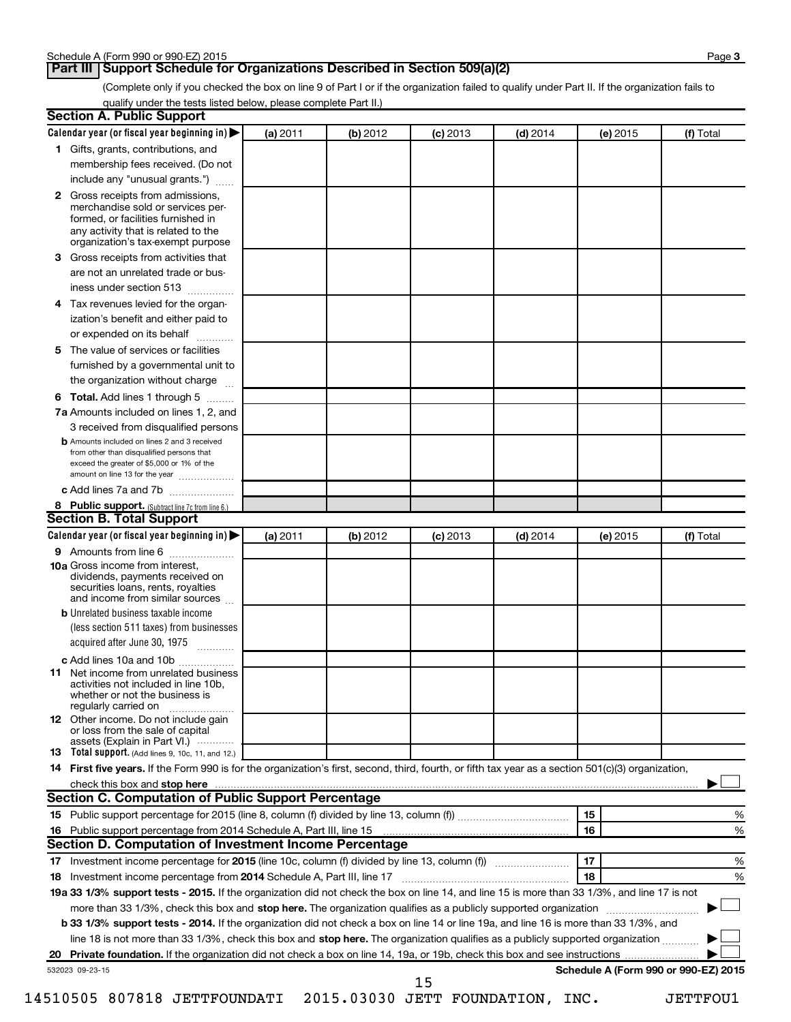### **Part III Support Schedule for Organizations Described in Section 509(a)(2)**

(Complete only if you checked the box on line 9 of Part I or if the organization failed to qualify under Part II. If the organization fails to qualify under the tests listed below, please complete Part II.)

| <b>Section A. Public Support</b>                                                                                                                                                                                                    |          |          |            |            |          |                                      |
|-------------------------------------------------------------------------------------------------------------------------------------------------------------------------------------------------------------------------------------|----------|----------|------------|------------|----------|--------------------------------------|
| Calendar year (or fiscal year beginning in)                                                                                                                                                                                         | (a) 2011 | (b) 2012 | $(c)$ 2013 | $(d)$ 2014 | (e) 2015 | (f) Total                            |
| 1 Gifts, grants, contributions, and                                                                                                                                                                                                 |          |          |            |            |          |                                      |
| membership fees received. (Do not                                                                                                                                                                                                   |          |          |            |            |          |                                      |
| include any "unusual grants.")                                                                                                                                                                                                      |          |          |            |            |          |                                      |
| 2 Gross receipts from admissions,<br>merchandise sold or services per-<br>formed, or facilities furnished in<br>any activity that is related to the<br>organization's tax-exempt purpose                                            |          |          |            |            |          |                                      |
| <b>3</b> Gross receipts from activities that                                                                                                                                                                                        |          |          |            |            |          |                                      |
| are not an unrelated trade or bus-                                                                                                                                                                                                  |          |          |            |            |          |                                      |
| iness under section 513                                                                                                                                                                                                             |          |          |            |            |          |                                      |
| 4 Tax revenues levied for the organ-                                                                                                                                                                                                |          |          |            |            |          |                                      |
| ization's benefit and either paid to                                                                                                                                                                                                |          |          |            |            |          |                                      |
| or expended on its behalf                                                                                                                                                                                                           |          |          |            |            |          |                                      |
| 5 The value of services or facilities                                                                                                                                                                                               |          |          |            |            |          |                                      |
| furnished by a governmental unit to                                                                                                                                                                                                 |          |          |            |            |          |                                      |
| the organization without charge                                                                                                                                                                                                     |          |          |            |            |          |                                      |
| <b>6 Total.</b> Add lines 1 through 5                                                                                                                                                                                               |          |          |            |            |          |                                      |
| 7a Amounts included on lines 1, 2, and                                                                                                                                                                                              |          |          |            |            |          |                                      |
| 3 received from disqualified persons                                                                                                                                                                                                |          |          |            |            |          |                                      |
| <b>b</b> Amounts included on lines 2 and 3 received<br>from other than disqualified persons that<br>exceed the greater of \$5,000 or 1% of the<br>amount on line 13 for the year                                                    |          |          |            |            |          |                                      |
| c Add lines 7a and 7b                                                                                                                                                                                                               |          |          |            |            |          |                                      |
| 8 Public support. (Subtract line 7c from line 6.)<br><b>Section B. Total Support</b>                                                                                                                                                |          |          |            |            |          |                                      |
| Calendar year (or fiscal year beginning in)                                                                                                                                                                                         | (a) 2011 | (b) 2012 | $(c)$ 2013 | $(d)$ 2014 | (e) 2015 | (f) Total                            |
| 9 Amounts from line 6                                                                                                                                                                                                               |          |          |            |            |          |                                      |
| <b>10a</b> Gross income from interest,<br>dividends, payments received on<br>securities loans, rents, royalties<br>and income from similar sources                                                                                  |          |          |            |            |          |                                      |
| <b>b</b> Unrelated business taxable income                                                                                                                                                                                          |          |          |            |            |          |                                      |
| (less section 511 taxes) from businesses                                                                                                                                                                                            |          |          |            |            |          |                                      |
| acquired after June 30, 1975                                                                                                                                                                                                        |          |          |            |            |          |                                      |
| c Add lines 10a and 10b                                                                                                                                                                                                             |          |          |            |            |          |                                      |
| <b>11</b> Net income from unrelated business<br>activities not included in line 10b.<br>whether or not the business is<br>regularly carried on                                                                                      |          |          |            |            |          |                                      |
| 12 Other income. Do not include gain<br>or loss from the sale of capital<br>assets (Explain in Part VI.)                                                                                                                            |          |          |            |            |          |                                      |
| <b>13</b> Total support. (Add lines 9, 10c, 11, and 12.)                                                                                                                                                                            |          |          |            |            |          |                                      |
| 14 First five years. If the Form 990 is for the organization's first, second, third, fourth, or fifth tax year as a section 501(c)(3) organization,                                                                                 |          |          |            |            |          |                                      |
| check this box and stop here <i>manufacture contained and stop here</i> and stop here and stop here and stop here and stop here and stop here and stop here and stop here and stop here and stop here and stop here and stop here a |          |          |            |            |          |                                      |
| <b>Section C. Computation of Public Support Percentage</b>                                                                                                                                                                          |          |          |            |            |          |                                      |
|                                                                                                                                                                                                                                     |          |          |            |            | 15       | %                                    |
|                                                                                                                                                                                                                                     |          |          |            |            | 16       | %                                    |
| Section D. Computation of Investment Income Percentage                                                                                                                                                                              |          |          |            |            |          |                                      |
|                                                                                                                                                                                                                                     |          |          |            |            | 17       | %                                    |
| 18 Investment income percentage from 2014 Schedule A, Part III, line 17                                                                                                                                                             |          |          |            |            | 18       | %                                    |
| 19a 33 1/3% support tests - 2015. If the organization did not check the box on line 14, and line 15 is more than 33 1/3%, and line 17 is not                                                                                        |          |          |            |            |          |                                      |
| more than 33 1/3%, check this box and stop here. The organization qualifies as a publicly supported organization                                                                                                                    |          |          |            |            |          |                                      |
| b 33 1/3% support tests - 2014. If the organization did not check a box on line 14 or line 19a, and line 16 is more than 33 1/3%, and                                                                                               |          |          |            |            |          |                                      |
| line 18 is not more than 33 1/3%, check this box and stop here. The organization qualifies as a publicly supported organization                                                                                                     |          |          |            |            |          |                                      |
|                                                                                                                                                                                                                                     |          |          |            |            |          |                                      |
| 532023 09-23-15                                                                                                                                                                                                                     |          |          | 15         |            |          | Schedule A (Form 990 or 990-EZ) 2015 |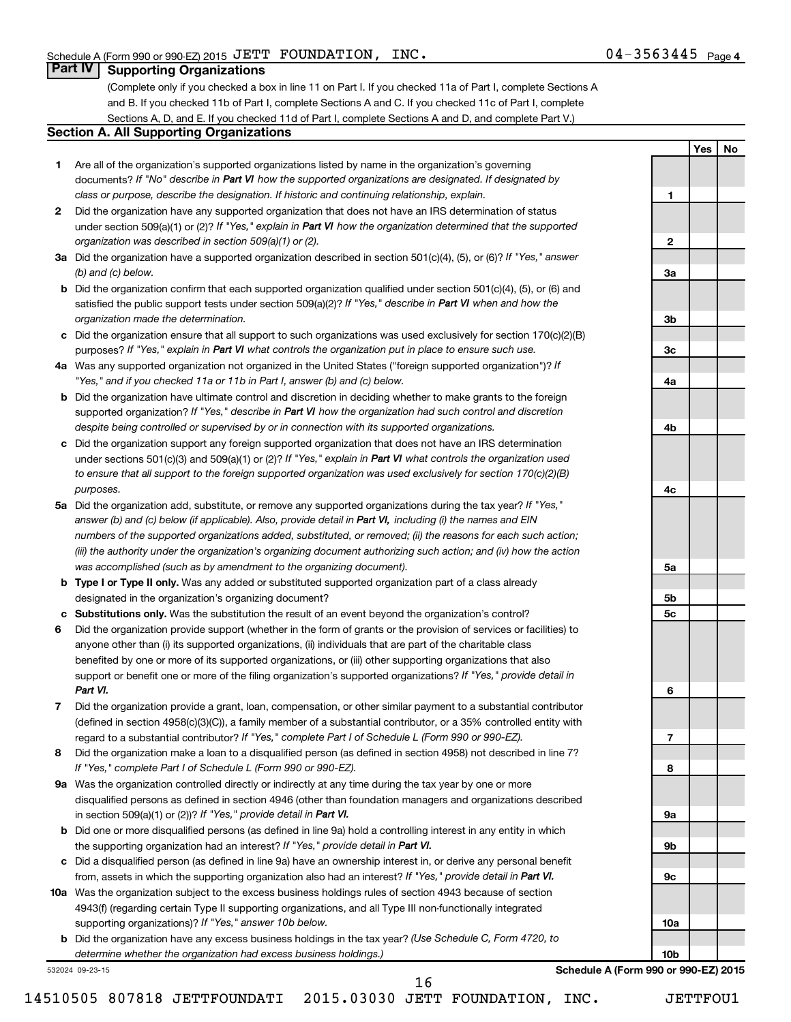**1**

**2**

**3a**

**3b**

**3c**

**4a**

**4b**

**4c**

**5a**

**5b 5c**

**6**

**7**

**8**

**9a**

**9b**

**9c**

**10a**

**10b**

**Yes No**

### **Part IV Supporting Organizations**

(Complete only if you checked a box in line 11 on Part I. If you checked 11a of Part I, complete Sections A and B. If you checked 11b of Part I, complete Sections A and C. If you checked 11c of Part I, complete Sections A, D, and E. If you checked 11d of Part I, complete Sections A and D, and complete Part V.)

### **Section A. All Supporting Organizations**

- **1** Are all of the organization's supported organizations listed by name in the organization's governing documents? If "No" describe in Part VI how the supported organizations are designated. If designated by *class or purpose, describe the designation. If historic and continuing relationship, explain.*
- **2** Did the organization have any supported organization that does not have an IRS determination of status under section 509(a)(1) or (2)? If "Yes," explain in Part VI how the organization determined that the supported *organization was described in section 509(a)(1) or (2).*
- **3a** Did the organization have a supported organization described in section 501(c)(4), (5), or (6)? If "Yes," answer *(b) and (c) below.*
- **b** Did the organization confirm that each supported organization qualified under section 501(c)(4), (5), or (6) and satisfied the public support tests under section 509(a)(2)? If "Yes," describe in Part VI when and how the *organization made the determination.*
- **c** Did the organization ensure that all support to such organizations was used exclusively for section 170(c)(2)(B) purposes? If "Yes," explain in Part VI what controls the organization put in place to ensure such use.
- **4 a** *If* Was any supported organization not organized in the United States ("foreign supported organization")? *"Yes," and if you checked 11a or 11b in Part I, answer (b) and (c) below.*
- **b** Did the organization have ultimate control and discretion in deciding whether to make grants to the foreign supported organization? If "Yes," describe in Part VI how the organization had such control and discretion *despite being controlled or supervised by or in connection with its supported organizations.*
- **c** Did the organization support any foreign supported organization that does not have an IRS determination under sections 501(c)(3) and 509(a)(1) or (2)? If "Yes," explain in Part VI what controls the organization used *to ensure that all support to the foreign supported organization was used exclusively for section 170(c)(2)(B) purposes.*
- **5a** Did the organization add, substitute, or remove any supported organizations during the tax year? If "Yes," answer (b) and (c) below (if applicable). Also, provide detail in Part VI, including (i) the names and EIN *numbers of the supported organizations added, substituted, or removed; (ii) the reasons for each such action; (iii) the authority under the organization's organizing document authorizing such action; and (iv) how the action was accomplished (such as by amendment to the organizing document).*
- **b** Type I or Type II only. Was any added or substituted supported organization part of a class already designated in the organization's organizing document?
- **c Substitutions only.**  Was the substitution the result of an event beyond the organization's control?
- **6** Did the organization provide support (whether in the form of grants or the provision of services or facilities) to support or benefit one or more of the filing organization's supported organizations? If "Yes," provide detail in anyone other than (i) its supported organizations, (ii) individuals that are part of the charitable class benefited by one or more of its supported organizations, or (iii) other supporting organizations that also *Part VI.*
- **7** Did the organization provide a grant, loan, compensation, or other similar payment to a substantial contributor regard to a substantial contributor? If "Yes," complete Part I of Schedule L (Form 990 or 990-EZ). (defined in section 4958(c)(3)(C)), a family member of a substantial contributor, or a 35% controlled entity with
- **8** Did the organization make a loan to a disqualified person (as defined in section 4958) not described in line 7? *If "Yes," complete Part I of Schedule L (Form 990 or 990-EZ).*
- **9 a** Was the organization controlled directly or indirectly at any time during the tax year by one or more in section 509(a)(1) or (2))? If "Yes," provide detail in Part VI. disqualified persons as defined in section 4946 (other than foundation managers and organizations described
- **b** Did one or more disqualified persons (as defined in line 9a) hold a controlling interest in any entity in which the supporting organization had an interest? If "Yes," provide detail in Part VI.
- **c** Did a disqualified person (as defined in line 9a) have an ownership interest in, or derive any personal benefit from, assets in which the supporting organization also had an interest? If "Yes," provide detail in Part VI.
- **10 a** Was the organization subject to the excess business holdings rules of section 4943 because of section supporting organizations)? If "Yes," answer 10b below. 4943(f) (regarding certain Type II supporting organizations, and all Type III non-functionally integrated
	- **b** Did the organization have any excess business holdings in the tax year? (Use Schedule C, Form 4720, to *determine whether the organization had excess business holdings.)*

532024 09-23-15

**Schedule A (Form 990 or 990-EZ) 2015**

14510505 807818 JETTFOUNDATI 2015.03030 JETT FOUNDATION, INC. JETTFOU1

16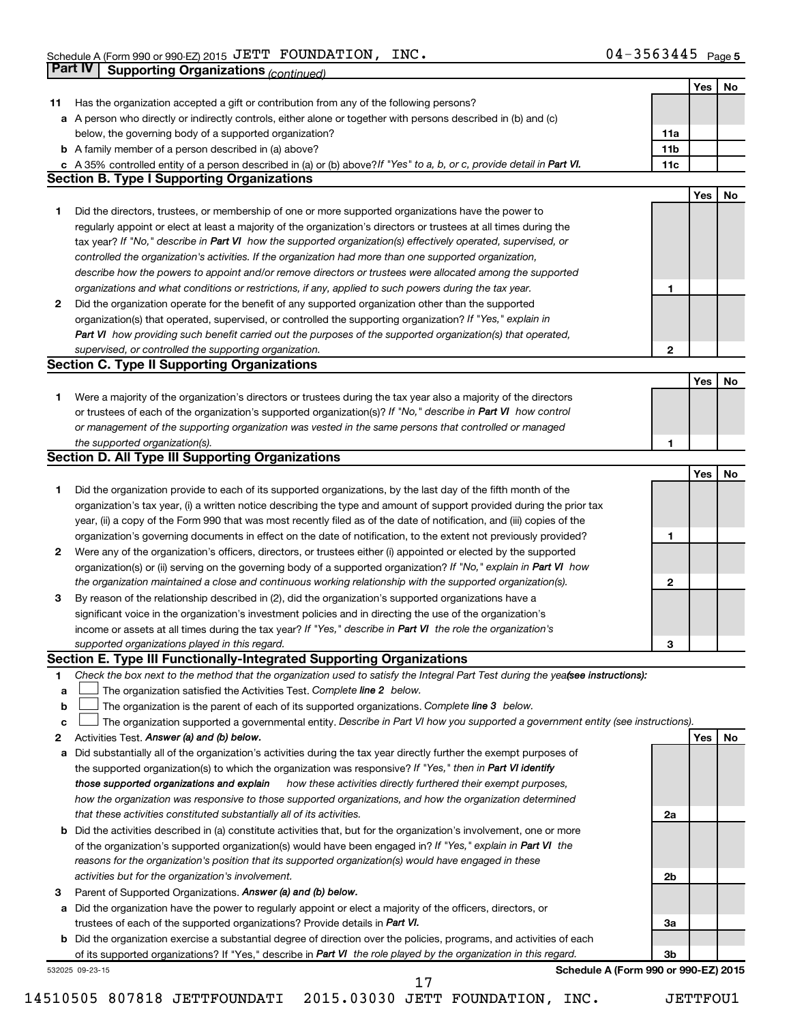|    | Part IV<br><b>Supporting Organizations (continued)</b>                                                                                                                  |                 |     |    |
|----|-------------------------------------------------------------------------------------------------------------------------------------------------------------------------|-----------------|-----|----|
|    |                                                                                                                                                                         |                 | Yes | No |
| 11 | Has the organization accepted a gift or contribution from any of the following persons?                                                                                 |                 |     |    |
|    | a A person who directly or indirectly controls, either alone or together with persons described in (b) and (c)                                                          |                 |     |    |
|    | below, the governing body of a supported organization?                                                                                                                  | 11a             |     |    |
|    | <b>b</b> A family member of a person described in (a) above?                                                                                                            | 11 <sub>b</sub> |     |    |
|    | c A 35% controlled entity of a person described in (a) or (b) above? If "Yes" to a, b, or c, provide detail in Part VI.                                                 | 11c             |     |    |
|    | <b>Section B. Type I Supporting Organizations</b>                                                                                                                       |                 |     |    |
|    |                                                                                                                                                                         |                 | Yes | No |
| 1  | Did the directors, trustees, or membership of one or more supported organizations have the power to                                                                     |                 |     |    |
|    | regularly appoint or elect at least a majority of the organization's directors or trustees at all times during the                                                      |                 |     |    |
|    | tax year? If "No," describe in Part VI how the supported organization(s) effectively operated, supervised, or                                                           |                 |     |    |
|    |                                                                                                                                                                         |                 |     |    |
|    | controlled the organization's activities. If the organization had more than one supported organization,                                                                 |                 |     |    |
|    | describe how the powers to appoint and/or remove directors or trustees were allocated among the supported                                                               |                 |     |    |
|    | organizations and what conditions or restrictions, if any, applied to such powers during the tax year.                                                                  | 1               |     |    |
| 2  | Did the organization operate for the benefit of any supported organization other than the supported                                                                     |                 |     |    |
|    | organization(s) that operated, supervised, or controlled the supporting organization? If "Yes," explain in                                                              |                 |     |    |
|    | Part VI how providing such benefit carried out the purposes of the supported organization(s) that operated,                                                             |                 |     |    |
|    | supervised, or controlled the supporting organization.                                                                                                                  | 2               |     |    |
|    | <b>Section C. Type II Supporting Organizations</b>                                                                                                                      |                 |     |    |
|    |                                                                                                                                                                         |                 | Yes | No |
| 1. | Were a majority of the organization's directors or trustees during the tax year also a majority of the directors                                                        |                 |     |    |
|    | or trustees of each of the organization's supported organization(s)? If "No," describe in Part VI how control                                                           |                 |     |    |
|    | or management of the supporting organization was vested in the same persons that controlled or managed                                                                  |                 |     |    |
|    | the supported organization(s).                                                                                                                                          | 1               |     |    |
|    | <b>Section D. All Type III Supporting Organizations</b>                                                                                                                 |                 |     |    |
|    |                                                                                                                                                                         |                 | Yes | No |
| 1  | Did the organization provide to each of its supported organizations, by the last day of the fifth month of the                                                          |                 |     |    |
|    | organization's tax year, (i) a written notice describing the type and amount of support provided during the prior tax                                                   |                 |     |    |
|    | year, (ii) a copy of the Form 990 that was most recently filed as of the date of notification, and (iii) copies of the                                                  |                 |     |    |
|    | organization's governing documents in effect on the date of notification, to the extent not previously provided?                                                        | 1               |     |    |
| 2  | Were any of the organization's officers, directors, or trustees either (i) appointed or elected by the supported                                                        |                 |     |    |
|    | organization(s) or (ii) serving on the governing body of a supported organization? If "No," explain in Part VI how                                                      |                 |     |    |
|    | the organization maintained a close and continuous working relationship with the supported organization(s).                                                             | $\mathbf{2}$    |     |    |
| 3  | By reason of the relationship described in (2), did the organization's supported organizations have a                                                                   |                 |     |    |
|    | significant voice in the organization's investment policies and in directing the use of the organization's                                                              |                 |     |    |
|    | income or assets at all times during the tax year? If "Yes," describe in Part VI the role the organization's                                                            |                 |     |    |
|    | supported organizations played in this regard.                                                                                                                          |                 |     |    |
|    | Section E. Type III Functionally-Integrated Supporting Organizations                                                                                                    | з               |     |    |
| 1  | Check the box next to the method that the organization used to satisfy the Integral Part Test during the yealsee instructions):                                         |                 |     |    |
|    |                                                                                                                                                                         |                 |     |    |
| a  | The organization satisfied the Activities Test. Complete line 2 below.<br>The organization is the parent of each of its supported organizations. Complete line 3 below. |                 |     |    |
| b  |                                                                                                                                                                         |                 |     |    |
| c  | The organization supported a governmental entity. Describe in Part VI how you supported a government entity (see instructions).                                         |                 |     |    |
| 2  | Activities Test. Answer (a) and (b) below.                                                                                                                              |                 | Yes | No |
| а  | Did substantially all of the organization's activities during the tax year directly further the exempt purposes of                                                      |                 |     |    |
|    | the supported organization(s) to which the organization was responsive? If "Yes," then in Part VI identify                                                              |                 |     |    |
|    | how these activities directly furthered their exempt purposes,<br>those supported organizations and explain                                                             |                 |     |    |
|    | how the organization was responsive to those supported organizations, and how the organization determined                                                               |                 |     |    |
|    | that these activities constituted substantially all of its activities.                                                                                                  | 2a              |     |    |
| b  | Did the activities described in (a) constitute activities that, but for the organization's involvement, one or more                                                     |                 |     |    |
|    | of the organization's supported organization(s) would have been engaged in? If "Yes," explain in Part VI the                                                            |                 |     |    |
|    | reasons for the organization's position that its supported organization(s) would have engaged in these                                                                  |                 |     |    |
|    | activities but for the organization's involvement.                                                                                                                      | 2b              |     |    |
| 3  | Parent of Supported Organizations. Answer (a) and (b) below.                                                                                                            |                 |     |    |
| а  | Did the organization have the power to regularly appoint or elect a majority of the officers, directors, or                                                             |                 |     |    |
|    | trustees of each of the supported organizations? Provide details in Part VI.                                                                                            | За              |     |    |
|    | <b>b</b> Did the organization exercise a substantial degree of direction over the policies, programs, and activities of each                                            |                 |     |    |
|    | of its supported organizations? If "Yes," describe in Part VI the role played by the organization in this regard.                                                       | 3b              |     |    |
|    | Schedule A (Form 990 or 990-EZ) 2015<br>532025 09-23-15                                                                                                                 |                 |     |    |
|    | 17                                                                                                                                                                      |                 |     |    |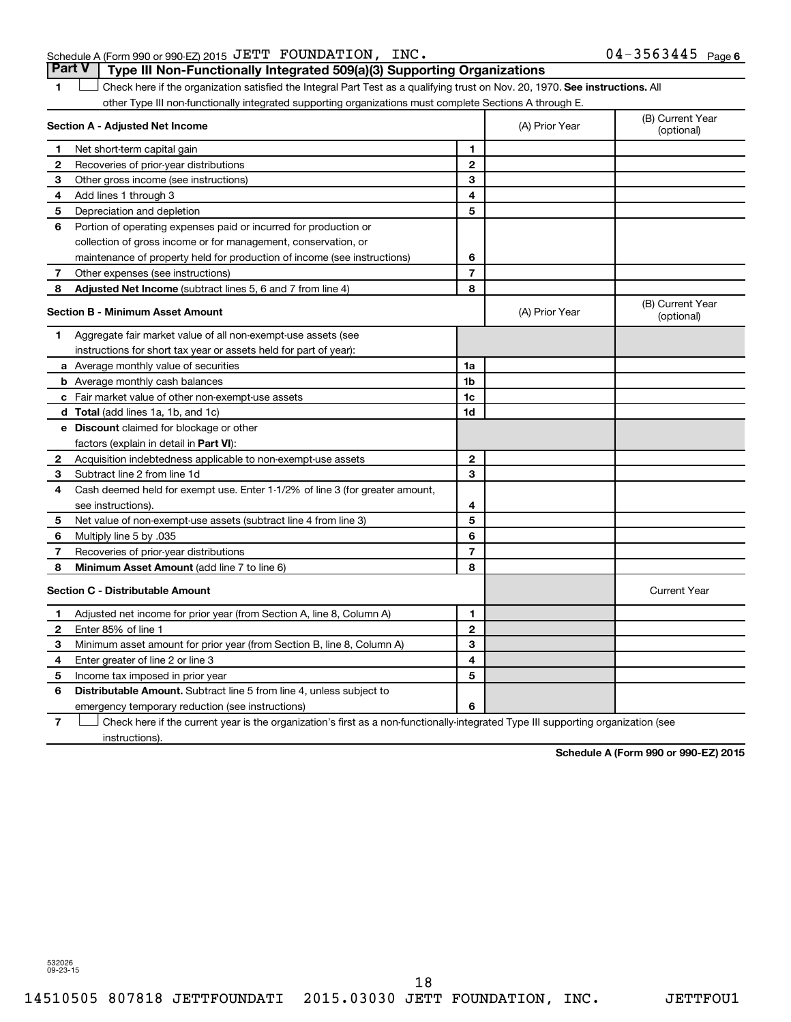### Schedule A (Form 990 or 990-EZ) 2015  $\rm{JETT}$   $\rm{FOUNDATION}$ ,  $\rm{INC.}$   $\rm{O4-3563445}$   $\rm{Page}$ **Part V Type III Non-Functionally Integrated 509(a)(3) Supporting Organizations**

1 **Letter on Reck here if the organization satisfied the Integral Part Test as a qualifying trust on Nov. 20, 1970. See instructions. All** other Type III non-functionally integrated supporting organizations must complete Sections A through E.

|              | Section A - Adjusted Net Income                                              | (A) Prior Year | (B) Current Year<br>(optional) |                                |
|--------------|------------------------------------------------------------------------------|----------------|--------------------------------|--------------------------------|
| 1            | Net short-term capital gain                                                  | 1              |                                |                                |
| $\mathbf{2}$ | Recoveries of prior-year distributions                                       | $\overline{2}$ |                                |                                |
| 3            | Other gross income (see instructions)                                        | 3              |                                |                                |
| 4            | Add lines 1 through 3                                                        | 4              |                                |                                |
| 5            | Depreciation and depletion                                                   | 5              |                                |                                |
| 6            | Portion of operating expenses paid or incurred for production or             |                |                                |                                |
|              | collection of gross income or for management, conservation, or               |                |                                |                                |
|              | maintenance of property held for production of income (see instructions)     | 6              |                                |                                |
| 7            | Other expenses (see instructions)                                            | $\overline{7}$ |                                |                                |
| 8            | Adjusted Net Income (subtract lines 5, 6 and 7 from line 4)                  | 8              |                                |                                |
|              | <b>Section B - Minimum Asset Amount</b>                                      |                | (A) Prior Year                 | (B) Current Year<br>(optional) |
| 1            | Aggregate fair market value of all non-exempt-use assets (see                |                |                                |                                |
|              | instructions for short tax year or assets held for part of year):            |                |                                |                                |
|              | a Average monthly value of securities                                        | 1a             |                                |                                |
|              | <b>b</b> Average monthly cash balances                                       | 1 <sub>b</sub> |                                |                                |
|              | c Fair market value of other non-exempt-use assets                           | 1 <sub>c</sub> |                                |                                |
|              | d Total (add lines 1a, 1b, and 1c)                                           | 1 <sub>d</sub> |                                |                                |
|              | e Discount claimed for blockage or other                                     |                |                                |                                |
|              | factors (explain in detail in <b>Part VI</b> ):                              |                |                                |                                |
| 2            | Acquisition indebtedness applicable to non-exempt-use assets                 | $\mathbf{2}$   |                                |                                |
| 3            | Subtract line 2 from line 1d                                                 | 3              |                                |                                |
| 4            | Cash deemed held for exempt use. Enter 1-1/2% of line 3 (for greater amount, |                |                                |                                |
|              | see instructions).                                                           | 4              |                                |                                |
| 5            | Net value of non-exempt-use assets (subtract line 4 from line 3)             | 5              |                                |                                |
| 6            | Multiply line 5 by .035                                                      | 6              |                                |                                |
| 7            | Recoveries of prior-year distributions                                       | $\overline{7}$ |                                |                                |
| 8            | <b>Minimum Asset Amount (add line 7 to line 6)</b>                           | 8              |                                |                                |
|              | <b>Section C - Distributable Amount</b>                                      |                |                                | <b>Current Year</b>            |
| 1            | Adjusted net income for prior year (from Section A, line 8, Column A)        | 1              |                                |                                |
| $\mathbf{2}$ | Enter 85% of line 1                                                          | $\mathbf{2}$   |                                |                                |
| З            | Minimum asset amount for prior year (from Section B, line 8, Column A)       | 3              |                                |                                |
| 4            | Enter greater of line 2 or line 3                                            | 4              |                                |                                |
| 5            | Income tax imposed in prior year                                             | 5              |                                |                                |
| 6            | <b>Distributable Amount.</b> Subtract line 5 from line 4, unless subject to  |                |                                |                                |
|              | emergency temporary reduction (see instructions)                             | 6              |                                |                                |
|              |                                                                              |                |                                |                                |

**7** Check here if the current year is the organization's first as a non-functionally-integrated Type III supporting organization (see † instructions).

**Schedule A (Form 990 or 990-EZ) 2015**

532026 09-23-15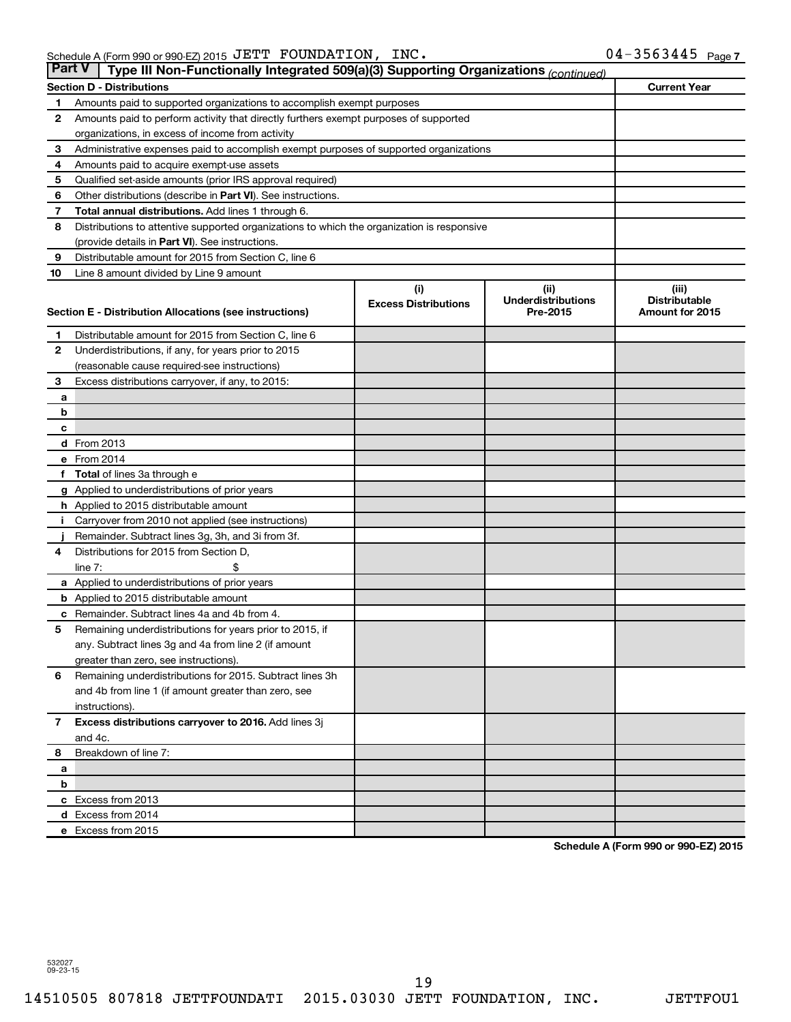| <b>Part V</b>  | Type III Non-Functionally Integrated 509(a)(3) Supporting Organizations (continued)        |                             |                           |                      |  |  |  |  |  |
|----------------|--------------------------------------------------------------------------------------------|-----------------------------|---------------------------|----------------------|--|--|--|--|--|
|                | <b>Section D - Distributions</b>                                                           |                             |                           | <b>Current Year</b>  |  |  |  |  |  |
| 1              | Amounts paid to supported organizations to accomplish exempt purposes                      |                             |                           |                      |  |  |  |  |  |
| 2              | Amounts paid to perform activity that directly furthers exempt purposes of supported       |                             |                           |                      |  |  |  |  |  |
|                | organizations, in excess of income from activity                                           |                             |                           |                      |  |  |  |  |  |
| 3              | Administrative expenses paid to accomplish exempt purposes of supported organizations      |                             |                           |                      |  |  |  |  |  |
| 4              | Amounts paid to acquire exempt-use assets                                                  |                             |                           |                      |  |  |  |  |  |
| 5              | Qualified set-aside amounts (prior IRS approval required)                                  |                             |                           |                      |  |  |  |  |  |
| 6              | Other distributions (describe in Part VI). See instructions.                               |                             |                           |                      |  |  |  |  |  |
| 7              | <b>Total annual distributions.</b> Add lines 1 through 6.                                  |                             |                           |                      |  |  |  |  |  |
| 8              | Distributions to attentive supported organizations to which the organization is responsive |                             |                           |                      |  |  |  |  |  |
|                | (provide details in Part VI). See instructions.                                            |                             |                           |                      |  |  |  |  |  |
| 9              | Distributable amount for 2015 from Section C, line 6                                       |                             |                           |                      |  |  |  |  |  |
| 10             | Line 8 amount divided by Line 9 amount                                                     |                             |                           |                      |  |  |  |  |  |
|                |                                                                                            | (i)                         | (ii)                      | (iii)                |  |  |  |  |  |
|                |                                                                                            | <b>Excess Distributions</b> | <b>Underdistributions</b> | <b>Distributable</b> |  |  |  |  |  |
|                | Section E - Distribution Allocations (see instructions)                                    |                             | Pre-2015                  | Amount for 2015      |  |  |  |  |  |
| 1              | Distributable amount for 2015 from Section C, line 6                                       |                             |                           |                      |  |  |  |  |  |
| 2              | Underdistributions, if any, for years prior to 2015                                        |                             |                           |                      |  |  |  |  |  |
|                | (reasonable cause required-see instructions)                                               |                             |                           |                      |  |  |  |  |  |
| 3              | Excess distributions carryover, if any, to 2015:                                           |                             |                           |                      |  |  |  |  |  |
| а              |                                                                                            |                             |                           |                      |  |  |  |  |  |
| b              |                                                                                            |                             |                           |                      |  |  |  |  |  |
| с              |                                                                                            |                             |                           |                      |  |  |  |  |  |
|                | d From 2013                                                                                |                             |                           |                      |  |  |  |  |  |
|                | e From 2014                                                                                |                             |                           |                      |  |  |  |  |  |
| f              | <b>Total</b> of lines 3a through e                                                         |                             |                           |                      |  |  |  |  |  |
|                | g Applied to underdistributions of prior years                                             |                             |                           |                      |  |  |  |  |  |
|                | <b>h</b> Applied to 2015 distributable amount                                              |                             |                           |                      |  |  |  |  |  |
|                | Carryover from 2010 not applied (see instructions)                                         |                             |                           |                      |  |  |  |  |  |
|                | Remainder. Subtract lines 3g, 3h, and 3i from 3f.                                          |                             |                           |                      |  |  |  |  |  |
| 4              | Distributions for 2015 from Section D,                                                     |                             |                           |                      |  |  |  |  |  |
|                | line $7:$                                                                                  |                             |                           |                      |  |  |  |  |  |
|                | a Applied to underdistributions of prior years                                             |                             |                           |                      |  |  |  |  |  |
|                | <b>b</b> Applied to 2015 distributable amount                                              |                             |                           |                      |  |  |  |  |  |
| с              | Remainder. Subtract lines 4a and 4b from 4.                                                |                             |                           |                      |  |  |  |  |  |
| 5              | Remaining underdistributions for years prior to 2015, if                                   |                             |                           |                      |  |  |  |  |  |
|                | any. Subtract lines 3g and 4a from line 2 (if amount                                       |                             |                           |                      |  |  |  |  |  |
|                | greater than zero, see instructions).                                                      |                             |                           |                      |  |  |  |  |  |
| 6              | Remaining underdistributions for 2015. Subtract lines 3h                                   |                             |                           |                      |  |  |  |  |  |
|                | and 4b from line 1 (if amount greater than zero, see                                       |                             |                           |                      |  |  |  |  |  |
|                | instructions).                                                                             |                             |                           |                      |  |  |  |  |  |
| $\overline{7}$ | Excess distributions carryover to 2016. Add lines 3j                                       |                             |                           |                      |  |  |  |  |  |
|                | and 4c.                                                                                    |                             |                           |                      |  |  |  |  |  |
| 8              | Breakdown of line 7:                                                                       |                             |                           |                      |  |  |  |  |  |
| а              |                                                                                            |                             |                           |                      |  |  |  |  |  |
| b              |                                                                                            |                             |                           |                      |  |  |  |  |  |
|                | c Excess from 2013                                                                         |                             |                           |                      |  |  |  |  |  |
|                | d Excess from 2014                                                                         |                             |                           |                      |  |  |  |  |  |
|                | e Excess from 2015                                                                         |                             |                           |                      |  |  |  |  |  |

**Schedule A (Form 990 or 990-EZ) 2015**

532027 09-23-15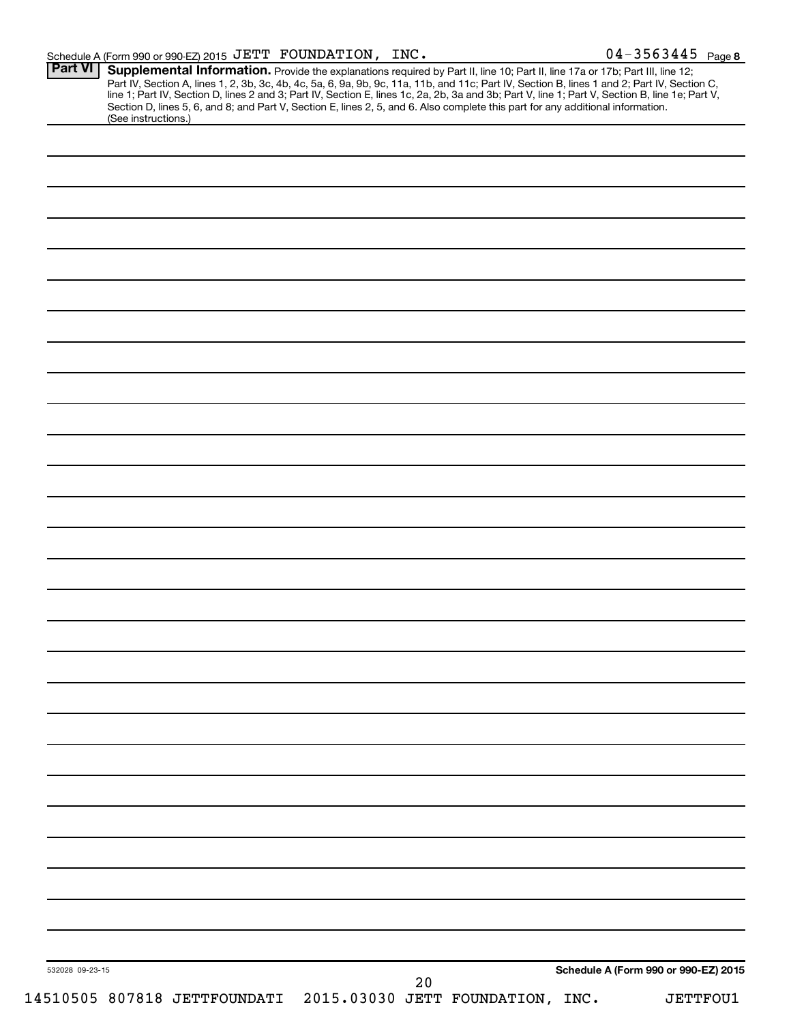| Schedule A (Form 990 or 990-EZ) 2015 $\rm{JETT}$ $\rm{\, FOUNDATION}$ , $\rm{\, INC.}$ |  | $04 - 3563445$ Page 8 |
|----------------------------------------------------------------------------------------|--|-----------------------|
|----------------------------------------------------------------------------------------|--|-----------------------|

|                 | Supplemental Information. Provide the explanations required by Part II, line 10; Part II, line 17a or 17b; Part III, line 12;<br>(See instructions.) | Part IV, Section A, lines 1, 2, 3b, 3c, 4b, 4c, 5a, 6, 9a, 9b, 9c, 11a, 11b, and 11c; Part IV, Section B, lines 1 and 2; Part IV, Section C,<br>line 1; Part IV, Section D, lines 2 and 3; Part IV, Section E, lines 1c, 2a, 2b,<br>Section D, lines 5, 6, and 8; and Part V, Section E, lines 2, 5, and 6. Also complete this part for any additional information. |  |                                      |  |
|-----------------|------------------------------------------------------------------------------------------------------------------------------------------------------|---------------------------------------------------------------------------------------------------------------------------------------------------------------------------------------------------------------------------------------------------------------------------------------------------------------------------------------------------------------------|--|--------------------------------------|--|
|                 |                                                                                                                                                      |                                                                                                                                                                                                                                                                                                                                                                     |  |                                      |  |
|                 |                                                                                                                                                      |                                                                                                                                                                                                                                                                                                                                                                     |  |                                      |  |
|                 |                                                                                                                                                      |                                                                                                                                                                                                                                                                                                                                                                     |  |                                      |  |
|                 |                                                                                                                                                      |                                                                                                                                                                                                                                                                                                                                                                     |  |                                      |  |
|                 |                                                                                                                                                      |                                                                                                                                                                                                                                                                                                                                                                     |  |                                      |  |
|                 |                                                                                                                                                      |                                                                                                                                                                                                                                                                                                                                                                     |  |                                      |  |
|                 |                                                                                                                                                      |                                                                                                                                                                                                                                                                                                                                                                     |  |                                      |  |
|                 |                                                                                                                                                      |                                                                                                                                                                                                                                                                                                                                                                     |  |                                      |  |
|                 |                                                                                                                                                      |                                                                                                                                                                                                                                                                                                                                                                     |  |                                      |  |
|                 |                                                                                                                                                      |                                                                                                                                                                                                                                                                                                                                                                     |  |                                      |  |
|                 |                                                                                                                                                      |                                                                                                                                                                                                                                                                                                                                                                     |  |                                      |  |
|                 |                                                                                                                                                      |                                                                                                                                                                                                                                                                                                                                                                     |  |                                      |  |
|                 |                                                                                                                                                      |                                                                                                                                                                                                                                                                                                                                                                     |  |                                      |  |
|                 |                                                                                                                                                      |                                                                                                                                                                                                                                                                                                                                                                     |  |                                      |  |
|                 |                                                                                                                                                      |                                                                                                                                                                                                                                                                                                                                                                     |  |                                      |  |
|                 |                                                                                                                                                      |                                                                                                                                                                                                                                                                                                                                                                     |  |                                      |  |
|                 |                                                                                                                                                      |                                                                                                                                                                                                                                                                                                                                                                     |  |                                      |  |
|                 |                                                                                                                                                      |                                                                                                                                                                                                                                                                                                                                                                     |  |                                      |  |
|                 |                                                                                                                                                      |                                                                                                                                                                                                                                                                                                                                                                     |  |                                      |  |
|                 |                                                                                                                                                      |                                                                                                                                                                                                                                                                                                                                                                     |  |                                      |  |
|                 |                                                                                                                                                      |                                                                                                                                                                                                                                                                                                                                                                     |  |                                      |  |
|                 |                                                                                                                                                      |                                                                                                                                                                                                                                                                                                                                                                     |  |                                      |  |
|                 |                                                                                                                                                      |                                                                                                                                                                                                                                                                                                                                                                     |  |                                      |  |
|                 |                                                                                                                                                      |                                                                                                                                                                                                                                                                                                                                                                     |  |                                      |  |
|                 |                                                                                                                                                      |                                                                                                                                                                                                                                                                                                                                                                     |  |                                      |  |
|                 |                                                                                                                                                      |                                                                                                                                                                                                                                                                                                                                                                     |  |                                      |  |
|                 |                                                                                                                                                      |                                                                                                                                                                                                                                                                                                                                                                     |  |                                      |  |
|                 |                                                                                                                                                      |                                                                                                                                                                                                                                                                                                                                                                     |  |                                      |  |
|                 |                                                                                                                                                      |                                                                                                                                                                                                                                                                                                                                                                     |  |                                      |  |
|                 |                                                                                                                                                      |                                                                                                                                                                                                                                                                                                                                                                     |  |                                      |  |
|                 |                                                                                                                                                      |                                                                                                                                                                                                                                                                                                                                                                     |  |                                      |  |
|                 |                                                                                                                                                      |                                                                                                                                                                                                                                                                                                                                                                     |  |                                      |  |
|                 |                                                                                                                                                      |                                                                                                                                                                                                                                                                                                                                                                     |  |                                      |  |
|                 |                                                                                                                                                      |                                                                                                                                                                                                                                                                                                                                                                     |  |                                      |  |
|                 |                                                                                                                                                      |                                                                                                                                                                                                                                                                                                                                                                     |  |                                      |  |
|                 |                                                                                                                                                      |                                                                                                                                                                                                                                                                                                                                                                     |  |                                      |  |
|                 |                                                                                                                                                      |                                                                                                                                                                                                                                                                                                                                                                     |  |                                      |  |
|                 |                                                                                                                                                      |                                                                                                                                                                                                                                                                                                                                                                     |  |                                      |  |
|                 |                                                                                                                                                      |                                                                                                                                                                                                                                                                                                                                                                     |  |                                      |  |
|                 |                                                                                                                                                      |                                                                                                                                                                                                                                                                                                                                                                     |  |                                      |  |
| 532028 09-23-15 |                                                                                                                                                      |                                                                                                                                                                                                                                                                                                                                                                     |  | Schedule A (Form 990 or 990-EZ) 2015 |  |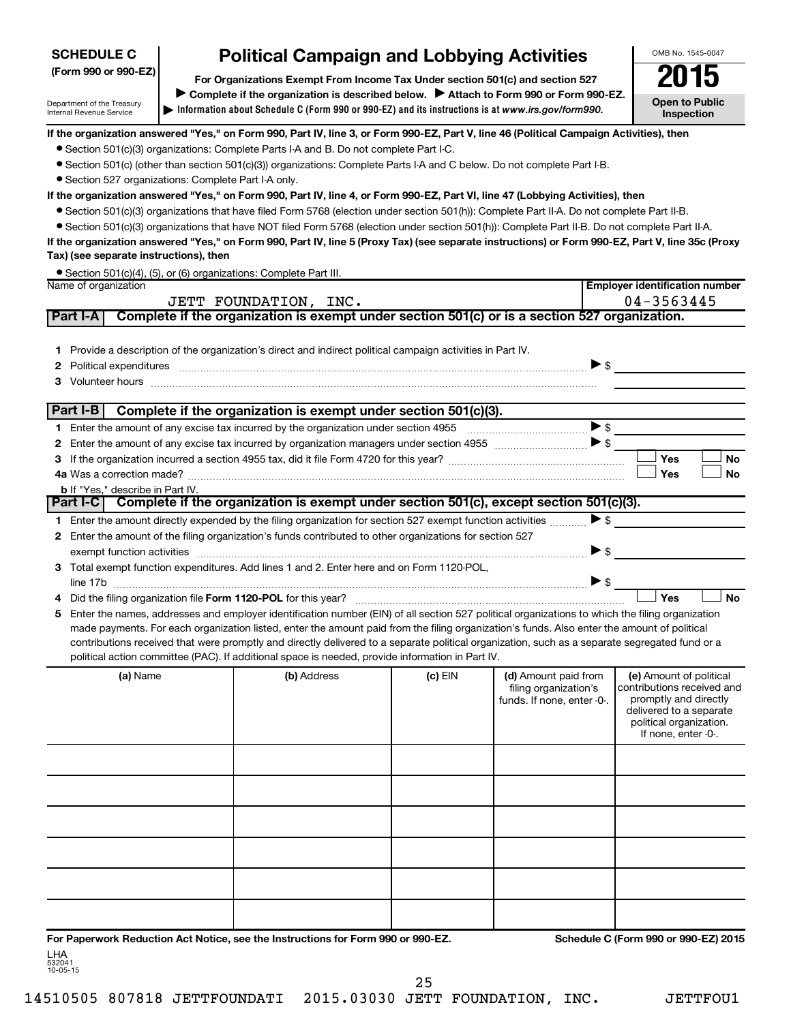### **SCHEDULE C**

## **Political Campaign and Lobbying Activities**<br>Drganizations Exempt From Income Tax Under section 501(c) and section 527 **2015**

**Information about Schedule C (Form 990 or 990-EZ) and its instructions is at |**  *www.irs.gov/form990.* **(Form 990 or 990-EZ) For Organizations Exempt From Income Tax Under section 501(c) and section 527** Complete if the organization is described below. > Attach to Form 990 or Form 990-EZ.



**Employer identification number**

Department of the Treasury Internal Revenue Service

#### **If the organization answered "Yes," on Form 990, Part IV, line 3, or Form 990-EZ, Part V, line 46 (Political Campaign Activities), then**

- Section 501(c)(3) organizations: Complete Parts I-A and B. Do not complete Part I-C.
- Section 501(c) (other than section 501(c)(3)) organizations: Complete Parts I-A and C below. Do not complete Part I-B.
- Section 527 organizations: Complete Part I-A only.

### **If the organization answered "Yes," on Form 990, Part IV, line 4, or Form 990-EZ, Part VI, line 47 (Lobbying Activities), then**

- Section 501(c)(3) organizations that have filed Form 5768 (election under section 501(h)): Complete Part II-A. Do not complete Part II-B.
- Section 501(c)(3) organizations that have NOT filed Form 5768 (election under section 501(h)): Complete Part II-B. Do not complete Part II-A.

**If the organization answered "Yes," on Form 990, Part IV, line 5 (Proxy Tax) (see separate instructions) or Form 990-EZ, Part V, line 35c (Proxy Tax) (see separate instructions), then**

|                      | • Section 501(c)(4), (5), or (6) organizations: Complete Part III. |
|----------------------|--------------------------------------------------------------------|
| Name of organization |                                                                    |

|   | JETT FOUNDATION, INC.                                                                                       |                                                                                                                                                                                                                                                                                                                                                                                                                                                                 | $04 - 3563445$ |                                                                             |                                                                                                                                                             |
|---|-------------------------------------------------------------------------------------------------------------|-----------------------------------------------------------------------------------------------------------------------------------------------------------------------------------------------------------------------------------------------------------------------------------------------------------------------------------------------------------------------------------------------------------------------------------------------------------------|----------------|-----------------------------------------------------------------------------|-------------------------------------------------------------------------------------------------------------------------------------------------------------|
|   | Part I-A                                                                                                    | Complete if the organization is exempt under section 501(c) or is a section 527 organization.                                                                                                                                                                                                                                                                                                                                                                   |                |                                                                             |                                                                                                                                                             |
|   | 1 Provide a description of the organization's direct and indirect political campaign activities in Part IV. | Political expenditures information and continuum and contract expenditures in the contract of the contract of the contract of the contract of the contract of the contract of the contract of the contract of the contract of<br>Volunteer hours with the contract of the contract of the contract of the contract of the contract of the contract of the contract of the contract of the contract of the contract of the contract of the contract of the contr |                |                                                                             | $\blacktriangleright$ \$                                                                                                                                    |
|   | Part I-B                                                                                                    | Complete if the organization is exempt under section 501(c)(3).                                                                                                                                                                                                                                                                                                                                                                                                 |                |                                                                             |                                                                                                                                                             |
|   |                                                                                                             |                                                                                                                                                                                                                                                                                                                                                                                                                                                                 |                |                                                                             |                                                                                                                                                             |
|   |                                                                                                             |                                                                                                                                                                                                                                                                                                                                                                                                                                                                 |                |                                                                             |                                                                                                                                                             |
|   |                                                                                                             |                                                                                                                                                                                                                                                                                                                                                                                                                                                                 |                |                                                                             | Yes<br><b>No</b>                                                                                                                                            |
|   |                                                                                                             |                                                                                                                                                                                                                                                                                                                                                                                                                                                                 |                |                                                                             | Yes<br><b>No</b>                                                                                                                                            |
|   | <b>b</b> If "Yes." describe in Part IV.                                                                     |                                                                                                                                                                                                                                                                                                                                                                                                                                                                 |                |                                                                             |                                                                                                                                                             |
|   | Part I-C Complete if the organization is exempt under section 501(c), except section 501(c)(3).             |                                                                                                                                                                                                                                                                                                                                                                                                                                                                 |                |                                                                             |                                                                                                                                                             |
|   | 1 Enter the amount directly expended by the filing organization for section 527 exempt function activities  |                                                                                                                                                                                                                                                                                                                                                                                                                                                                 |                |                                                                             | $\blacktriangleright$ \$                                                                                                                                    |
| 2 |                                                                                                             | Enter the amount of the filing organization's funds contributed to other organizations for section 527                                                                                                                                                                                                                                                                                                                                                          |                |                                                                             |                                                                                                                                                             |
|   |                                                                                                             | exempt function activities exercised contain a series and a series of the series of the series of the series of the series of the series of the series of the series of the series of the series of the series of the series o                                                                                                                                                                                                                                  |                | $\triangleright$ \$                                                         |                                                                                                                                                             |
| З |                                                                                                             | Total exempt function expenditures. Add lines 1 and 2. Enter here and on Form 1120-POL,                                                                                                                                                                                                                                                                                                                                                                         |                |                                                                             |                                                                                                                                                             |
|   |                                                                                                             | line 17b $\sim$ $\sim$ $\sim$ $\sim$                                                                                                                                                                                                                                                                                                                                                                                                                            |                |                                                                             |                                                                                                                                                             |
|   | Did the filing organization file Form 1120-POL for this year?                                               |                                                                                                                                                                                                                                                                                                                                                                                                                                                                 |                |                                                                             | Yes<br><b>No</b>                                                                                                                                            |
| 5 |                                                                                                             | Enter the names, addresses and employer identification number (EIN) of all section 527 political organizations to which the filing organization                                                                                                                                                                                                                                                                                                                 |                |                                                                             |                                                                                                                                                             |
|   |                                                                                                             | made payments. For each organization listed, enter the amount paid from the filing organization's funds. Also enter the amount of political                                                                                                                                                                                                                                                                                                                     |                |                                                                             |                                                                                                                                                             |
|   |                                                                                                             | contributions received that were promptly and directly delivered to a separate political organization, such as a separate segregated fund or a<br>political action committee (PAC). If additional space is needed, provide information in Part IV.                                                                                                                                                                                                              |                |                                                                             |                                                                                                                                                             |
|   |                                                                                                             |                                                                                                                                                                                                                                                                                                                                                                                                                                                                 |                |                                                                             |                                                                                                                                                             |
|   | (a) Name                                                                                                    | (b) Address                                                                                                                                                                                                                                                                                                                                                                                                                                                     | $(c)$ EIN      | (d) Amount paid from<br>filing organization's<br>funds. If none, enter -0-. | (e) Amount of political<br>contributions received and<br>promptly and directly<br>delivered to a separate<br>political organization.<br>If none, enter -0-. |
|   |                                                                                                             |                                                                                                                                                                                                                                                                                                                                                                                                                                                                 |                |                                                                             |                                                                                                                                                             |

25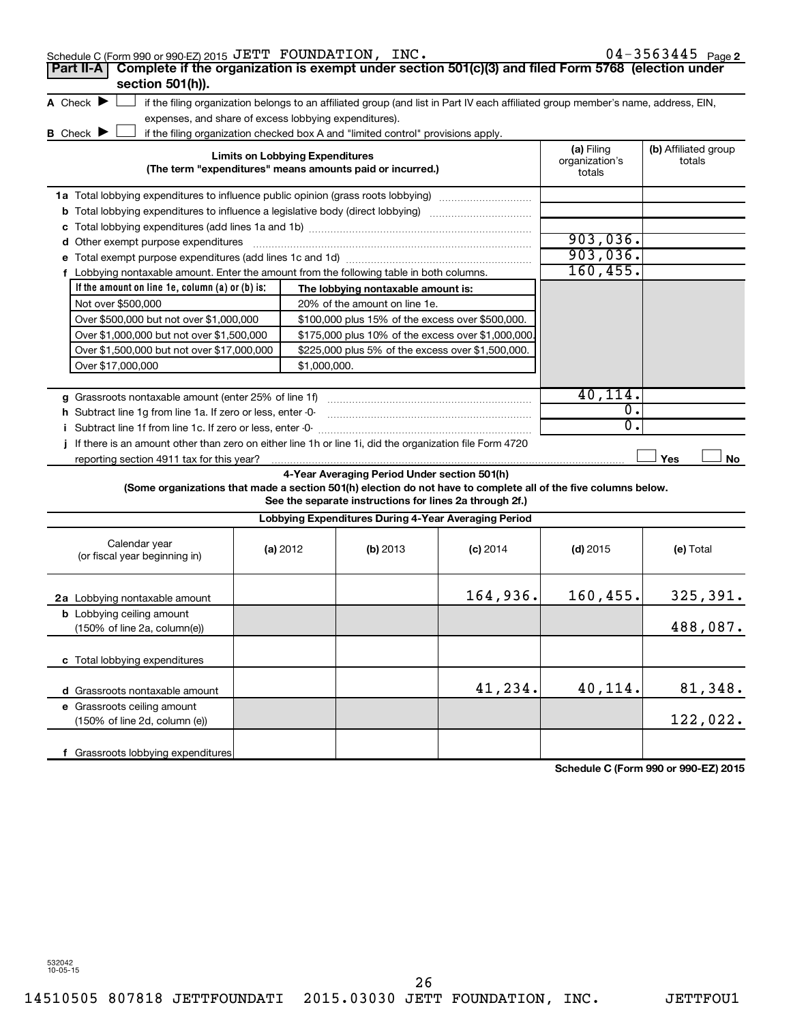| Schedule C (Form 990 or 990-EZ) 2015 JETT FOUNDATION, INC.                                                                                      |                                        |                                                                                                                                               |                                                                                                                                   |                              | $04 - 3563445$ Page 2          |
|-------------------------------------------------------------------------------------------------------------------------------------------------|----------------------------------------|-----------------------------------------------------------------------------------------------------------------------------------------------|-----------------------------------------------------------------------------------------------------------------------------------|------------------------------|--------------------------------|
| Complete if the organization is exempt under section 501(c)(3) and filed Form 5768 (election under<br>Part II-A<br>section 501(h)).             |                                        |                                                                                                                                               |                                                                                                                                   |                              |                                |
| A Check $\blacktriangleright$<br>expenses, and share of excess lobbying expenditures).                                                          |                                        |                                                                                                                                               | if the filing organization belongs to an affiliated group (and list in Part IV each affiliated group member's name, address, EIN, |                              |                                |
| <b>B</b> Check <b>D</b>                                                                                                                         | <b>Limits on Lobbying Expenditures</b> | if the filing organization checked box A and "limited control" provisions apply.<br>(The term "expenditures" means amounts paid or incurred.) |                                                                                                                                   | (a) Filing<br>organization's | (b) Affiliated group<br>totals |
|                                                                                                                                                 |                                        |                                                                                                                                               |                                                                                                                                   | totals                       |                                |
| <b>1a</b> Total lobbying expenditures to influence public opinion (grass roots lobbying)                                                        |                                        |                                                                                                                                               |                                                                                                                                   |                              |                                |
| <b>b</b> Total lobbying expenditures to influence a legislative body (direct lobbying) <i>manumumumum</i>                                       |                                        |                                                                                                                                               |                                                                                                                                   |                              |                                |
|                                                                                                                                                 |                                        |                                                                                                                                               |                                                                                                                                   | 903,036.                     |                                |
| d Other exempt purpose expenditures                                                                                                             |                                        |                                                                                                                                               |                                                                                                                                   | 903,036.                     |                                |
|                                                                                                                                                 |                                        |                                                                                                                                               |                                                                                                                                   | 160, 455.                    |                                |
| f Lobbying nontaxable amount. Enter the amount from the following table in both columns.<br>If the amount on line 1e, column $(a)$ or $(b)$ is: |                                        | The lobbying nontaxable amount is:                                                                                                            |                                                                                                                                   |                              |                                |
| Not over \$500,000                                                                                                                              |                                        | 20% of the amount on line 1e.                                                                                                                 |                                                                                                                                   |                              |                                |
| Over \$500,000 but not over \$1,000,000                                                                                                         |                                        | \$100,000 plus 15% of the excess over \$500,000.                                                                                              |                                                                                                                                   |                              |                                |
| Over \$1,000,000 but not over \$1,500,000                                                                                                       |                                        | \$175,000 plus 10% of the excess over \$1,000,000                                                                                             |                                                                                                                                   |                              |                                |
| Over \$1,500,000 but not over \$17,000,000                                                                                                      |                                        | \$225,000 plus 5% of the excess over \$1,500,000.                                                                                             |                                                                                                                                   |                              |                                |
| Over \$17,000,000                                                                                                                               | \$1,000,000.                           |                                                                                                                                               |                                                                                                                                   |                              |                                |
|                                                                                                                                                 |                                        |                                                                                                                                               |                                                                                                                                   |                              |                                |
|                                                                                                                                                 |                                        |                                                                                                                                               |                                                                                                                                   | 40,114.                      |                                |
| h Subtract line 1g from line 1a. If zero or less, enter -0-                                                                                     |                                        |                                                                                                                                               |                                                                                                                                   | 0.                           |                                |
|                                                                                                                                                 |                                        |                                                                                                                                               |                                                                                                                                   | $\overline{0}$ .             |                                |
| If there is an amount other than zero on either line 1h or line 1i, did the organization file Form 4720                                         |                                        |                                                                                                                                               |                                                                                                                                   |                              |                                |
|                                                                                                                                                 |                                        |                                                                                                                                               |                                                                                                                                   |                              | Yes<br>No                      |
|                                                                                                                                                 |                                        | 4-Year Averaging Period Under section 501(h)                                                                                                  |                                                                                                                                   |                              |                                |
| (Some organizations that made a section 501(h) election do not have to complete all of the five columns below.                                  |                                        | See the separate instructions for lines 2a through 2f.)                                                                                       |                                                                                                                                   |                              |                                |
|                                                                                                                                                 |                                        | Lobbying Expenditures During 4-Year Averaging Period                                                                                          |                                                                                                                                   |                              |                                |
|                                                                                                                                                 |                                        |                                                                                                                                               |                                                                                                                                   |                              |                                |
| Calendar year<br>(or fiscal year beginning in)                                                                                                  | (a) 2012                               | (b) 2013                                                                                                                                      | $(c)$ 2014                                                                                                                        | $(d)$ 2015                   | (e) Total                      |
| 2a Lobbying nontaxable amount                                                                                                                   |                                        |                                                                                                                                               | 164,936.                                                                                                                          | 160, 455.                    | 325, 391.                      |
| <b>b</b> Lobbying ceiling amount                                                                                                                |                                        |                                                                                                                                               |                                                                                                                                   |                              |                                |
| (150% of line 2a, column(e))                                                                                                                    |                                        |                                                                                                                                               |                                                                                                                                   |                              | 488,087.                       |
| c Total lobbying expenditures                                                                                                                   |                                        |                                                                                                                                               |                                                                                                                                   |                              |                                |
| d Grassroots nontaxable amount                                                                                                                  |                                        |                                                                                                                                               | 41,234.                                                                                                                           | 40,114.                      | 81,348.                        |
| e Grassroots ceiling amount                                                                                                                     |                                        |                                                                                                                                               |                                                                                                                                   |                              |                                |
| (150% of line 2d, column (e))                                                                                                                   |                                        |                                                                                                                                               |                                                                                                                                   |                              | 122,022.                       |
| f Grassroots lobbying expenditures                                                                                                              |                                        |                                                                                                                                               |                                                                                                                                   |                              |                                |

**Schedule C (Form 990 or 990-EZ) 2015**

532042 10-05-15

26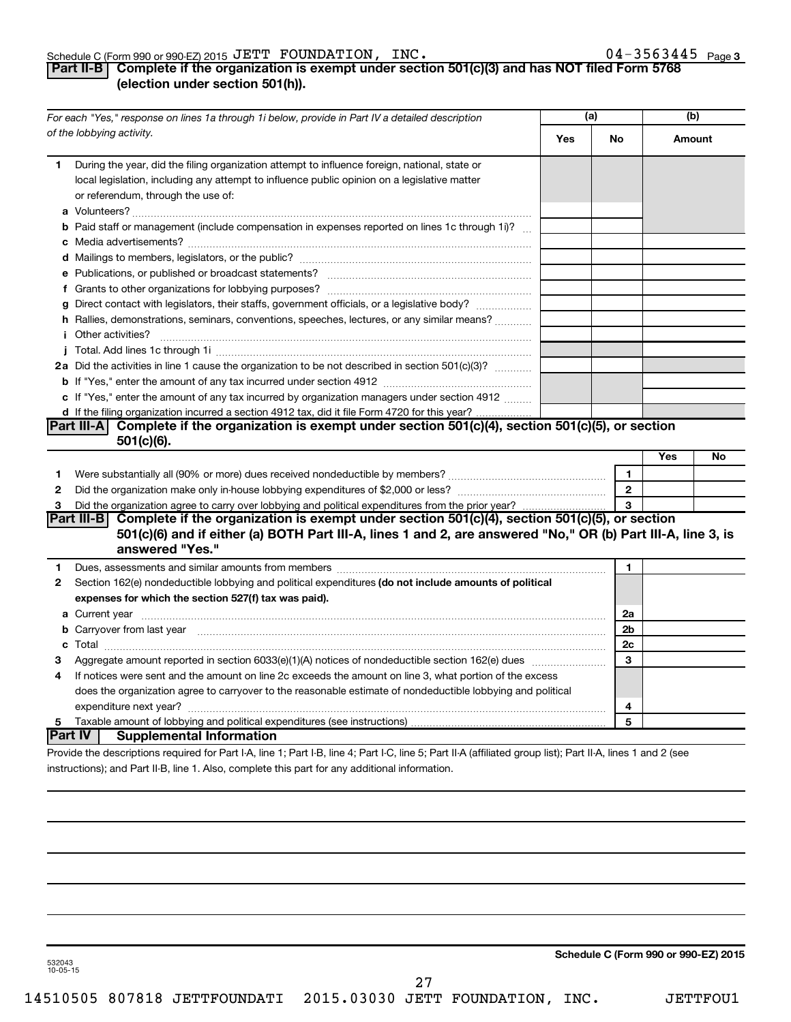### Schedule C (Form 990 or 990-EZ) 2015  ${\tt JETT}$   ${\tt FOUNDATION}$ ,  ${\tt INC.}$  04  $-$  3563445  ${\tt Page}$

### **Part II-B Complete if the organization is exempt under section 501(c)(3) and has NOT filed Form 5768 (election under section 501(h)).**

|              | For each "Yes," response on lines 1a through 1i below, provide in Part IV a detailed description                                                                                                                                                                                                                                                                                                                                                                          | (a) |                | (b) |        |
|--------------|---------------------------------------------------------------------------------------------------------------------------------------------------------------------------------------------------------------------------------------------------------------------------------------------------------------------------------------------------------------------------------------------------------------------------------------------------------------------------|-----|----------------|-----|--------|
|              | of the lobbying activity.                                                                                                                                                                                                                                                                                                                                                                                                                                                 | Yes | No             |     | Amount |
| 1.           | During the year, did the filing organization attempt to influence foreign, national, state or<br>local legislation, including any attempt to influence public opinion on a legislative matter<br>or referendum, through the use of:                                                                                                                                                                                                                                       |     |                |     |        |
|              | <b>b</b> Paid staff or management (include compensation in expenses reported on lines 1c through 1i)?                                                                                                                                                                                                                                                                                                                                                                     |     |                |     |        |
|              |                                                                                                                                                                                                                                                                                                                                                                                                                                                                           |     |                |     |        |
|              |                                                                                                                                                                                                                                                                                                                                                                                                                                                                           |     |                |     |        |
|              |                                                                                                                                                                                                                                                                                                                                                                                                                                                                           |     |                |     |        |
|              | g Direct contact with legislators, their staffs, government officials, or a legislative body?                                                                                                                                                                                                                                                                                                                                                                             |     |                |     |        |
|              | h Rallies, demonstrations, seminars, conventions, speeches, lectures, or any similar means?                                                                                                                                                                                                                                                                                                                                                                               |     |                |     |        |
|              | <i>i</i> Other activities?<br>$\begin{minipage}{0.5\textwidth} \begin{tabular}{ l l l } \hline \multicolumn{1}{ l l l } \hline \multicolumn{1}{ l l } \multicolumn{1}{ l } \multicolumn{1}{ l } \multicolumn{1}{ l } \multicolumn{1}{ l } \multicolumn{1}{ l } \multicolumn{1}{ l } \multicolumn{1}{ l } \multicolumn{1}{ l } \multicolumn{1}{ l } \multicolumn{1}{ l } \multicolumn{1}{ l } \multicolumn{1}{ l } \multicolumn{1}{ l } \multicolumn{1}{ l } \multicolumn$ |     |                |     |        |
|              |                                                                                                                                                                                                                                                                                                                                                                                                                                                                           |     |                |     |        |
|              | 2a Did the activities in line 1 cause the organization to be not described in section 501(c)(3)?                                                                                                                                                                                                                                                                                                                                                                          |     |                |     |        |
|              |                                                                                                                                                                                                                                                                                                                                                                                                                                                                           |     |                |     |        |
|              | c If "Yes," enter the amount of any tax incurred by organization managers under section 4912                                                                                                                                                                                                                                                                                                                                                                              |     |                |     |        |
|              | d If the filing organization incurred a section 4912 tax, did it file Form 4720 for this year?                                                                                                                                                                                                                                                                                                                                                                            |     |                |     |        |
|              | Part III-A Complete if the organization is exempt under section $501(c)(4)$ , section $501(c)(5)$ , or section                                                                                                                                                                                                                                                                                                                                                            |     |                |     |        |
|              | $501(c)(6)$ .                                                                                                                                                                                                                                                                                                                                                                                                                                                             |     |                |     |        |
|              |                                                                                                                                                                                                                                                                                                                                                                                                                                                                           |     |                | Yes | No     |
| 1            |                                                                                                                                                                                                                                                                                                                                                                                                                                                                           |     | 1              |     |        |
| 2            |                                                                                                                                                                                                                                                                                                                                                                                                                                                                           |     | $\overline{2}$ |     |        |
| 3            |                                                                                                                                                                                                                                                                                                                                                                                                                                                                           |     | 3              |     |        |
|              | Part III-B Complete if the organization is exempt under section 501(c)(4), section 501(c)(5), or section<br>501(c)(6) and if either (a) BOTH Part III-A, lines 1 and 2, are answered "No," OR (b) Part III-A, line 3, is<br>answered "Yes."                                                                                                                                                                                                                               |     |                |     |        |
| 1.           | Dues, assessments and similar amounts from members [11] matter content and stream and similar amounts from members [11] matter and similar amounts from members [11] matter and stream and stream and stream and stream and st                                                                                                                                                                                                                                            |     | 1              |     |        |
| $\mathbf{2}$ | Section 162(e) nondeductible lobbying and political expenditures (do not include amounts of political                                                                                                                                                                                                                                                                                                                                                                     |     |                |     |        |
|              | expenses for which the section 527(f) tax was paid).                                                                                                                                                                                                                                                                                                                                                                                                                      |     |                |     |        |
|              |                                                                                                                                                                                                                                                                                                                                                                                                                                                                           |     | 2a             |     |        |
|              | b Carryover from last year manufactured and content to content the content of the content of the content of the content of the content of the content of the content of the content of the content of the content of the conte                                                                                                                                                                                                                                            |     | 2b             |     |        |
|              |                                                                                                                                                                                                                                                                                                                                                                                                                                                                           |     | 2 <sub>c</sub> |     |        |
| 3            |                                                                                                                                                                                                                                                                                                                                                                                                                                                                           |     | 3              |     |        |
| 4            | If notices were sent and the amount on line 2c exceeds the amount on line 3, what portion of the excess                                                                                                                                                                                                                                                                                                                                                                   |     |                |     |        |
|              | does the organization agree to carryover to the reasonable estimate of nondeductible lobbying and political                                                                                                                                                                                                                                                                                                                                                               |     |                |     |        |
|              |                                                                                                                                                                                                                                                                                                                                                                                                                                                                           |     | 4              |     |        |
| 5            |                                                                                                                                                                                                                                                                                                                                                                                                                                                                           |     | 5              |     |        |
|              | IPart IV I<br><b>Supplemental Information</b>                                                                                                                                                                                                                                                                                                                                                                                                                             |     |                |     |        |
|              | Provide the descriptions required for Part I-A, line 1; Part I-B, line 4; Part I-C, line 5; Part II-A (affiliated group list); Part II-A, lines 1 and 2 (see                                                                                                                                                                                                                                                                                                              |     |                |     |        |

instructions); and Part II-B, line 1. Also, complete this part for any additional information.

**Schedule C (Form 990 or 990-EZ) 2015**

532043 10-05-15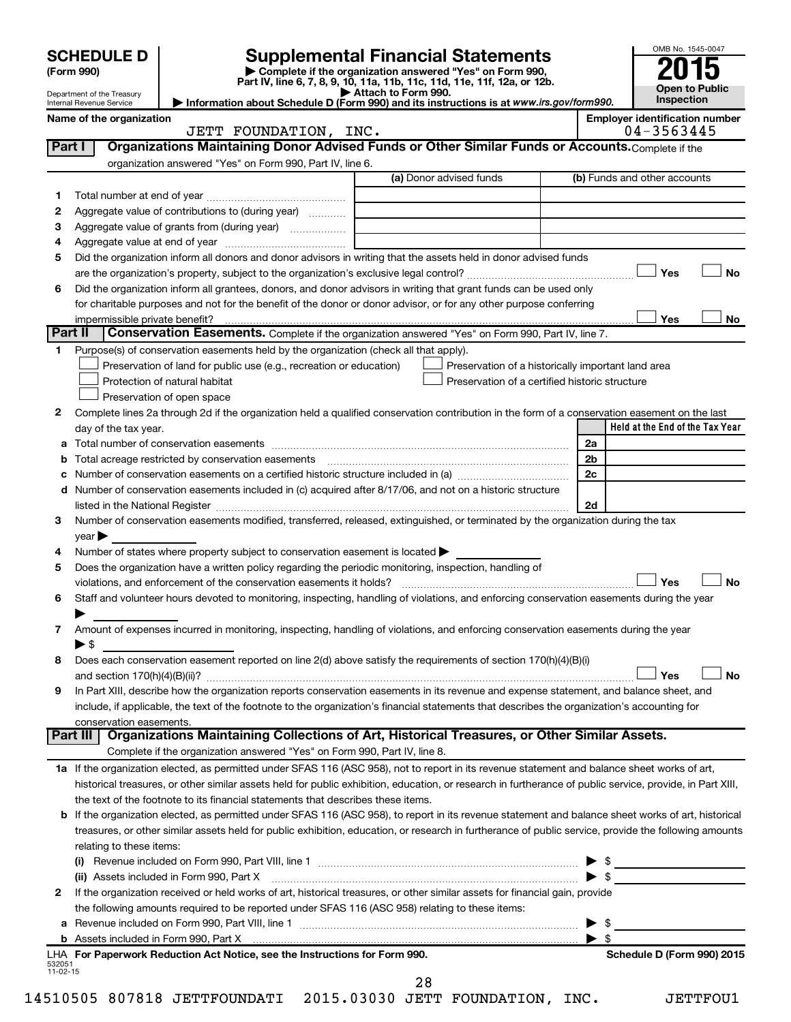|                          | <b>SCHEDULE D</b>                                                                                                            |                                                                                                        | <b>Supplemental Financial Statements</b>                                                                                                                                                                                       |                         | OMB No. 1545-0047               |  |
|--------------------------|------------------------------------------------------------------------------------------------------------------------------|--------------------------------------------------------------------------------------------------------|--------------------------------------------------------------------------------------------------------------------------------------------------------------------------------------------------------------------------------|-------------------------|---------------------------------|--|
| (Form 990)               |                                                                                                                              |                                                                                                        |                                                                                                                                                                                                                                |                         |                                 |  |
|                          |                                                                                                                              |                                                                                                        | Complete if the organization answered "Yes" on Form 990,<br>Part IV, line 6, 7, 8, 9, 10, 11a, 11b, 11c, 11d, 11e, 11f, 12a, or 12b.                                                                                           |                         | Open to Public                  |  |
|                          | Department of the Treasury<br>Internal Revenue Service                                                                       |                                                                                                        | Attach to Form 990.<br>Information about Schedule D (Form 990) and its instructions is at www.irs.gov/form990.                                                                                                                 |                         | Inspection                      |  |
| Name of the organization | <b>Employer identification number</b><br>04-3563445                                                                          |                                                                                                        |                                                                                                                                                                                                                                |                         |                                 |  |
|                          | Part I                                                                                                                       | JETT FOUNDATION, INC.                                                                                  | Organizations Maintaining Donor Advised Funds or Other Similar Funds or Accounts. Complete if the                                                                                                                              |                         |                                 |  |
|                          |                                                                                                                              | organization answered "Yes" on Form 990, Part IV, line 6.                                              |                                                                                                                                                                                                                                |                         |                                 |  |
|                          |                                                                                                                              |                                                                                                        | (a) Donor advised funds                                                                                                                                                                                                        |                         | (b) Funds and other accounts    |  |
| 1                        |                                                                                                                              |                                                                                                        |                                                                                                                                                                                                                                |                         |                                 |  |
| 2                        |                                                                                                                              | Aggregate value of contributions to (during year)                                                      |                                                                                                                                                                                                                                |                         |                                 |  |
| з                        |                                                                                                                              | Aggregate value of grants from (during year)                                                           |                                                                                                                                                                                                                                |                         |                                 |  |
| 4                        |                                                                                                                              |                                                                                                        |                                                                                                                                                                                                                                |                         |                                 |  |
| 5                        |                                                                                                                              |                                                                                                        | Did the organization inform all donors and donor advisors in writing that the assets held in donor advised funds                                                                                                               |                         |                                 |  |
|                          |                                                                                                                              |                                                                                                        |                                                                                                                                                                                                                                |                         | Yes<br>No                       |  |
| 6                        |                                                                                                                              |                                                                                                        | Did the organization inform all grantees, donors, and donor advisors in writing that grant funds can be used only                                                                                                              |                         |                                 |  |
|                          |                                                                                                                              |                                                                                                        | for charitable purposes and not for the benefit of the donor or donor advisor, or for any other purpose conferring                                                                                                             |                         |                                 |  |
|                          | impermissible private benefit?                                                                                               |                                                                                                        |                                                                                                                                                                                                                                |                         | Yes<br>No                       |  |
|                          | Part II                                                                                                                      |                                                                                                        | Conservation Easements. Complete if the organization answered "Yes" on Form 990, Part IV, line 7.                                                                                                                              |                         |                                 |  |
| 1.                       |                                                                                                                              | Purpose(s) of conservation easements held by the organization (check all that apply).                  |                                                                                                                                                                                                                                |                         |                                 |  |
|                          |                                                                                                                              | Preservation of land for public use (e.g., recreation or education)                                    | Preservation of a historically important land area                                                                                                                                                                             |                         |                                 |  |
|                          |                                                                                                                              | Protection of natural habitat                                                                          | Preservation of a certified historic structure                                                                                                                                                                                 |                         |                                 |  |
|                          |                                                                                                                              | Preservation of open space                                                                             |                                                                                                                                                                                                                                |                         |                                 |  |
| 2                        |                                                                                                                              |                                                                                                        | Complete lines 2a through 2d if the organization held a qualified conservation contribution in the form of a conservation easement on the last                                                                                 |                         |                                 |  |
|                          | day of the tax year.                                                                                                         |                                                                                                        |                                                                                                                                                                                                                                |                         | Held at the End of the Tax Year |  |
| а                        |                                                                                                                              |                                                                                                        |                                                                                                                                                                                                                                | 2a                      |                                 |  |
| b                        |                                                                                                                              | Total acreage restricted by conservation easements                                                     |                                                                                                                                                                                                                                | 2 <sub>b</sub>          |                                 |  |
| с                        |                                                                                                                              |                                                                                                        | Number of conservation easements on a certified historic structure included in (a) manufacture included in (a)                                                                                                                 | 2c                      |                                 |  |
|                          |                                                                                                                              |                                                                                                        | d Number of conservation easements included in (c) acquired after 8/17/06, and not on a historic structure                                                                                                                     |                         |                                 |  |
|                          |                                                                                                                              |                                                                                                        | listed in the National Register [11, 1200] [12] The Materian Register [12] The Materian Register [12] The Mational Register [12] The Material Register [12] The Material Register [12] The Material Register [12] The Material | 2d                      |                                 |  |
| 3                        |                                                                                                                              |                                                                                                        | Number of conservation easements modified, transferred, released, extinguished, or terminated by the organization during the tax                                                                                               |                         |                                 |  |
|                          | year                                                                                                                         |                                                                                                        |                                                                                                                                                                                                                                |                         |                                 |  |
| 4                        |                                                                                                                              | Number of states where property subject to conservation easement is located >                          |                                                                                                                                                                                                                                |                         |                                 |  |
| 5                        |                                                                                                                              | Does the organization have a written policy regarding the periodic monitoring, inspection, handling of |                                                                                                                                                                                                                                |                         |                                 |  |
|                          |                                                                                                                              | violations, and enforcement of the conservation easements it holds?                                    |                                                                                                                                                                                                                                |                         | Yes<br>No                       |  |
| 6                        |                                                                                                                              |                                                                                                        | Staff and volunteer hours devoted to monitoring, inspecting, handling of violations, and enforcing conservation easements during the year                                                                                      |                         |                                 |  |
|                          |                                                                                                                              |                                                                                                        |                                                                                                                                                                                                                                |                         |                                 |  |
| 7                        |                                                                                                                              |                                                                                                        | Amount of expenses incurred in monitoring, inspecting, handling of violations, and enforcing conservation easements during the year                                                                                            |                         |                                 |  |
|                          | $\blacktriangleright$ \$                                                                                                     |                                                                                                        |                                                                                                                                                                                                                                |                         |                                 |  |
| 8                        |                                                                                                                              |                                                                                                        | Does each conservation easement reported on line 2(d) above satisfy the requirements of section 170(h)(4)(B)(i)                                                                                                                |                         |                                 |  |
|                          |                                                                                                                              |                                                                                                        |                                                                                                                                                                                                                                |                         | Yes<br>No                       |  |
| 9                        |                                                                                                                              |                                                                                                        | In Part XIII, describe how the organization reports conservation easements in its revenue and expense statement, and balance sheet, and                                                                                        |                         |                                 |  |
|                          |                                                                                                                              |                                                                                                        | include, if applicable, the text of the footnote to the organization's financial statements that describes the organization's accounting for                                                                                   |                         |                                 |  |
|                          | conservation easements.                                                                                                      |                                                                                                        |                                                                                                                                                                                                                                |                         |                                 |  |
|                          | Part III I                                                                                                                   |                                                                                                        | Organizations Maintaining Collections of Art, Historical Treasures, or Other Similar Assets.                                                                                                                                   |                         |                                 |  |
|                          |                                                                                                                              | Complete if the organization answered "Yes" on Form 990, Part IV, line 8.                              |                                                                                                                                                                                                                                |                         |                                 |  |
|                          |                                                                                                                              |                                                                                                        | 1a If the organization elected, as permitted under SFAS 116 (ASC 958), not to report in its revenue statement and balance sheet works of art,                                                                                  |                         |                                 |  |
|                          |                                                                                                                              |                                                                                                        | historical treasures, or other similar assets held for public exhibition, education, or research in furtherance of public service, provide, in Part XIII,                                                                      |                         |                                 |  |
|                          |                                                                                                                              | the text of the footnote to its financial statements that describes these items.                       |                                                                                                                                                                                                                                |                         |                                 |  |
| b                        |                                                                                                                              |                                                                                                        | If the organization elected, as permitted under SFAS 116 (ASC 958), to report in its revenue statement and balance sheet works of art, historical                                                                              |                         |                                 |  |
|                          |                                                                                                                              |                                                                                                        | treasures, or other similar assets held for public exhibition, education, or research in furtherance of public service, provide the following amounts                                                                          |                         |                                 |  |
|                          | relating to these items:                                                                                                     |                                                                                                        |                                                                                                                                                                                                                                |                         |                                 |  |
|                          |                                                                                                                              |                                                                                                        |                                                                                                                                                                                                                                |                         |                                 |  |
|                          |                                                                                                                              |                                                                                                        |                                                                                                                                                                                                                                |                         | $\triangleright$ \$             |  |
| 2                        | If the organization received or held works of art, historical treasures, or other similar assets for financial gain, provide |                                                                                                        |                                                                                                                                                                                                                                |                         |                                 |  |
|                          |                                                                                                                              | the following amounts required to be reported under SFAS 116 (ASC 958) relating to these items:        |                                                                                                                                                                                                                                |                         |                                 |  |
|                          |                                                                                                                              |                                                                                                        |                                                                                                                                                                                                                                |                         |                                 |  |
|                          |                                                                                                                              |                                                                                                        |                                                                                                                                                                                                                                | $\blacktriangleright$ s |                                 |  |
|                          |                                                                                                                              | LHA For Paperwork Reduction Act Notice, see the Instructions for Form 990.                             |                                                                                                                                                                                                                                |                         | Schedule D (Form 990) 2015      |  |
| 532051<br>11-02-15       |                                                                                                                              |                                                                                                        |                                                                                                                                                                                                                                |                         |                                 |  |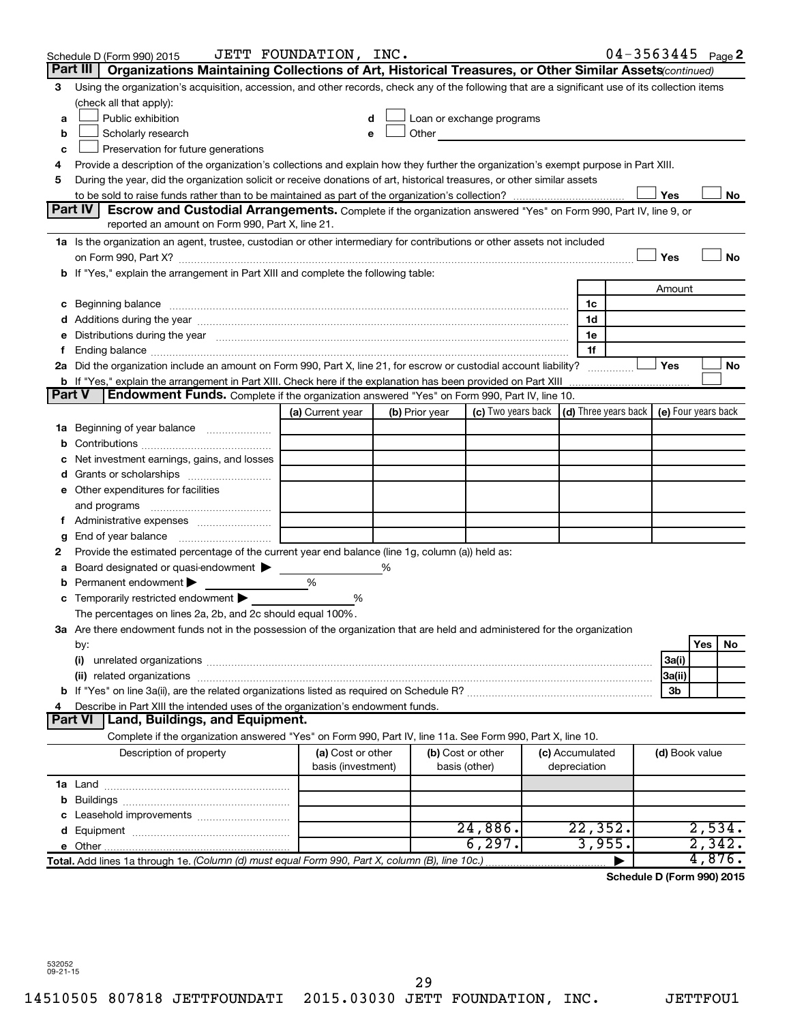|               | Schedule D (Form 990) 2015                                                                                                                                                                                                     | JETT FOUNDATION, INC.                   |   |                |                                                                             |                                 | $04 - 3563445$ Page 2 |                |        |           |
|---------------|--------------------------------------------------------------------------------------------------------------------------------------------------------------------------------------------------------------------------------|-----------------------------------------|---|----------------|-----------------------------------------------------------------------------|---------------------------------|-----------------------|----------------|--------|-----------|
|               | Part III<br>Organizations Maintaining Collections of Art, Historical Treasures, or Other Similar Assets (continued)                                                                                                            |                                         |   |                |                                                                             |                                 |                       |                |        |           |
| 3             | Using the organization's acquisition, accession, and other records, check any of the following that are a significant use of its collection items                                                                              |                                         |   |                |                                                                             |                                 |                       |                |        |           |
|               | (check all that apply):                                                                                                                                                                                                        |                                         |   |                |                                                                             |                                 |                       |                |        |           |
| a             | Public exhibition                                                                                                                                                                                                              |                                         |   |                | Loan or exchange programs                                                   |                                 |                       |                |        |           |
| b             | Scholarly research                                                                                                                                                                                                             |                                         |   | Other          |                                                                             |                                 |                       |                |        |           |
| с             | Preservation for future generations                                                                                                                                                                                            |                                         |   |                |                                                                             |                                 |                       |                |        |           |
| 4             | Provide a description of the organization's collections and explain how they further the organization's exempt purpose in Part XIII.                                                                                           |                                         |   |                |                                                                             |                                 |                       |                |        |           |
| 5             | During the year, did the organization solicit or receive donations of art, historical treasures, or other similar assets                                                                                                       |                                         |   |                |                                                                             |                                 |                       |                |        |           |
|               |                                                                                                                                                                                                                                |                                         |   |                |                                                                             |                                 |                       | Yes            |        | No        |
|               | Part IV I<br><b>Escrow and Custodial Arrangements.</b> Complete if the organization answered "Yes" on Form 990, Part IV, line 9, or<br>reported an amount on Form 990, Part X, line 21.                                        |                                         |   |                |                                                                             |                                 |                       |                |        |           |
|               |                                                                                                                                                                                                                                |                                         |   |                |                                                                             |                                 |                       |                |        |           |
|               | 1a Is the organization an agent, trustee, custodian or other intermediary for contributions or other assets not included                                                                                                       |                                         |   |                |                                                                             |                                 |                       | Yes            |        | <b>No</b> |
|               | b If "Yes," explain the arrangement in Part XIII and complete the following table:                                                                                                                                             |                                         |   |                |                                                                             |                                 |                       |                |        |           |
|               |                                                                                                                                                                                                                                |                                         |   |                |                                                                             |                                 |                       | Amount         |        |           |
|               |                                                                                                                                                                                                                                |                                         |   |                |                                                                             | 1c                              |                       |                |        |           |
|               |                                                                                                                                                                                                                                |                                         |   |                |                                                                             | 1d                              |                       |                |        |           |
|               | e Distributions during the year measurement contained and all the control of the set of the set of the set of the set of the set of the set of the set of the set of the set of the set of the set of the set of the set of th |                                         |   |                |                                                                             | 1e                              |                       |                |        |           |
|               |                                                                                                                                                                                                                                |                                         |   |                |                                                                             | 1f                              |                       |                |        |           |
|               | 2a Did the organization include an amount on Form 990, Part X, line 21, for escrow or custodial account liability?                                                                                                             |                                         |   |                |                                                                             |                                 |                       | Yes            |        | No        |
|               | <b>b</b> If "Yes," explain the arrangement in Part XIII. Check here if the explanation has been provided on Part XIII                                                                                                          |                                         |   |                |                                                                             |                                 |                       |                |        |           |
| <b>Part V</b> | <b>Endowment Funds.</b> Complete if the organization answered "Yes" on Form 990, Part IV, line 10.                                                                                                                             |                                         |   |                |                                                                             |                                 |                       |                |        |           |
|               |                                                                                                                                                                                                                                | (a) Current year                        |   | (b) Prior year | (c) Two years back $\vert$ (d) Three years back $\vert$ (e) Four years back |                                 |                       |                |        |           |
|               | 1a Beginning of year balance                                                                                                                                                                                                   |                                         |   |                |                                                                             |                                 |                       |                |        |           |
| b             |                                                                                                                                                                                                                                |                                         |   |                |                                                                             |                                 |                       |                |        |           |
| с             | Net investment earnings, gains, and losses                                                                                                                                                                                     |                                         |   |                |                                                                             |                                 |                       |                |        |           |
|               |                                                                                                                                                                                                                                |                                         |   |                |                                                                             |                                 |                       |                |        |           |
|               | e Other expenditures for facilities                                                                                                                                                                                            |                                         |   |                |                                                                             |                                 |                       |                |        |           |
|               | and programs                                                                                                                                                                                                                   |                                         |   |                |                                                                             |                                 |                       |                |        |           |
|               |                                                                                                                                                                                                                                |                                         |   |                |                                                                             |                                 |                       |                |        |           |
| g             |                                                                                                                                                                                                                                |                                         |   |                |                                                                             |                                 |                       |                |        |           |
| 2             | Provide the estimated percentage of the current year end balance (line 1g, column (a)) held as:                                                                                                                                |                                         |   |                |                                                                             |                                 |                       |                |        |           |
| а             | Board designated or quasi-endowment $\blacktriangleright$                                                                                                                                                                      |                                         | % |                |                                                                             |                                 |                       |                |        |           |
| b             | Permanent endowment                                                                                                                                                                                                            | %                                       |   |                |                                                                             |                                 |                       |                |        |           |
|               | <b>c</b> Temporarily restricted endowment $\blacktriangleright$                                                                                                                                                                | %                                       |   |                |                                                                             |                                 |                       |                |        |           |
|               | The percentages on lines 2a, 2b, and 2c should equal 100%.                                                                                                                                                                     |                                         |   |                |                                                                             |                                 |                       |                |        |           |
|               | 3a Are there endowment funds not in the possession of the organization that are held and administered for the organization                                                                                                     |                                         |   |                |                                                                             |                                 |                       |                |        |           |
|               | by:                                                                                                                                                                                                                            |                                         |   |                |                                                                             |                                 |                       |                | Yes    | No        |
|               | (i)                                                                                                                                                                                                                            |                                         |   |                |                                                                             |                                 |                       | 3a(i)          |        |           |
|               |                                                                                                                                                                                                                                |                                         |   |                |                                                                             |                                 |                       | 3a(ii)         |        |           |
|               |                                                                                                                                                                                                                                |                                         |   |                |                                                                             |                                 |                       | 3b             |        |           |
| 4             | Describe in Part XIII the intended uses of the organization's endowment funds.<br>Land, Buildings, and Equipment.<br><b>Part VI</b>                                                                                            |                                         |   |                |                                                                             |                                 |                       |                |        |           |
|               | Complete if the organization answered "Yes" on Form 990, Part IV, line 11a. See Form 990, Part X, line 10.                                                                                                                     |                                         |   |                |                                                                             |                                 |                       |                |        |           |
|               |                                                                                                                                                                                                                                |                                         |   |                | (b) Cost or other                                                           |                                 |                       |                |        |           |
|               | Description of property                                                                                                                                                                                                        | (a) Cost or other<br>basis (investment) |   |                | basis (other)                                                               | (c) Accumulated<br>depreciation |                       | (d) Book value |        |           |
|               |                                                                                                                                                                                                                                |                                         |   |                |                                                                             |                                 |                       |                |        |           |
| b             |                                                                                                                                                                                                                                |                                         |   |                |                                                                             |                                 |                       |                |        |           |
|               |                                                                                                                                                                                                                                |                                         |   |                |                                                                             |                                 |                       |                |        |           |
|               |                                                                                                                                                                                                                                |                                         |   |                | 24,886.                                                                     | 22, 352.                        |                       |                | 2,534. |           |
|               |                                                                                                                                                                                                                                |                                         |   |                | 6, 297.                                                                     | 3,955.                          |                       |                | 2,342. |           |
|               | Total. Add lines 1a through 1e. (Column (d) must equal Form 990, Part X, column (B), line 10c.)                                                                                                                                |                                         |   |                |                                                                             |                                 |                       |                | 4,876. |           |
|               |                                                                                                                                                                                                                                |                                         |   |                |                                                                             |                                 |                       |                |        |           |

**Schedule D (Form 990) 2015**

532052 09-21-15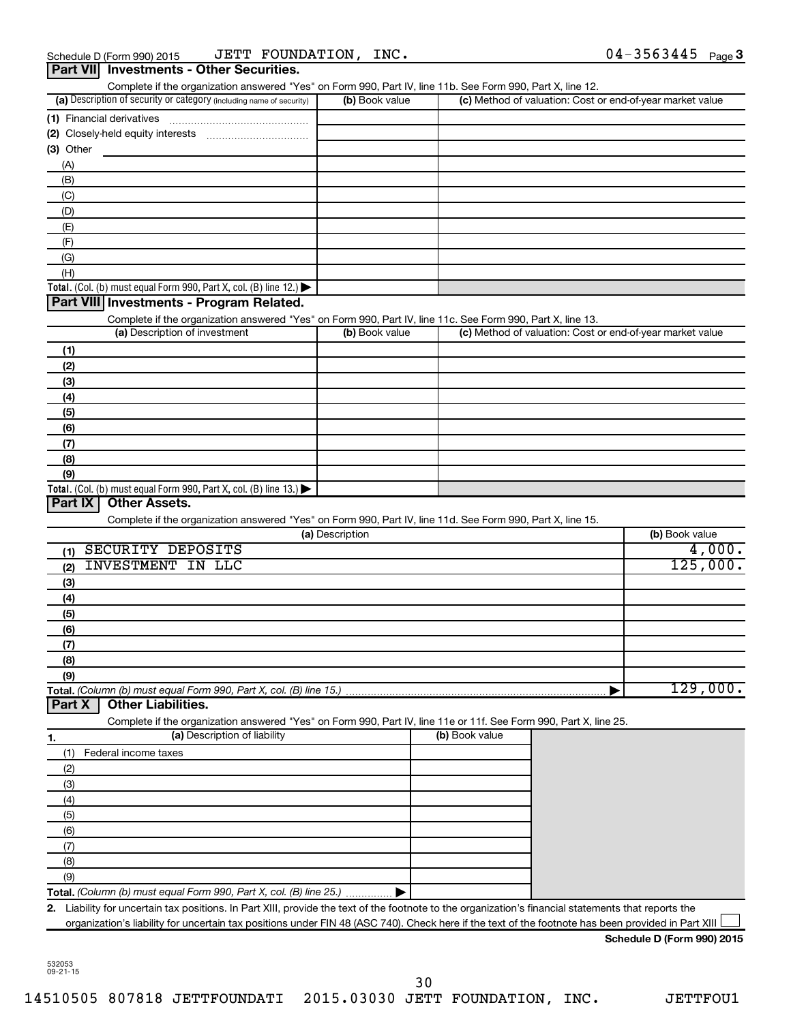| Complete if the organization answered "Yes" on Form 990, Part IV, line 11b. See Form 990, Part X, line 12.<br>(a) Description of security or category (including name of security)                                                             | (b) Book value  |                |  | (c) Method of valuation: Cost or end-of-year market value |
|------------------------------------------------------------------------------------------------------------------------------------------------------------------------------------------------------------------------------------------------|-----------------|----------------|--|-----------------------------------------------------------|
|                                                                                                                                                                                                                                                |                 |                |  |                                                           |
|                                                                                                                                                                                                                                                |                 |                |  |                                                           |
|                                                                                                                                                                                                                                                |                 |                |  |                                                           |
| $(3)$ Other                                                                                                                                                                                                                                    |                 |                |  |                                                           |
| (A)                                                                                                                                                                                                                                            |                 |                |  |                                                           |
| (B)                                                                                                                                                                                                                                            |                 |                |  |                                                           |
| (C)                                                                                                                                                                                                                                            |                 |                |  |                                                           |
| (D)                                                                                                                                                                                                                                            |                 |                |  |                                                           |
| (E)                                                                                                                                                                                                                                            |                 |                |  |                                                           |
| (F)                                                                                                                                                                                                                                            |                 |                |  |                                                           |
| (G)                                                                                                                                                                                                                                            |                 |                |  |                                                           |
| (H)                                                                                                                                                                                                                                            |                 |                |  |                                                           |
| Total. (Col. (b) must equal Form 990, Part X, col. (B) line 12.)                                                                                                                                                                               |                 |                |  |                                                           |
| Part VIII Investments - Program Related.                                                                                                                                                                                                       |                 |                |  |                                                           |
| Complete if the organization answered "Yes" on Form 990, Part IV, line 11c. See Form 990, Part X, line 13.                                                                                                                                     |                 |                |  |                                                           |
| (a) Description of investment                                                                                                                                                                                                                  | (b) Book value  |                |  | (c) Method of valuation: Cost or end-of-year market value |
|                                                                                                                                                                                                                                                |                 |                |  |                                                           |
| (1)                                                                                                                                                                                                                                            |                 |                |  |                                                           |
| (2)                                                                                                                                                                                                                                            |                 |                |  |                                                           |
| (3)                                                                                                                                                                                                                                            |                 |                |  |                                                           |
| (4)                                                                                                                                                                                                                                            |                 |                |  |                                                           |
| (5)                                                                                                                                                                                                                                            |                 |                |  |                                                           |
| (6)                                                                                                                                                                                                                                            |                 |                |  |                                                           |
| (7)                                                                                                                                                                                                                                            |                 |                |  |                                                           |
|                                                                                                                                                                                                                                                |                 |                |  |                                                           |
|                                                                                                                                                                                                                                                |                 |                |  |                                                           |
| (8)                                                                                                                                                                                                                                            |                 |                |  |                                                           |
| (9)<br>Total. (Col. (b) must equal Form 990, Part X, col. (B) line 13.) $\blacktriangleright$<br>Part IX<br><b>Other Assets.</b><br>Complete if the organization answered "Yes" on Form 990, Part IV, line 11d. See Form 990, Part X, line 15. |                 |                |  |                                                           |
|                                                                                                                                                                                                                                                | (a) Description |                |  | (b) Book value                                            |
| SECURITY DEPOSITS<br>(1)                                                                                                                                                                                                                       |                 |                |  | 4,000.                                                    |
| <b>INVESTMENT IN LLC</b><br>(2)                                                                                                                                                                                                                |                 |                |  | 125,000.                                                  |
| (3)                                                                                                                                                                                                                                            |                 |                |  |                                                           |
| (4)                                                                                                                                                                                                                                            |                 |                |  |                                                           |
| (5)                                                                                                                                                                                                                                            |                 |                |  |                                                           |
| (6)                                                                                                                                                                                                                                            |                 |                |  |                                                           |
| (7)                                                                                                                                                                                                                                            |                 |                |  |                                                           |
| (8)                                                                                                                                                                                                                                            |                 |                |  |                                                           |
| (9)                                                                                                                                                                                                                                            |                 |                |  |                                                           |
| Total. (Column (b) must equal Form 990, Part X, col. (B) line 15.)                                                                                                                                                                             |                 |                |  |                                                           |
| <b>Other Liabilities.</b><br>Part X                                                                                                                                                                                                            |                 |                |  |                                                           |
| Complete if the organization answered "Yes" on Form 990, Part IV, line 11e or 11f. See Form 990, Part X, line 25.                                                                                                                              |                 |                |  |                                                           |
| (a) Description of liability                                                                                                                                                                                                                   |                 | (b) Book value |  |                                                           |
| 1.                                                                                                                                                                                                                                             |                 |                |  |                                                           |
| Federal income taxes<br>(1)                                                                                                                                                                                                                    |                 |                |  |                                                           |
| (2)                                                                                                                                                                                                                                            |                 |                |  | 129,000.                                                  |
| (3)                                                                                                                                                                                                                                            |                 |                |  |                                                           |
| (4)                                                                                                                                                                                                                                            |                 |                |  |                                                           |
| (5)                                                                                                                                                                                                                                            |                 |                |  |                                                           |
| (6)                                                                                                                                                                                                                                            |                 |                |  |                                                           |
| (7)                                                                                                                                                                                                                                            |                 |                |  |                                                           |
| (8)                                                                                                                                                                                                                                            |                 |                |  |                                                           |
| (9)                                                                                                                                                                                                                                            |                 |                |  |                                                           |
| Total. (Column (b) must equal Form 990, Part X, col. (B) line 25.)                                                                                                                                                                             |                 |                |  |                                                           |

532053 09-21-15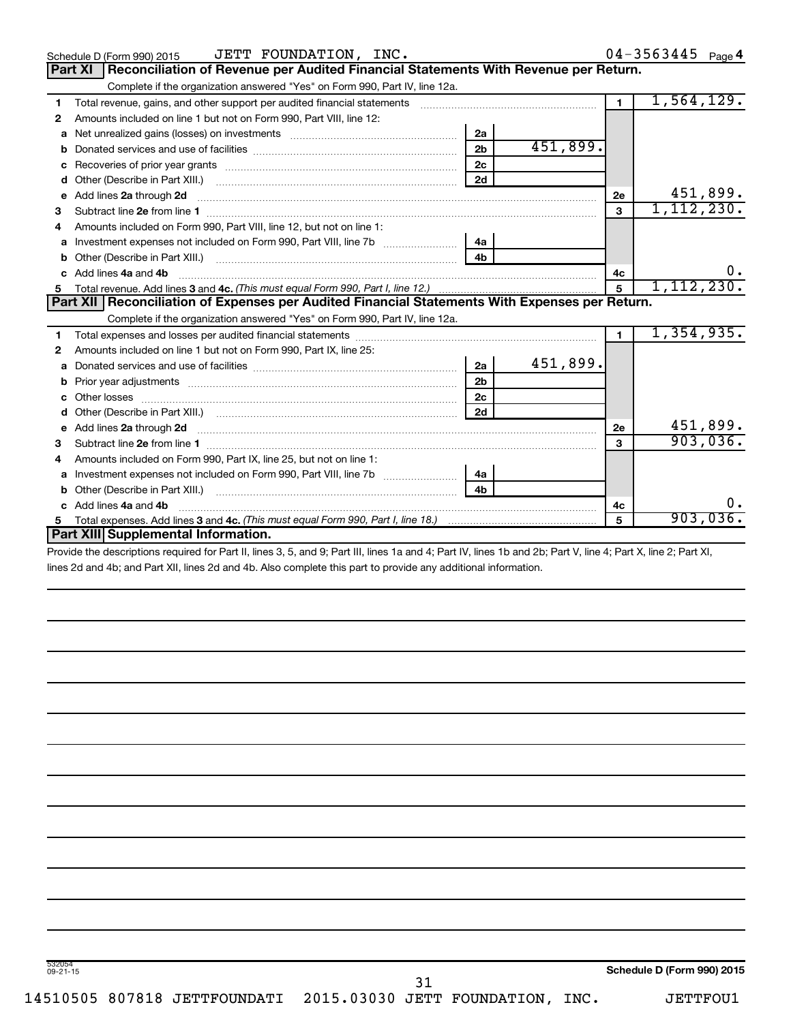|    | JETT FOUNDATION, INC.<br>Schedule D (Form 990) 2015                                                                                                                                                                                  |                |          |              | $04 - 3563445$ Page 4 |
|----|--------------------------------------------------------------------------------------------------------------------------------------------------------------------------------------------------------------------------------------|----------------|----------|--------------|-----------------------|
|    | Reconciliation of Revenue per Audited Financial Statements With Revenue per Return.<br><b>Part XI</b>                                                                                                                                |                |          |              |                       |
|    | Complete if the organization answered "Yes" on Form 990, Part IV, line 12a.                                                                                                                                                          |                |          |              |                       |
| 1  | Total revenue, gains, and other support per audited financial statements [[[[[[[[[[[[[[[[[[[[[[[[]]]]]]]]]]]]                                                                                                                        |                |          | $\mathbf{1}$ | 1,564,129.            |
| 2  | Amounts included on line 1 but not on Form 990, Part VIII, line 12:                                                                                                                                                                  |                |          |              |                       |
| a  | Net unrealized gains (losses) on investments                                                                                                                                                                                         | 2a             |          |              |                       |
| b  |                                                                                                                                                                                                                                      | 2 <sub>b</sub> | 451,899. |              |                       |
| c  |                                                                                                                                                                                                                                      | 2c             |          |              |                       |
| d  |                                                                                                                                                                                                                                      | 2d             |          |              |                       |
| е  | Add lines 2a through 2d                                                                                                                                                                                                              |                |          | 2e           | 451,899.              |
| 3  |                                                                                                                                                                                                                                      |                |          | 3            | 1, 112, 230.          |
| 4  | Amounts included on Form 990, Part VIII, line 12, but not on line 1:                                                                                                                                                                 |                |          |              |                       |
|    |                                                                                                                                                                                                                                      | 4a             |          |              |                       |
| b  |                                                                                                                                                                                                                                      | 4 <sub>b</sub> |          |              |                       |
|    | Add lines 4a and 4b                                                                                                                                                                                                                  |                |          | 4c           |                       |
|    |                                                                                                                                                                                                                                      |                |          | 5            |                       |
|    |                                                                                                                                                                                                                                      |                |          |              | 1, 112, 230.          |
|    | Part XII Reconciliation of Expenses per Audited Financial Statements With Expenses per Return.                                                                                                                                       |                |          |              |                       |
|    | Complete if the organization answered "Yes" on Form 990, Part IV, line 12a.                                                                                                                                                          |                |          |              |                       |
| 1  |                                                                                                                                                                                                                                      |                |          | $\mathbf{1}$ | 1,354,935.            |
| 2  | Amounts included on line 1 but not on Form 990, Part IX, line 25:                                                                                                                                                                    |                |          |              |                       |
| a  |                                                                                                                                                                                                                                      | 2a             | 451,899. |              |                       |
| b  | Prior year adjustments [ www.communications of the contract of the contract of the contract of the contract of                                                                                                                       | 2 <sub>b</sub> |          |              |                       |
|    | Other losses                                                                                                                                                                                                                         | 2 <sub>c</sub> |          |              |                       |
| d  |                                                                                                                                                                                                                                      | 2d             |          |              |                       |
| e  | Add lines 2a through 2d <b>continuum continuum contract and all the contract of the contract of the contract of the contract of the contract of the contract of the contract of the contract of the contract of the contract of </b> |                |          | 2e           | 451,899.              |
| з  |                                                                                                                                                                                                                                      |                |          | $\mathbf{a}$ | 903,036.              |
| 4  | Amounts included on Form 990, Part IX, line 25, but not on line 1:                                                                                                                                                                   |                |          |              |                       |
| a  | Investment expenses not included on Form 990, Part VIII, line 7b [100] [100] [100] [100] [100] [100] [100] [10                                                                                                                       | 4a             |          |              |                       |
| b  | Other (Describe in Part XIII.) [100] [100] [100] [100] [100] [100] [100] [100] [100] [100] [100] [100] [100] [                                                                                                                       | 4 <sub>b</sub> |          |              |                       |
|    | Add lines 4a and 4b                                                                                                                                                                                                                  |                |          | 4c           | 0.                    |
| 5. | Total expenses. Add lines 3 and 4c. (This must equal Form 990, Part I, line 18.) <i>manumeronominal</i> manumeronominal<br>Part XIII Supplemental Information.                                                                       |                |          | 5            | 903,036.              |

Provide the descriptions required for Part II, lines 3, 5, and 9; Part III, lines 1a and 4; Part IV, lines 1b and 2b; Part V, line 4; Part X, line 2; Part XI, lines 2d and 4b; and Part XII, lines 2d and 4b. Also complete this part to provide any additional information.

31

532054 09-21-15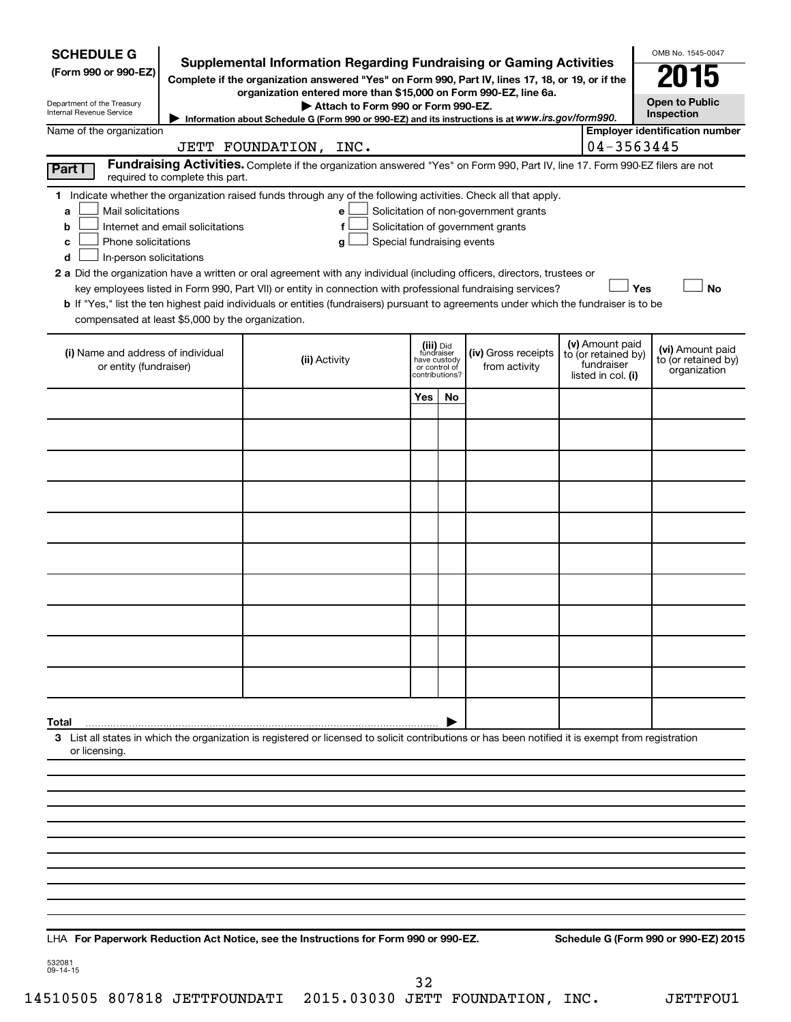| <b>SCHEDULE G</b><br>(Form 990 or 990-EZ)<br>Department of the Treasury<br>Internal Revenue Service                                                                                                                                                                                                                                                                                                                                                                                                                                                                                                                                                                                        | <b>Supplemental Information Regarding Fundraising or Gaming Activities</b><br>Complete if the organization answered "Yes" on Form 990, Part IV, lines 17, 18, or 19, or if the<br>organization entered more than \$15,000 on Form 990-EZ, line 6a.<br>Attach to Form 990 or Form 990-EZ.<br>Information about Schedule G (Form 990 or 990-EZ) and its instructions is at WWW.irs.gov/form990. |                                                          |                |                                                                            |                                                                            | OMB No. 1545-0047<br>015<br><b>Open to Public</b><br>Inspection |
|--------------------------------------------------------------------------------------------------------------------------------------------------------------------------------------------------------------------------------------------------------------------------------------------------------------------------------------------------------------------------------------------------------------------------------------------------------------------------------------------------------------------------------------------------------------------------------------------------------------------------------------------------------------------------------------------|-----------------------------------------------------------------------------------------------------------------------------------------------------------------------------------------------------------------------------------------------------------------------------------------------------------------------------------------------------------------------------------------------|----------------------------------------------------------|----------------|----------------------------------------------------------------------------|----------------------------------------------------------------------------|-----------------------------------------------------------------|
| Name of the organization                                                                                                                                                                                                                                                                                                                                                                                                                                                                                                                                                                                                                                                                   | JETT FOUNDATION, INC.                                                                                                                                                                                                                                                                                                                                                                         |                                                          |                |                                                                            | 04-3563445                                                                 | <b>Employer identification number</b>                           |
| Part I<br>required to complete this part.                                                                                                                                                                                                                                                                                                                                                                                                                                                                                                                                                                                                                                                  | Fundraising Activities. Complete if the organization answered "Yes" on Form 990, Part IV, line 17. Form 990-EZ filers are not                                                                                                                                                                                                                                                                 |                                                          |                |                                                                            |                                                                            |                                                                 |
| 1 Indicate whether the organization raised funds through any of the following activities. Check all that apply.<br>Mail solicitations<br>a<br>Internet and email solicitations<br>b<br>Phone solicitations<br>c<br>In-person solicitations<br>d<br>2 a Did the organization have a written or oral agreement with any individual (including officers, directors, trustees or<br>key employees listed in Form 990, Part VII) or entity in connection with professional fundraising services?<br>b If "Yes," list the ten highest paid individuals or entities (fundraisers) pursuant to agreements under which the fundraiser is to be<br>compensated at least \$5,000 by the organization. | e<br>f<br>Special fundraising events<br>g                                                                                                                                                                                                                                                                                                                                                     |                                                          |                | Solicitation of non-government grants<br>Solicitation of government grants | Yes                                                                        | <b>No</b>                                                       |
| (i) Name and address of individual<br>or entity (fundraiser)                                                                                                                                                                                                                                                                                                                                                                                                                                                                                                                                                                                                                               | (ii) Activity                                                                                                                                                                                                                                                                                                                                                                                 | (iii) Did<br>fundraiser<br>have custody<br>or control of | contributions? | (iv) Gross receipts<br>from activity                                       | (v) Amount paid<br>to (or retained by)<br>fundraiser<br>listed in col. (i) | (vi) Amount paid<br>to (or retained by)<br>organization         |
|                                                                                                                                                                                                                                                                                                                                                                                                                                                                                                                                                                                                                                                                                            |                                                                                                                                                                                                                                                                                                                                                                                               | <b>Yes</b>                                               | No             |                                                                            |                                                                            |                                                                 |
|                                                                                                                                                                                                                                                                                                                                                                                                                                                                                                                                                                                                                                                                                            |                                                                                                                                                                                                                                                                                                                                                                                               |                                                          |                |                                                                            |                                                                            |                                                                 |
|                                                                                                                                                                                                                                                                                                                                                                                                                                                                                                                                                                                                                                                                                            |                                                                                                                                                                                                                                                                                                                                                                                               |                                                          |                |                                                                            |                                                                            |                                                                 |
|                                                                                                                                                                                                                                                                                                                                                                                                                                                                                                                                                                                                                                                                                            |                                                                                                                                                                                                                                                                                                                                                                                               |                                                          |                |                                                                            |                                                                            |                                                                 |
|                                                                                                                                                                                                                                                                                                                                                                                                                                                                                                                                                                                                                                                                                            |                                                                                                                                                                                                                                                                                                                                                                                               |                                                          |                |                                                                            |                                                                            |                                                                 |
|                                                                                                                                                                                                                                                                                                                                                                                                                                                                                                                                                                                                                                                                                            |                                                                                                                                                                                                                                                                                                                                                                                               |                                                          |                |                                                                            |                                                                            |                                                                 |
|                                                                                                                                                                                                                                                                                                                                                                                                                                                                                                                                                                                                                                                                                            |                                                                                                                                                                                                                                                                                                                                                                                               |                                                          |                |                                                                            |                                                                            |                                                                 |
|                                                                                                                                                                                                                                                                                                                                                                                                                                                                                                                                                                                                                                                                                            |                                                                                                                                                                                                                                                                                                                                                                                               |                                                          |                |                                                                            |                                                                            |                                                                 |
|                                                                                                                                                                                                                                                                                                                                                                                                                                                                                                                                                                                                                                                                                            |                                                                                                                                                                                                                                                                                                                                                                                               |                                                          |                |                                                                            |                                                                            |                                                                 |
|                                                                                                                                                                                                                                                                                                                                                                                                                                                                                                                                                                                                                                                                                            |                                                                                                                                                                                                                                                                                                                                                                                               |                                                          |                |                                                                            |                                                                            |                                                                 |
|                                                                                                                                                                                                                                                                                                                                                                                                                                                                                                                                                                                                                                                                                            |                                                                                                                                                                                                                                                                                                                                                                                               |                                                          |                |                                                                            |                                                                            |                                                                 |
| Total<br>3 List all states in which the organization is registered or licensed to solicit contributions or has been notified it is exempt from registration<br>or licensing.                                                                                                                                                                                                                                                                                                                                                                                                                                                                                                               |                                                                                                                                                                                                                                                                                                                                                                                               |                                                          |                |                                                                            |                                                                            |                                                                 |
|                                                                                                                                                                                                                                                                                                                                                                                                                                                                                                                                                                                                                                                                                            |                                                                                                                                                                                                                                                                                                                                                                                               |                                                          |                |                                                                            |                                                                            |                                                                 |
|                                                                                                                                                                                                                                                                                                                                                                                                                                                                                                                                                                                                                                                                                            |                                                                                                                                                                                                                                                                                                                                                                                               |                                                          |                |                                                                            |                                                                            |                                                                 |
|                                                                                                                                                                                                                                                                                                                                                                                                                                                                                                                                                                                                                                                                                            |                                                                                                                                                                                                                                                                                                                                                                                               |                                                          |                |                                                                            |                                                                            |                                                                 |
|                                                                                                                                                                                                                                                                                                                                                                                                                                                                                                                                                                                                                                                                                            |                                                                                                                                                                                                                                                                                                                                                                                               |                                                          |                |                                                                            |                                                                            |                                                                 |
|                                                                                                                                                                                                                                                                                                                                                                                                                                                                                                                                                                                                                                                                                            |                                                                                                                                                                                                                                                                                                                                                                                               |                                                          |                |                                                                            |                                                                            |                                                                 |
| LHA For Paperwork Reduction Act Notice, see the Instructions for Form 990 or 990-EZ.                                                                                                                                                                                                                                                                                                                                                                                                                                                                                                                                                                                                       |                                                                                                                                                                                                                                                                                                                                                                                               |                                                          |                |                                                                            |                                                                            | Schedule G (Form 990 or 990-EZ) 2015                            |

532081 09-14-15

14510505 807818 JETTFOUNDATI 2015.03030 JETT FOUNDATION, INC. JETTFOU1 32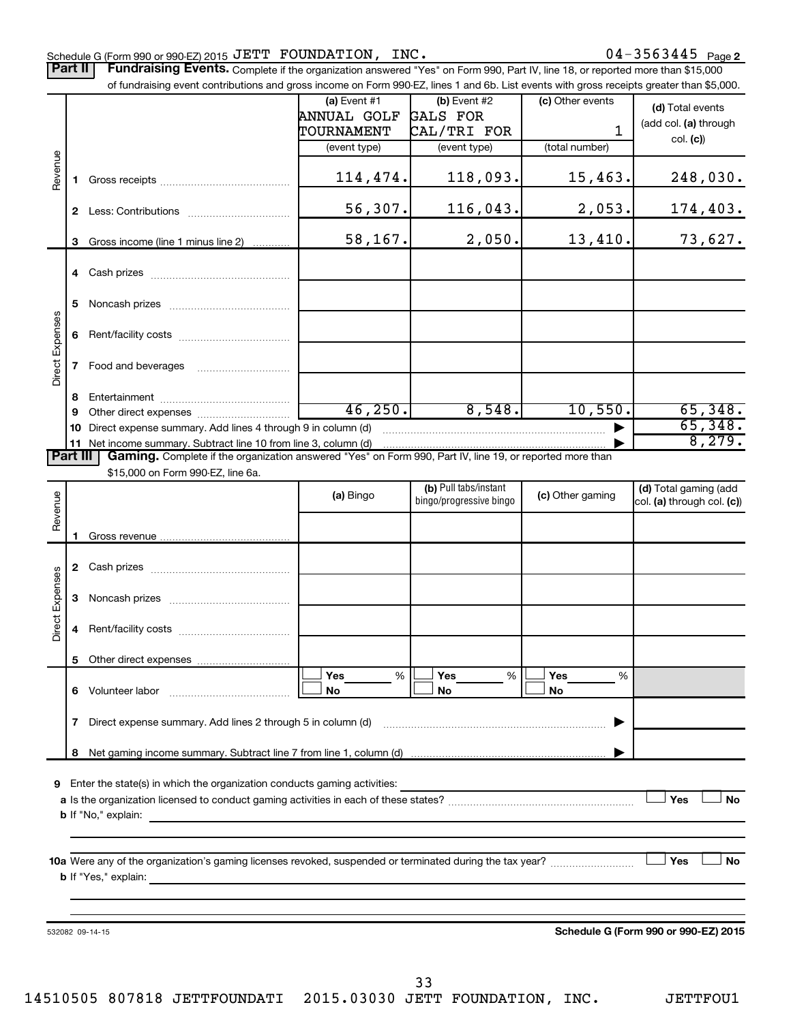### Schedule G (Form 990 or 990-EZ) 2015  ${\tt JETT}$   ${\tt FOUNDATION}$ ,  ${\tt INC.}$  04  $-$  3563445  ${\tt Page}$

Part II | Fundraising Events. Complete if the organization answered "Yes" on Form 990, Part IV, line 18, or reported more than \$15,000 of fundraising event contributions and gross income on Form 990-EZ, lines 1 and 6b. List events with gross receipts greater than \$5,000.

|                          |    | OF IDITIONS IN POSTED SHOWING THE ORIGINAL CONTRACT ON A SUBSTRAINING OF THE STATES OF SHOWING STREET IN A SUBSTRAINER ON A SUBSTRAINER ON A SUBSTRAINER ON A SUBSTRAINER ON A SUBSTRAINER ON A SUBSTRAINER ON A SUBSTRAINER O            |                               |                            |                  |                                      |
|--------------------------|----|-------------------------------------------------------------------------------------------------------------------------------------------------------------------------------------------------------------------------------------------|-------------------------------|----------------------------|------------------|--------------------------------------|
|                          |    |                                                                                                                                                                                                                                           | (a) Event $#1$<br>ANNUAL GOLF | $(b)$ Event #2<br>GALS FOR | (c) Other events | (d) Total events                     |
|                          |    |                                                                                                                                                                                                                                           | TOURNAMENT                    | CAL/TRI FOR                | 1                | (add col. (a) through                |
|                          |    |                                                                                                                                                                                                                                           | (event type)                  | (event type)               | (total number)   | col. (c)                             |
| Revenue                  | 1. |                                                                                                                                                                                                                                           | 114,474.                      | 118,093.                   | 15,463.          | 248,030.                             |
|                          |    |                                                                                                                                                                                                                                           | 56,307.                       | 116,043.                   | 2,053.           | 174,403.                             |
|                          |    |                                                                                                                                                                                                                                           |                               |                            |                  |                                      |
|                          | 3  | Gross income (line 1 minus line 2)                                                                                                                                                                                                        | 58,167.                       | 2,050.                     | 13,410.          | 73,627.                              |
|                          |    |                                                                                                                                                                                                                                           |                               |                            |                  |                                      |
|                          | 5  |                                                                                                                                                                                                                                           |                               |                            |                  |                                      |
| Direct Expenses          | 6  |                                                                                                                                                                                                                                           |                               |                            |                  |                                      |
|                          |    |                                                                                                                                                                                                                                           |                               |                            |                  |                                      |
|                          | 8  |                                                                                                                                                                                                                                           |                               |                            |                  |                                      |
|                          | 9  |                                                                                                                                                                                                                                           | 46, 250.                      | 8,548.                     | 10,550.          | 65,348.                              |
|                          |    | 10 Direct expense summary. Add lines 4 through 9 in column (d)                                                                                                                                                                            |                               |                            |                  | 65,348.                              |
| $\sqrt{\text{Part III}}$ |    | Gaming. Complete if the organization answered "Yes" on Form 990, Part IV, line 19, or reported more than                                                                                                                                  |                               |                            |                  | 8,279.                               |
|                          |    | \$15,000 on Form 990-EZ, line 6a.                                                                                                                                                                                                         |                               |                            |                  |                                      |
|                          |    |                                                                                                                                                                                                                                           |                               | (b) Pull tabs/instant      |                  | (d) Total gaming (add                |
| Revenue                  |    |                                                                                                                                                                                                                                           | (a) Bingo                     | bingo/progressive bingo    | (c) Other gaming | col. (a) through col. (c))           |
|                          |    |                                                                                                                                                                                                                                           |                               |                            |                  |                                      |
|                          | 1. |                                                                                                                                                                                                                                           |                               |                            |                  |                                      |
|                          |    |                                                                                                                                                                                                                                           |                               |                            |                  |                                      |
| <b>Direct Expenses</b>   | 3  |                                                                                                                                                                                                                                           |                               |                            |                  |                                      |
|                          | 4  |                                                                                                                                                                                                                                           |                               |                            |                  |                                      |
|                          |    |                                                                                                                                                                                                                                           |                               |                            |                  |                                      |
|                          |    |                                                                                                                                                                                                                                           | Yes<br>%                      | Yes<br>%                   | Yes<br>%         |                                      |
|                          | 6  | Volunteer labor                                                                                                                                                                                                                           | No                            | No                         | No               |                                      |
|                          | 7  | Direct expense summary. Add lines 2 through 5 in column (d)                                                                                                                                                                               |                               |                            |                  |                                      |
|                          | 8  |                                                                                                                                                                                                                                           |                               |                            |                  |                                      |
|                          |    |                                                                                                                                                                                                                                           |                               |                            |                  |                                      |
| 9                        |    | Enter the state(s) in which the organization conducts gaming activities:                                                                                                                                                                  |                               |                            |                  |                                      |
|                          |    | <b>b</b> If "No," explain:                                                                                                                                                                                                                |                               |                            |                  | Yes<br>No                            |
|                          |    | <u> 1989 - John Stone, Amerikaansk politiker (* 1918)</u>                                                                                                                                                                                 |                               |                            |                  |                                      |
|                          |    |                                                                                                                                                                                                                                           |                               |                            |                  |                                      |
|                          |    |                                                                                                                                                                                                                                           |                               |                            |                  | Yes<br>No                            |
|                          |    | <b>b</b> If "Yes," explain: <u>And a set of the set of the set of the set of the set of the set of the set of the set of the set of the set of the set of the set of the set of the set of the set of the set of the set of the set o</u> |                               |                            |                  |                                      |
|                          |    |                                                                                                                                                                                                                                           |                               |                            |                  |                                      |
|                          |    |                                                                                                                                                                                                                                           |                               |                            |                  |                                      |
|                          |    | 532082 09-14-15                                                                                                                                                                                                                           |                               |                            |                  | Schedule G (Form 990 or 990-EZ) 2015 |
|                          |    |                                                                                                                                                                                                                                           |                               |                            |                  |                                      |
|                          |    |                                                                                                                                                                                                                                           |                               |                            |                  |                                      |

14510505 807818 JETTFOUNDATI 2015.03030 JETT FOUNDATION, INC. JETTFOU1

33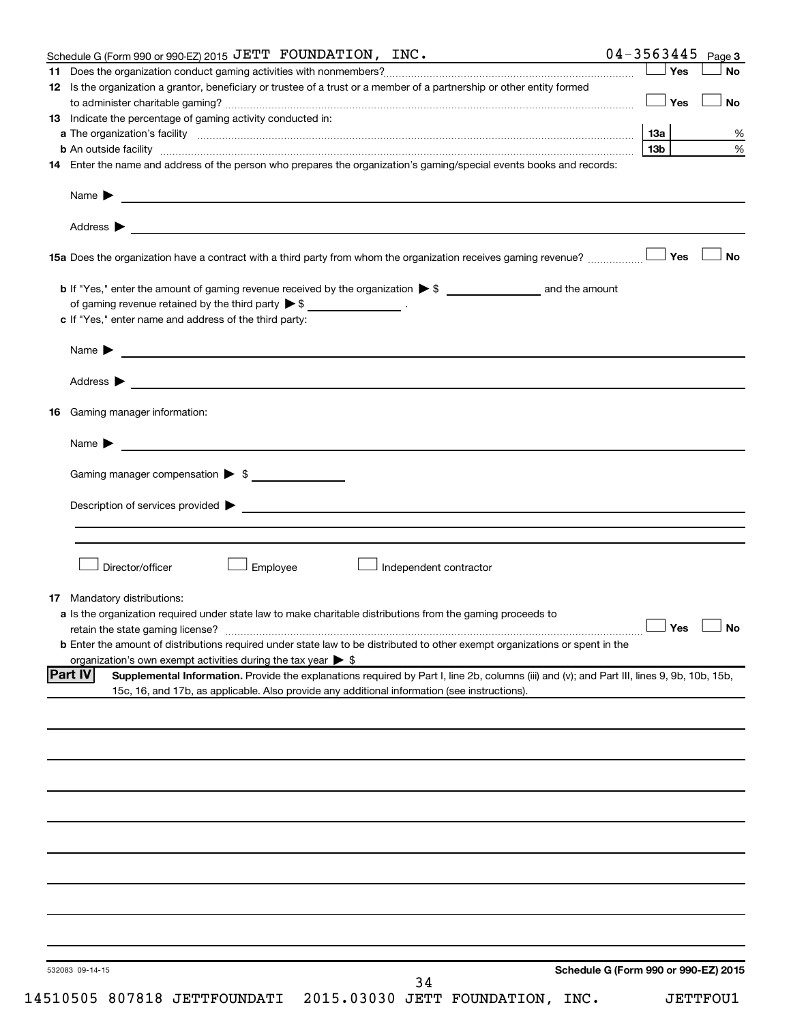| Schedule G (Form 990 or 990-EZ) 2015 JETT FOUNDATION, INC.                                                                                             | 04-3563445<br>Page 3                 |
|--------------------------------------------------------------------------------------------------------------------------------------------------------|--------------------------------------|
|                                                                                                                                                        | ∣ Yes<br><b>No</b>                   |
| 12 Is the organization a grantor, beneficiary or trustee of a trust or a member of a partnership or other entity formed                                | — ∣ Yes<br><b>No</b>                 |
| <b>13</b> Indicate the percentage of gaming activity conducted in:                                                                                     |                                      |
|                                                                                                                                                        | %                                    |
|                                                                                                                                                        | $\%$<br>13b                          |
| 14 Enter the name and address of the person who prepares the organization's gaming/special events books and records:                                   |                                      |
|                                                                                                                                                        |                                      |
| Address $\blacktriangleright$<br><u>and the contract of the contract of the contract of the contract of the contract of the contract of</u>            |                                      |
|                                                                                                                                                        | <b>No</b>                            |
|                                                                                                                                                        |                                      |
| of gaming revenue retained by the third party $\triangleright$ \$ _________________.                                                                   |                                      |
| c If "Yes," enter name and address of the third party:                                                                                                 |                                      |
| Name $\blacktriangleright$ $\lrcorner$                                                                                                                 |                                      |
|                                                                                                                                                        |                                      |
| 16 Gaming manager information:                                                                                                                         |                                      |
| Name $\triangleright$                                                                                                                                  |                                      |
| Gaming manager compensation > \$                                                                                                                       |                                      |
|                                                                                                                                                        |                                      |
|                                                                                                                                                        |                                      |
|                                                                                                                                                        |                                      |
| Director/officer<br>Employee<br>Independent contractor                                                                                                 |                                      |
|                                                                                                                                                        |                                      |
| <b>17</b> Mandatory distributions:<br>a Is the organization required under state law to make charitable distributions from the gaming proceeds to      |                                      |
|                                                                                                                                                        | $\Box$ Yes $\Box$ No                 |
| <b>b</b> Enter the amount of distributions required under state law to be distributed to other exempt organizations or spent in the                    |                                      |
| organization's own exempt activities during the tax year $\triangleright$ \$                                                                           |                                      |
| Part IV<br>Supplemental Information. Provide the explanations required by Part I, line 2b, columns (iii) and (v); and Part III, lines 9, 9b, 10b, 15b, |                                      |
| 15c, 16, and 17b, as applicable. Also provide any additional information (see instructions).                                                           |                                      |
|                                                                                                                                                        |                                      |
|                                                                                                                                                        |                                      |
|                                                                                                                                                        |                                      |
|                                                                                                                                                        |                                      |
|                                                                                                                                                        |                                      |
|                                                                                                                                                        |                                      |
|                                                                                                                                                        |                                      |
|                                                                                                                                                        |                                      |
|                                                                                                                                                        |                                      |
|                                                                                                                                                        |                                      |
|                                                                                                                                                        |                                      |
|                                                                                                                                                        |                                      |
|                                                                                                                                                        |                                      |
| 532083 09-14-15<br>34                                                                                                                                  | Schedule G (Form 990 or 990-EZ) 2015 |
|                                                                                                                                                        |                                      |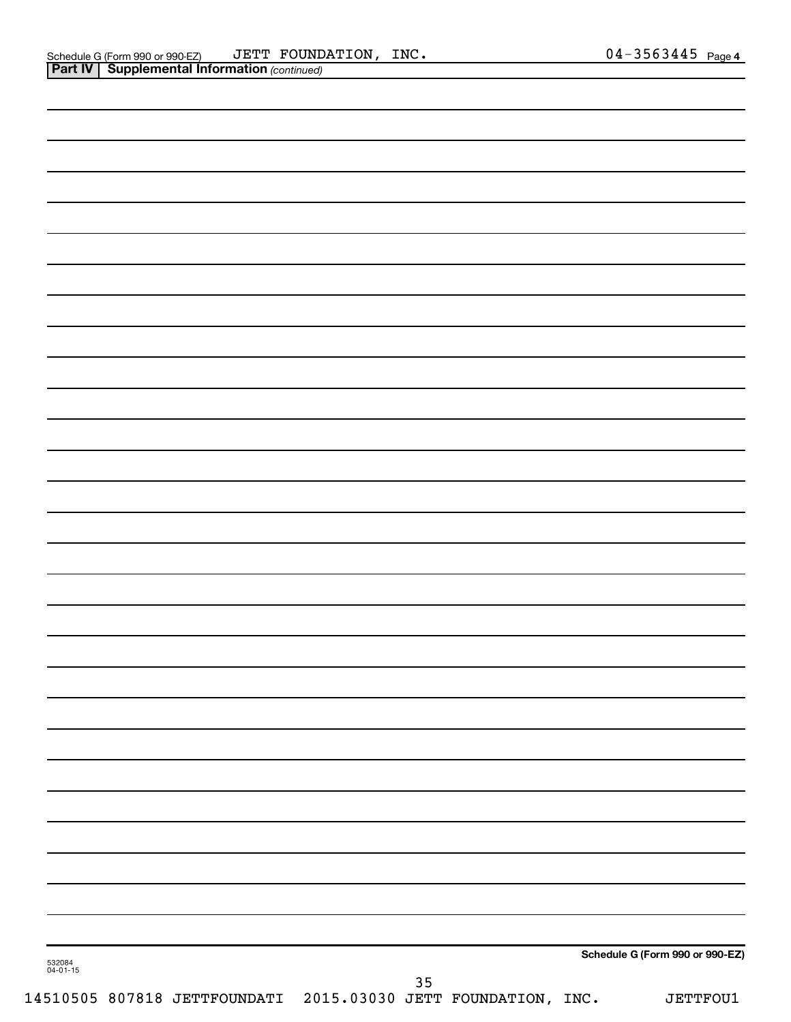| 532084<br>04-01-15 | 35 | Schedule G (Form 990 or 990-EZ) |
|--------------------|----|---------------------------------|
|                    |    |                                 |
|                    |    |                                 |
|                    |    |                                 |
|                    |    |                                 |
|                    |    |                                 |
|                    |    |                                 |
|                    |    |                                 |
|                    |    |                                 |
|                    |    |                                 |
|                    |    |                                 |
|                    |    |                                 |
|                    |    |                                 |
|                    |    |                                 |
|                    |    |                                 |
|                    |    |                                 |
|                    |    |                                 |
|                    |    |                                 |
|                    |    |                                 |
|                    |    |                                 |
|                    |    |                                 |
|                    |    |                                 |
|                    |    |                                 |
|                    |    |                                 |
|                    |    |                                 |
|                    |    |                                 |
|                    |    |                                 |
|                    |    |                                 |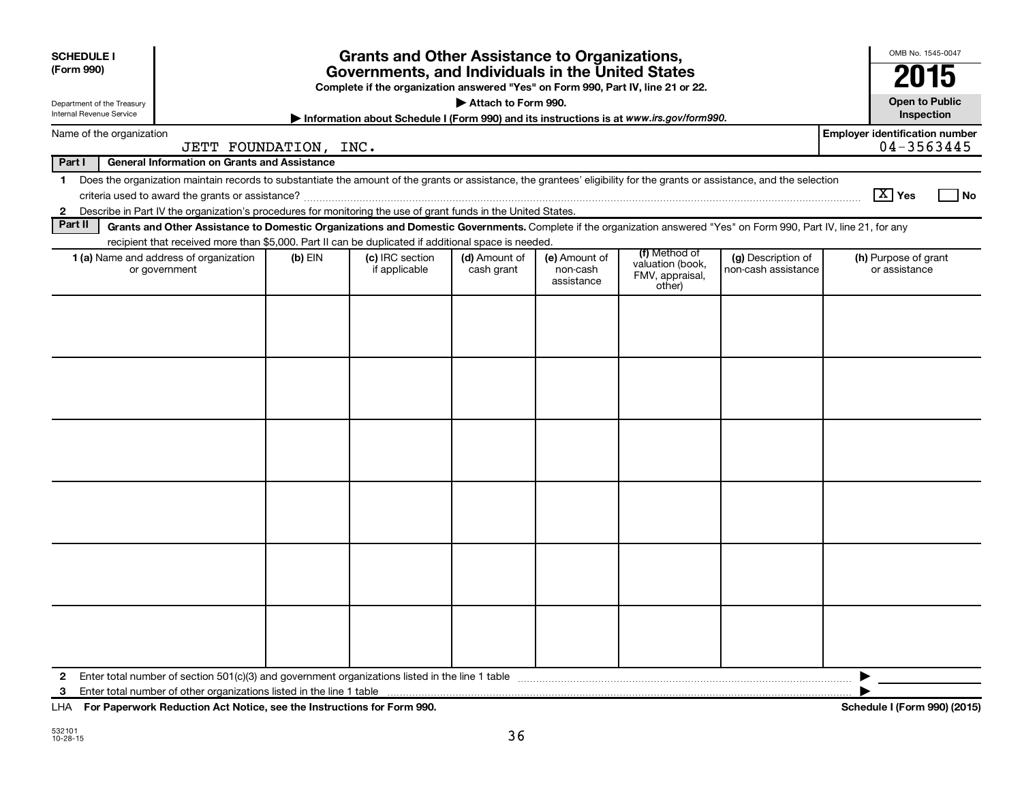| <b>Grants and Other Assistance to Organizations,</b><br><b>SCHEDULE I</b><br>(Form 990)<br>Governments, and Individuals in the United States<br>Complete if the organization answered "Yes" on Form 990, Part IV, line 21 or 22.<br>Attach to Form 990.<br>Department of the Treasury<br>Internal Revenue Service<br>Information about Schedule I (Form 990) and its instructions is at www.irs.gov/form990. |                                                                                                                                                                                                                                                                                           |           |                                  |                             |                                         |                                               |                                           |                                                     |  |
|--------------------------------------------------------------------------------------------------------------------------------------------------------------------------------------------------------------------------------------------------------------------------------------------------------------------------------------------------------------------------------------------------------------|-------------------------------------------------------------------------------------------------------------------------------------------------------------------------------------------------------------------------------------------------------------------------------------------|-----------|----------------------------------|-----------------------------|-----------------------------------------|-----------------------------------------------|-------------------------------------------|-----------------------------------------------------|--|
| Name of the organization                                                                                                                                                                                                                                                                                                                                                                                     |                                                                                                                                                                                                                                                                                           |           |                                  |                             |                                         |                                               |                                           | Inspection<br><b>Employer identification number</b> |  |
|                                                                                                                                                                                                                                                                                                                                                                                                              | JETT FOUNDATION, INC.                                                                                                                                                                                                                                                                     |           |                                  |                             |                                         |                                               |                                           | $04 - 3563445$                                      |  |
| Part I                                                                                                                                                                                                                                                                                                                                                                                                       | <b>General Information on Grants and Assistance</b>                                                                                                                                                                                                                                       |           |                                  |                             |                                         |                                               |                                           |                                                     |  |
| 1<br>$\mathbf{2}$                                                                                                                                                                                                                                                                                                                                                                                            | Does the organization maintain records to substantiate the amount of the grants or assistance, the grantees' eligibility for the grants or assistance, and the selection<br>Describe in Part IV the organization's procedures for monitoring the use of grant funds in the United States. |           |                                  |                             |                                         |                                               |                                           | $\boxed{\text{X}}$ Yes<br>  No                      |  |
| Part II                                                                                                                                                                                                                                                                                                                                                                                                      | Grants and Other Assistance to Domestic Organizations and Domestic Governments. Complete if the organization answered "Yes" on Form 990, Part IV, line 21, for any                                                                                                                        |           |                                  |                             |                                         |                                               |                                           |                                                     |  |
|                                                                                                                                                                                                                                                                                                                                                                                                              | recipient that received more than \$5,000. Part II can be duplicated if additional space is needed.                                                                                                                                                                                       |           |                                  |                             |                                         | (f) Method of                                 |                                           |                                                     |  |
|                                                                                                                                                                                                                                                                                                                                                                                                              | 1 (a) Name and address of organization<br>or government                                                                                                                                                                                                                                   | $(b)$ EIN | (c) IRC section<br>if applicable | (d) Amount of<br>cash grant | (e) Amount of<br>non-cash<br>assistance | valuation (book,<br>FMV, appraisal,<br>other) | (g) Description of<br>non-cash assistance | (h) Purpose of grant<br>or assistance               |  |
|                                                                                                                                                                                                                                                                                                                                                                                                              |                                                                                                                                                                                                                                                                                           |           |                                  |                             |                                         |                                               |                                           |                                                     |  |
| $\mathbf{2}$<br>3                                                                                                                                                                                                                                                                                                                                                                                            |                                                                                                                                                                                                                                                                                           |           |                                  |                             |                                         |                                               |                                           |                                                     |  |
|                                                                                                                                                                                                                                                                                                                                                                                                              |                                                                                                                                                                                                                                                                                           |           |                                  |                             |                                         |                                               |                                           |                                                     |  |

**For Paperwork Reduction Act Notice, see the Instructions for Form 990. Schedule I (Form 990) (2015)** LHA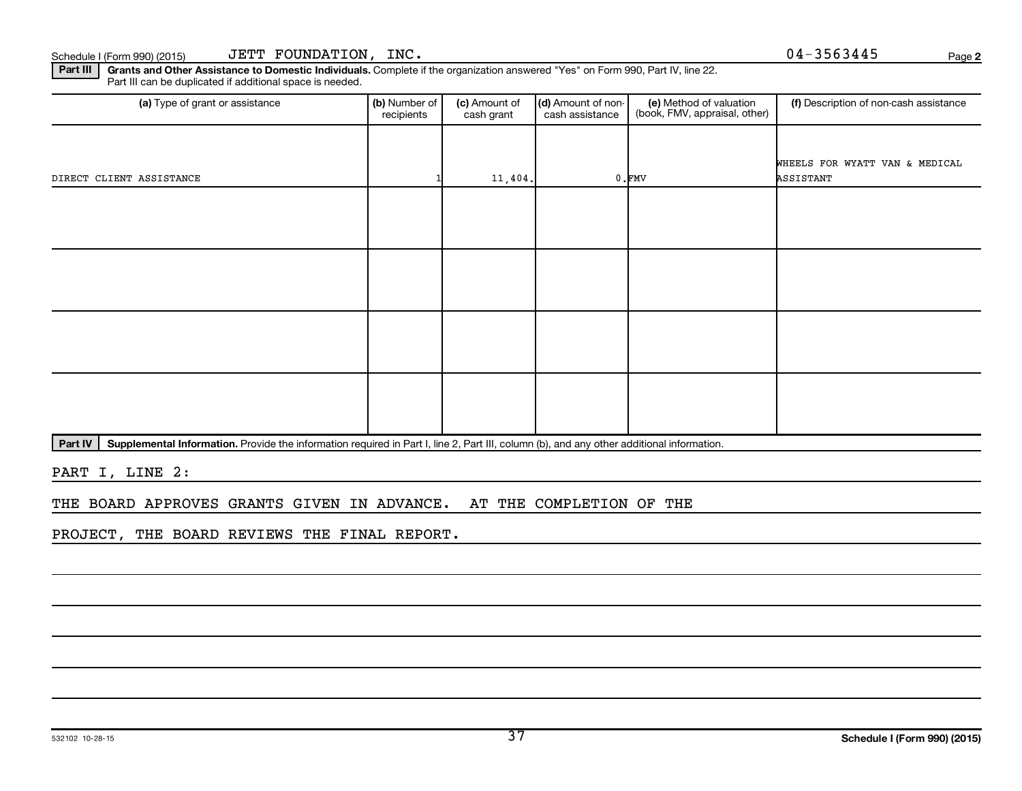Schedule I (Form 990) (2015)  $JETT$   $FOUNDATION$ ,  $INC.$   $1NC.$ 

**2**

Part III | Grants and Other Assistance to Domestic Individuals. Complete if the organization answered "Yes" on Form 990, Part IV, line 22. Part III can be duplicated if additional space is needed.

| (a) Type of grant or assistance | (b) Number of<br>recipients | (c) Amount of<br>cash grant | (d) Amount of non-<br>cash assistance | (e) Method of valuation<br>(book, FMV, appraisal, other) | (f) Description of non-cash assistance |
|---------------------------------|-----------------------------|-----------------------------|---------------------------------------|----------------------------------------------------------|----------------------------------------|
|                                 |                             |                             |                                       |                                                          |                                        |
|                                 |                             |                             |                                       |                                                          | WHEELS FOR WYATT VAN & MEDICAL         |
| DIRECT CLIENT ASSISTANCE        |                             | 11,404.                     |                                       | $0.$ $FMV$                                               | ASSISTANT                              |
|                                 |                             |                             |                                       |                                                          |                                        |
|                                 |                             |                             |                                       |                                                          |                                        |
|                                 |                             |                             |                                       |                                                          |                                        |
|                                 |                             |                             |                                       |                                                          |                                        |
|                                 |                             |                             |                                       |                                                          |                                        |
|                                 |                             |                             |                                       |                                                          |                                        |
|                                 |                             |                             |                                       |                                                          |                                        |
|                                 |                             |                             |                                       |                                                          |                                        |
|                                 |                             |                             |                                       |                                                          |                                        |
|                                 |                             |                             |                                       |                                                          |                                        |
|                                 |                             |                             |                                       |                                                          |                                        |
|                                 |                             |                             |                                       |                                                          |                                        |
|                                 |                             |                             |                                       |                                                          |                                        |

Part IV | Supplemental Information. Provide the information required in Part I, line 2, Part III, column (b), and any other additional information.

PART I, LINE 2:

THE BOARD APPROVES GRANTS GIVEN IN ADVANCE. AT THE COMPLETION OF THE

PROJECT, THE BOARD REVIEWS THE FINAL REPORT.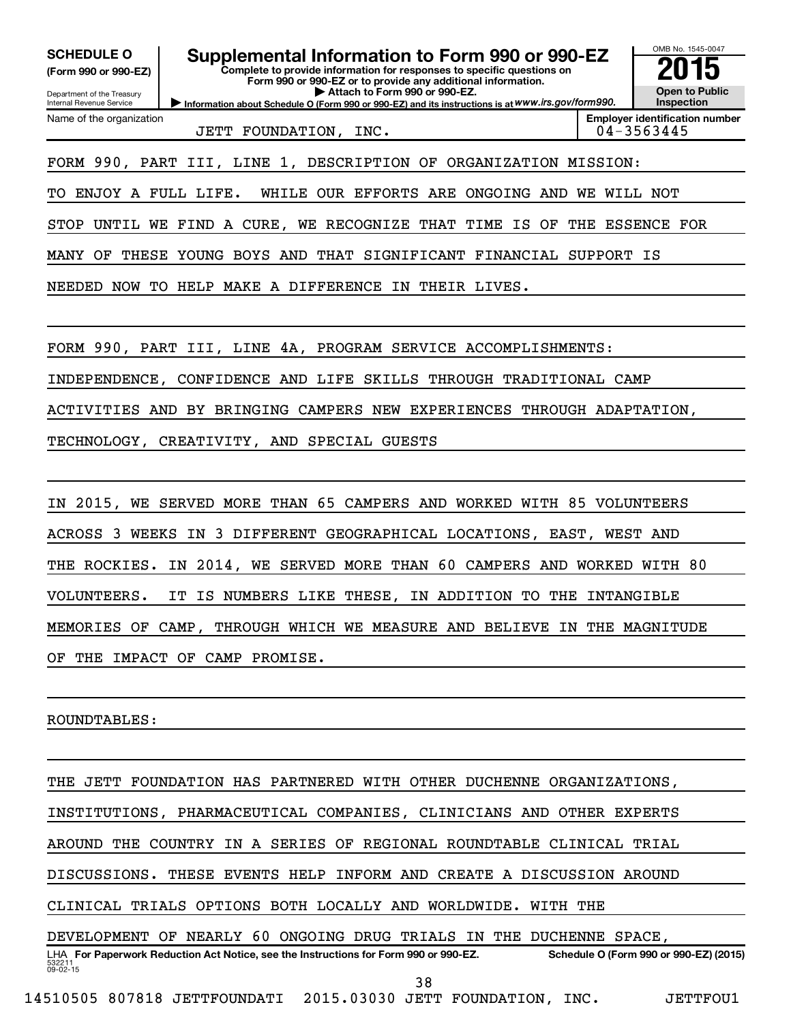OMB No. 1545-0047 Department of the Treasury Internal Revenue Service **Information about Schedule O (Form 990 or 990-EZ) and its instructions is at WWW.irs.gov/form990. Complete to provide information for responses to specific questions on Form 990 or 990-EZ or to provide any additional information. | Attach to Form 990 or 990-EZ. (Form 990 or 990-EZ) Open to Public Inspection Employer identification number** Name of the organization SCHEDULE O **Supplemental Information to Form 990 or 990-EZ** 2015<br>(Form 990 or 990-EZ) Complete to provide information for responses to specific questions on JETT FOUNDATION, INC. 04-3563445 FORM 990, PART III, LINE 1, DESCRIPTION OF ORGANIZATION MISSION: TO ENJOY A FULL LIFE. WHILE OUR EFFORTS ARE ONGOING AND WE WILL NOT STOP UNTIL WE FIND A CURE, WE RECOGNIZE THAT TIME IS OF THE ESSENCE FOR MANY OF THESE YOUNG BOYS AND THAT SIGNIFICANT FINANCIAL SUPPORT IS NEEDED NOW TO HELP MAKE A DIFFERENCE IN THEIR LIVES.

FORM 990, PART III, LINE 4A, PROGRAM SERVICE ACCOMPLISHMENTS:

INDEPENDENCE, CONFIDENCE AND LIFE SKILLS THROUGH TRADITIONAL CAMP

ACTIVITIES AND BY BRINGING CAMPERS NEW EXPERIENCES THROUGH ADAPTATION,

TECHNOLOGY, CREATIVITY, AND SPECIAL GUESTS

IN 2015, WE SERVED MORE THAN 65 CAMPERS AND WORKED WITH 85 VOLUNTEERS ACROSS 3 WEEKS IN 3 DIFFERENT GEOGRAPHICAL LOCATIONS, EAST, WEST AND THE ROCKIES. IN 2014, WE SERVED MORE THAN 60 CAMPERS AND WORKED WITH 80 VOLUNTEERS. IT IS NUMBERS LIKE THESE, IN ADDITION TO THE INTANGIBLE MEMORIES OF CAMP, THROUGH WHICH WE MEASURE AND BELIEVE IN THE MAGNITUDE OF THE IMPACT OF CAMP PROMISE.

ROUNDTABLES:

532211  $09 - 02 - 15$ LHA For Paperwork Reduction Act Notice, see the Instructions for Form 990 or 990-EZ. Schedule O (Form 990 or 990-EZ) (2015) THE JETT FOUNDATION HAS PARTNERED WITH OTHER DUCHENNE ORGANIZATIONS, INSTITUTIONS, PHARMACEUTICAL COMPANIES, CLINICIANS AND OTHER EXPERTS AROUND THE COUNTRY IN A SERIES OF REGIONAL ROUNDTABLE CLINICAL TRIAL DISCUSSIONS. THESE EVENTS HELP INFORM AND CREATE A DISCUSSION AROUND CLINICAL TRIALS OPTIONS BOTH LOCALLY AND WORLDWIDE. WITH THE DEVELOPMENT OF NEARLY 60 ONGOING DRUG TRIALS IN THE DUCHENNE SPACE, 38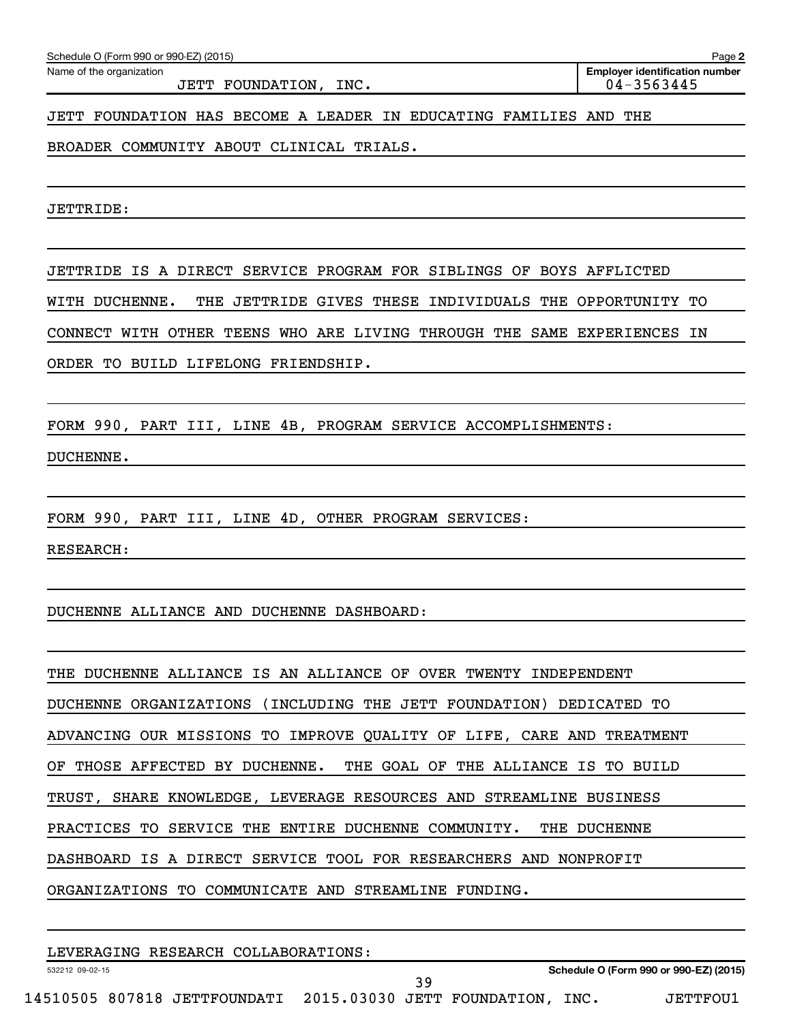Name of the organization

JETT FOUNDATION, INC.  $\vert$  04-3563445

**2 Employer identification number**

JETT FOUNDATION HAS BECOME A LEADER IN EDUCATING FAMILIES AND THE

BROADER COMMUNITY ABOUT CLINICAL TRIALS.

JETTRIDE:

JETTRIDE IS A DIRECT SERVICE PROGRAM FOR SIBLINGS OF BOYS AFFLICTED WITH DUCHENNE. THE JETTRIDE GIVES THESE INDIVIDUALS THE OPPORTUNITY TO CONNECT WITH OTHER TEENS WHO ARE LIVING THROUGH THE SAME EXPERIENCES IN ORDER TO BUILD LIFELONG FRIENDSHIP.

FORM 990, PART III, LINE 4B, PROGRAM SERVICE ACCOMPLISHMENTS: DUCHENNE.

FORM 990, PART III, LINE 4D, OTHER PROGRAM SERVICES:

RESEARCH:

DUCHENNE ALLIANCE AND DUCHENNE DASHBOARD:

THE DUCHENNE ALLIANCE IS AN ALLIANCE OF OVER TWENTY INDEPENDENT DUCHENNE ORGANIZATIONS (INCLUDING THE JETT FOUNDATION) DEDICATED TO ADVANCING OUR MISSIONS TO IMPROVE QUALITY OF LIFE, CARE AND TREATMENT OF THOSE AFFECTED BY DUCHENNE. THE GOAL OF THE ALLIANCE IS TO BUILD TRUST, SHARE KNOWLEDGE, LEVERAGE RESOURCES AND STREAMLINE BUSINESS PRACTICES TO SERVICE THE ENTIRE DUCHENNE COMMUNITY. THE DUCHENNE DASHBOARD IS A DIRECT SERVICE TOOL FOR RESEARCHERS AND NONPROFIT ORGANIZATIONS TO COMMUNICATE AND STREAMLINE FUNDING.

39

LEVERAGING RESEARCH COLLABORATIONS:

532212 09-02-15

**Schedule O (Form 990 or 990-EZ) (2015)**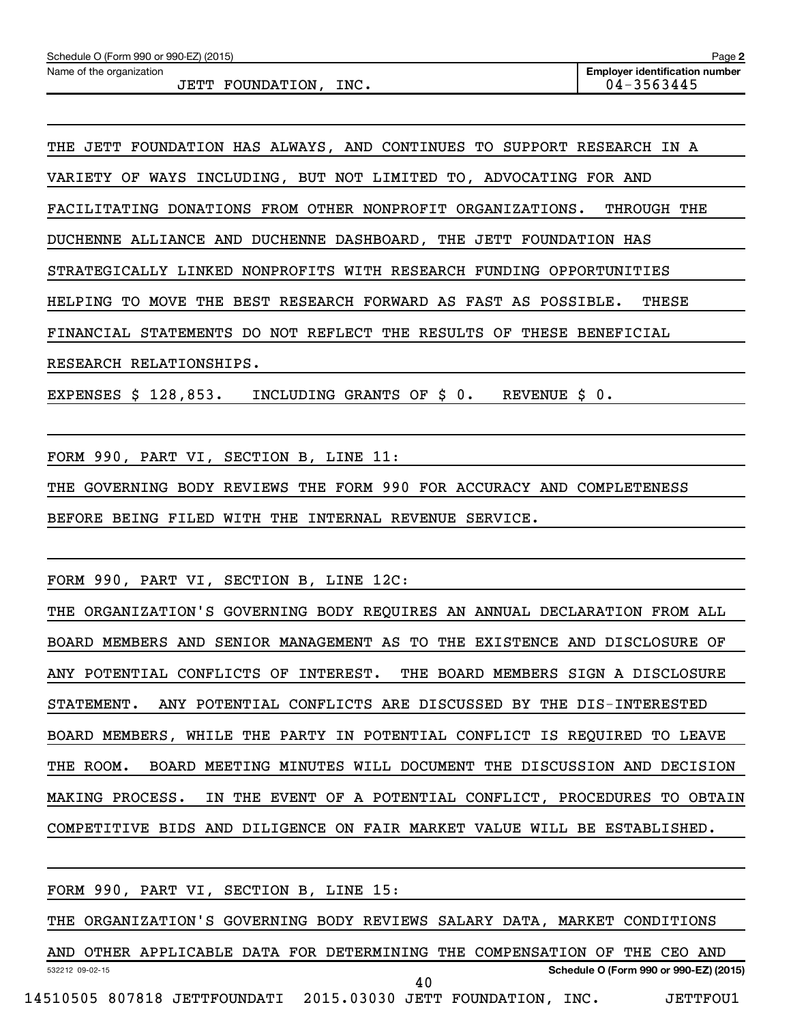THE JETT FOUNDATION HAS ALWAYS, AND CONTINUES TO SUPPORT RESEARCH IN A VARIETY OF WAYS INCLUDING, BUT NOT LIMITED TO, ADVOCATING FOR AND FACILITATING DONATIONS FROM OTHER NONPROFIT ORGANIZATIONS. THROUGH THE DUCHENNE ALLIANCE AND DUCHENNE DASHBOARD, THE JETT FOUNDATION HAS STRATEGICALLY LINKED NONPROFITS WITH RESEARCH FUNDING OPPORTUNITIES HELPING TO MOVE THE BEST RESEARCH FORWARD AS FAST AS POSSIBLE. THESE FINANCIAL STATEMENTS DO NOT REFLECT THE RESULTS OF THESE BENEFICIAL RESEARCH RELATIONSHIPS.

EXPENSES \$ 128,853. INCLUDING GRANTS OF \$ 0. REVENUE \$ 0.

FORM 990, PART VI, SECTION B, LINE 11:

THE GOVERNING BODY REVIEWS THE FORM 990 FOR ACCURACY AND COMPLETENESS

BEFORE BEING FILED WITH THE INTERNAL REVENUE SERVICE.

FORM 990, PART VI, SECTION B, LINE 12C:

THE ORGANIZATION'S GOVERNING BODY REQUIRES AN ANNUAL DECLARATION FROM ALL BOARD MEMBERS AND SENIOR MANAGEMENT AS TO THE EXISTENCE AND DISCLOSURE OF ANY POTENTIAL CONFLICTS OF INTEREST. THE BOARD MEMBERS SIGN A DISCLOSURE STATEMENT. ANY POTENTIAL CONFLICTS ARE DISCUSSED BY THE DIS-INTERESTED BOARD MEMBERS, WHILE THE PARTY IN POTENTIAL CONFLICT IS REQUIRED TO LEAVE THE ROOM. BOARD MEETING MINUTES WILL DOCUMENT THE DISCUSSION AND DECISION MAKING PROCESS. IN THE EVENT OF A POTENTIAL CONFLICT, PROCEDURES TO OBTAIN COMPETITIVE BIDS AND DILIGENCE ON FAIR MARKET VALUE WILL BE ESTABLISHED.

|                 |  | FORM 990, PART VI, SECTION B, LINE 15:                                    |  |    |  |  |  |                                        |
|-----------------|--|---------------------------------------------------------------------------|--|----|--|--|--|----------------------------------------|
|                 |  | THE ORGANIZATION'S GOVERNING BODY REVIEWS SALARY DATA, MARKET CONDITIONS  |  |    |  |  |  |                                        |
|                 |  | AND OTHER APPLICABLE DATA FOR DETERMINING THE COMPENSATION OF THE CEO AND |  |    |  |  |  |                                        |
| 532212 09-02-15 |  |                                                                           |  |    |  |  |  | Schedule O (Form 990 or 990-EZ) (2015) |
|                 |  |                                                                           |  | 40 |  |  |  |                                        |
|                 |  | $14510505$ 807818 JETTFOUNDATI 2015.03030 JETT FOUNDATION, INC.           |  |    |  |  |  | JETTFOU1                               |